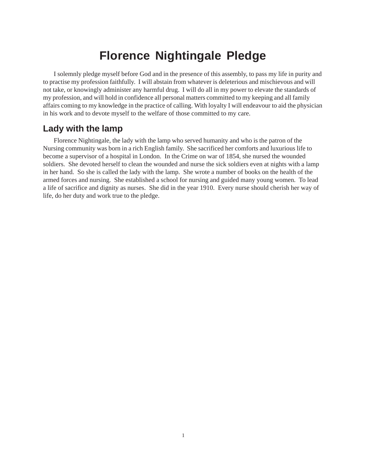# **Florence Nightingale Pledge**

I solemnly pledge myself before God and in the presence of this assembly, to pass my life in purity and to practise my profession faithfully. I will abstain from whatever is deleterious and mischievous and will not take, or knowingly administer any harmful drug. I will do all in my power to elevate the standards of my profession, and will hold in confidence all personal matters committed to my keeping and all family affairs coming to my knowledge in the practice of calling. With loyalty I will endeavour to aid the physician in his work and to devote myself to the welfare of those committed to my care.

# **Lady with the lamp**

Florence Nightingale, the lady with the lamp who served humanity and who is the patron of the Nursing community was born in a rich English family. She sacrificed her comforts and luxurious life to become a supervisor of a hospital in London. In the Crime on war of 1854, she nursed the wounded soldiers. She devoted herself to clean the wounded and nurse the sick soldiers even at nights with a lamp in her hand. So she is called the lady with the lamp. She wrote a number of books on the health of the armed forces and nursing. She established a school for nursing and guided many young women. To lead a life of sacrifice and dignity as nurses. She did in the year 1910. Every nurse should cherish her way of life, do her duty and work true to the pledge.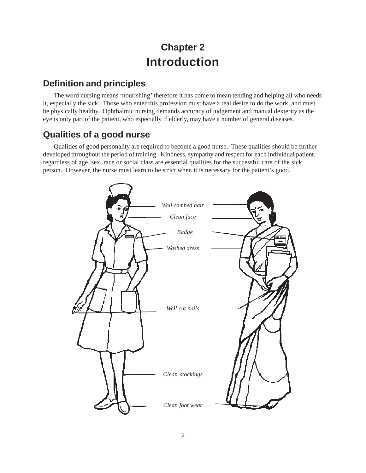# **Chapter 2 Introduction**

# **Definition and principles**

The word nursing means 'nourishing' therefore it has come to mean tending and helping all who needs it, especially the sick. Those who enter this profession must have a real desire to do the work, and must be physically healthy. Ophthalmic nursing demands accuracy of judgement and manual dexterity as the eye is only part of the patient, who especially if elderly, may have a number of general diseases.

# **Qualities of a good nurse**

Qualities of good personality are required to become a good nurse. These qualities should be further developed throughout the period of training. Kindness, sympathy and respect for each individual patient, regardless of age, sex, race or social class are essential qualities for the successful care of the sick person. However, the nurse must learn to be strict when it is necessary for the patient's good.

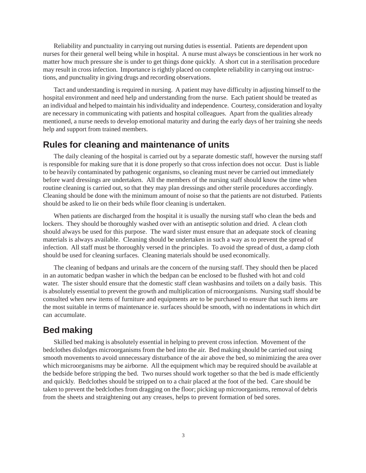Reliability and punctuality in carrying out nursing duties is essential. Patients are dependent upon nurses for their general well being while in hospital. A nurse must always be conscientious in her work no matter how much pressure she is under to get things done quickly. A short cut in a sterilisation procedure may result in cross infection. Importance is rightly placed on complete reliability in carrying out instructions, and punctuality in giving drugs and recording observations.

Tact and understanding is required in nursing. A patient may have difficulty in adjusting himself to the hospital environment and need help and understanding from the nurse. Each patient should be treated as an individual and helped to maintain his individuality and independence. Courtesy, consideration and loyalty are necessary in communicating with patients and hospital colleagues. Apart from the qualities already mentioned, a nurse needs to develop emotional maturity and during the early days of her training she needs help and support from trained members.

# **Rules for cleaning and maintenance of units**

The daily cleaning of the hospital is carried out by a separate domestic staff, however the nursing staff is responsible for making sure that it is done properly so that cross infection does not occur. Dust is liable to be heavily contaminated by pathogenic organisms, so cleaning must never be carried out immediately before ward dressings are undertaken. All the members of the nursing staff should know the time when routine cleaning is carried out, so that they may plan dressings and other sterile procedures accordingly. Cleaning should be done with the minimum amount of noise so that the patients are not disturbed. Patients should be asked to lie on their beds while floor cleaning is undertaken.

When patients are discharged from the hospital it is usually the nursing staff who clean the beds and lockers. They should be thoroughly washed over with an antiseptic solution and dried. A clean cloth should always be used for this purpose. The ward sister must ensure that an adequate stock of cleaning materials is always available. Cleaning should be undertaken in such a way as to prevent the spread of infection. All staff must be thoroughly versed in the principles. To avoid the spread of dust, a damp cloth should be used for cleaning surfaces. Cleaning materials should be used economically.

The cleaning of bedpans and urinals are the concern of the nursing staff. They should then be placed in an automatic bedpan washer in which the bedpan can be enclosed to be flushed with hot and cold water. The sister should ensure that the domestic staff clean washbasins and toilets on a daily basis. This is absolutely essential to prevent the growth and multiplication of microorganisms. Nursing staff should be consulted when new items of furniture and equipments are to be purchased to ensure that such items are the most suitable in terms of maintenance ie. surfaces should be smooth, with no indentations in which dirt can accumulate.

# **Bed making**

Skilled bed making is absolutely essential in helping to prevent cross infection. Movement of the bedclothes dislodges microorganisms from the bed into the air. Bed making should be carried out using smooth movements to avoid unnecessary disturbance of the air above the bed, so minimizing the area over which microorganisms may be airborne. All the equipment which may be required should be available at the bedside before stripping the bed. Two nurses should work together so that the bed is made efficiently and quickly. Bedclothes should be stripped on to a chair placed at the foot of the bed. Care should be taken to prevent the bedclothes from dragging on the floor; picking up microorganisms, removal of debris from the sheets and straightening out any creases, helps to prevent formation of bed sores.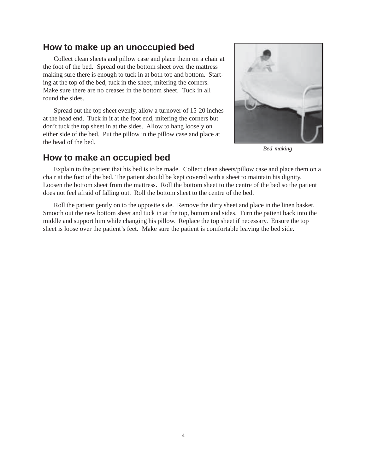# **How to make up an unoccupied bed**

Collect clean sheets and pillow case and place them on a chair at the foot of the bed. Spread out the bottom sheet over the mattress making sure there is enough to tuck in at both top and bottom. Starting at the top of the bed, tuck in the sheet, mitering the corners. Make sure there are no creases in the bottom sheet. Tuck in all round the sides.

Spread out the top sheet evenly, allow a turnover of 15-20 inches at the head end. Tuck in it at the foot end, mitering the corners but don't tuck the top sheet in at the sides. Allow to hang loosely on either side of the bed. Put the pillow in the pillow case and place at the head of the bed.



*Bed making*

# **How to make an occupied bed**

Explain to the patient that his bed is to be made. Collect clean sheets/pillow case and place them on a chair at the foot of the bed. The patient should be kept covered with a sheet to maintain his dignity. Loosen the bottom sheet from the mattress. Roll the bottom sheet to the centre of the bed so the patient does not feel afraid of falling out. Roll the bottom sheet to the centre of the bed.

Roll the patient gently on to the opposite side. Remove the dirty sheet and place in the linen basket. Smooth out the new bottom sheet and tuck in at the top, bottom and sides. Turn the patient back into the middle and support him while changing his pillow. Replace the top sheet if necessary. Ensure the top sheet is loose over the patient's feet. Make sure the patient is comfortable leaving the bed side.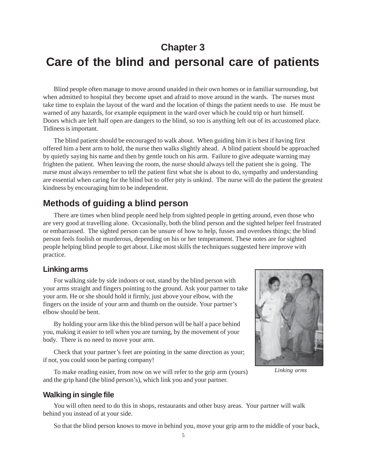# **Chapter 3**

# **Care of the blind and personal care of patients**

Blind people often manage to move around unaided in their own homes or in familiar surrounding, but when admitted to hospital they become upset and afraid to move around in the wards. The nurses must take time to explain the layout of the ward and the location of things the patient needs to use. He must be warned of any hazards, for example equipment in the ward over which he could trip or hurt himself. Doors which are left half open are dangers to the blind, so too is anything left out of its accustomed place. Tidiness is important.

The blind patient should be encouraged to walk about. When guiding him it is best if having first offered him a bent arm to hold, the nurse then walks slightly ahead. A blind patient should be approached by quietly saying his name and then by gentle touch on his arm. Failure to give adequate warning may frighten the patient. When leaving the room, the nurse should always tell the patient she is going. The nurse must always remember to tell the patient first what she is about to do, sympathy and understanding are essential when caring for the blind but to offer pity is unkind. The nurse will do the patient the greatest kindness by encouraging him to be independent.

# **Methods of guiding a blind person**

There are times when blind people need help from sighted people in getting around, even those who are very good at travelling alone. Occasionally, both the blind person and the sighted helper feel frustrated or embarrassed. The sighted person can be unsure of how to help, fusses and overdoes things; the blind person feels foolish or murderous, depending on his or her temperament. These notes are for sighted people helping blind people to get about. Like most skills the techniques suggested here improve with practice.

### **Linking arms**

For walking side by side indoors or out, stand by the blind person with your arms straight and fingers pointing to the ground. Ask your partner to take your arm. He or she should hold it firmly, just above your elbow, with the fingers on the inside of your arm and thumb on the outside. Your partner's elbow should be bent.

By holding your arm like this the blind person will be half a pace behind you, making it easier to tell when you are turning, by the movement of your body. There is no need to move your arm.

Check that your partner's feet are pointing in the same direction as your; if not, you could soon be parting company!

To make reading easier, from now on we will refer to the grip arm (yours) and the grip hand (the blind person's), which link you and your partner.



*Linking arms*

### **Walking in single file**

You will often need to do this in shops, restaurants and other busy areas. Your partner will walk behind you instead of at your side.

So that the blind person knows to move in behind you, move your grip arm to the middle of your back,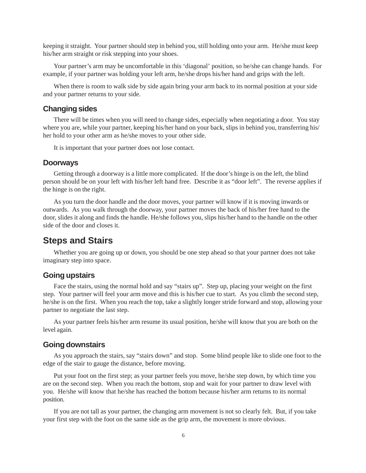keeping it straight. Your partner should step in behind you, still holding onto your arm. He/she must keep his/her arm straight or risk stepping into your shoes.

Your partner's arm may be uncomfortable in this 'diagonal' position, so he/she can change hands. For example, if your partner was holding your left arm, he/she drops his/her hand and grips with the left.

When there is room to walk side by side again bring your arm back to its normal position at your side and your partner returns to your side.

#### **Changing sides**

There will be times when you will need to change sides, especially when negotiating a door. You stay where you are, while your partner, keeping his/her hand on your back, slips in behind you, transferring his/ her hold to your other arm as he/she moves to your other side.

It is important that your partner does not lose contact.

#### **Doorways**

Getting through a doorway is a little more complicated. If the door's hinge is on the left, the blind person should be on your left with his/her left hand free. Describe it as "door left". The reverse applies if the hinge is on the right.

As you turn the door handle and the door moves, your partner will know if it is moving inwards or outwards. As you walk through the doorway, your partner moves the back of his/her free hand to the door, slides it along and finds the handle. He/she follows you, slips his/her hand to the handle on the other side of the door and closes it.

## **Steps and Stairs**

Whether you are going up or down, you should be one step ahead so that your partner does not take imaginary step into space.

#### **Going upstairs**

Face the stairs, using the normal hold and say "stairs up". Step up, placing your weight on the first step. Your partner will feel your arm move and this is his/her cue to start. As you climb the second step, he/she is on the first. When you reach the top, take a slightly longer stride forward and stop, allowing your partner to negotiate the last step.

As your partner feels his/her arm resume its usual position, he/she will know that you are both on the level again.

#### **Going downstairs**

As you approach the stairs, say "stairs down" and stop. Some blind people like to slide one foot to the edge of the stair to gauge the distance, before moving.

Put your foot on the first step; as your partner feels you move, he/she step down, by which time you are on the second step. When you reach the bottom, stop and wait for your partner to draw level with you. He/she will know that he/she has reached the bottom because his/her arm returns to its normal position.

If you are not tall as your partner, the changing arm movement is not so clearly felt. But, if you take your first step with the foot on the same side as the grip arm, the movement is more obvious.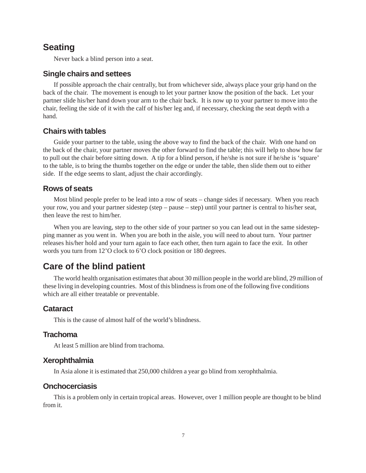# **Seating**

Never back a blind person into a seat.

#### **Single chairs and settees**

If possible approach the chair centrally, but from whichever side, always place your grip hand on the back of the chair. The movement is enough to let your partner know the position of the back. Let your partner slide his/her hand down your arm to the chair back. It is now up to your partner to move into the chair, feeling the side of it with the calf of his/her leg and, if necessary, checking the seat depth with a hand.

#### **Chairs with tables**

Guide your partner to the table, using the above way to find the back of the chair. With one hand on the back of the chair, your partner moves the other forward to find the table; this will help to show how far to pull out the chair before sitting down. A tip for a blind person, if he/she is not sure if he/she is 'square' to the table, is to bring the thumbs together on the edge or under the table, then slide them out to either side. If the edge seems to slant, adjust the chair accordingly.

#### **Rows of seats**

Most blind people prefer to be lead into a row of seats – change sides if necessary. When you reach your row, you and your partner sidestep (step – pause – step) until your partner is central to his/her seat, then leave the rest to him/her.

When you are leaving, step to the other side of your partner so you can lead out in the same sidestepping manner as you went in. When you are both in the aisle, you will need to about turn. Your partner releases his/her hold and your turn again to face each other, then turn again to face the exit. In other words you turn from 12'O clock to 6'O clock position or 180 degrees.

# **Care of the blind patient**

The world health organisation estimates that about 30 million people in the world are blind, 29 million of these living in developing countries. Most of this blindness is from one of the following five conditions which are all either treatable or preventable.

#### **Cataract**

This is the cause of almost half of the world's blindness.

#### **Trachoma**

At least 5 million are blind from trachoma.

#### **Xerophthalmia**

In Asia alone it is estimated that 250,000 children a year go blind from xerophthalmia.

#### **Onchocerciasis**

This is a problem only in certain tropical areas. However, over 1 million people are thought to be blind from it.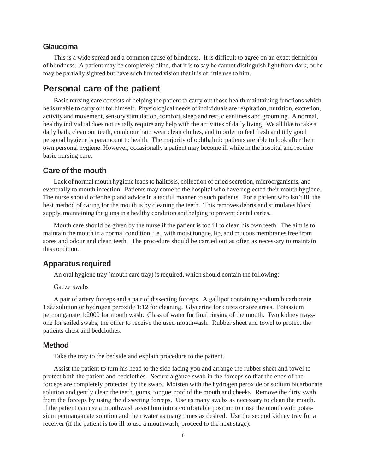#### **Glaucoma**

This is a wide spread and a common cause of blindness. It is difficult to agree on an exact definition of blindness. A patient may be completely blind, that it is to say he cannot distinguish light from dark, or he may be partially sighted but have such limited vision that it is of little use to him.

## **Personal care of the patient**

Basic nursing care consists of helping the patient to carry out those health maintaining functions which he is unable to carry out for himself. Physiological needs of individuals are respiration, nutrition, excretion, activity and movement, sensory stimulation, comfort, sleep and rest, cleanliness and grooming. A normal, healthy individual does not usually require any help with the activities of daily living. We all like to take a daily bath, clean our teeth, comb our hair, wear clean clothes, and in order to feel fresh and tidy good personal hygiene is paramount to health. The majority of ophthalmic patients are able to look after their own personal hygiene. However, occasionally a patient may become ill while in the hospital and require basic nursing care.

#### **Care of the mouth**

Lack of normal mouth hygiene leads to halitosis, collection of dried secretion, microorganisms, and eventually to mouth infection. Patients may come to the hospital who have neglected their mouth hygiene. The nurse should offer help and advice in a tactful manner to such patients. For a patient who isn't ill, the best method of caring for the mouth is by cleaning the teeth. This removes debris and stimulates blood supply, maintaining the gums in a healthy condition and helping to prevent dental caries.

Mouth care should be given by the nurse if the patient is too ill to clean his own teeth. The aim is to maintain the mouth in a normal condition, i.e., with moist tongue, lip, and mucous membranes free from sores and odour and clean teeth. The procedure should be carried out as often as necessary to maintain this condition.

### **Apparatus required**

An oral hygiene tray (mouth care tray) is required, which should contain the following:

Gauze swabs

A pair of artery forceps and a pair of dissecting forceps. A gallipot containing sodium bicarbonate 1:60 solution or hydrogen peroxide 1:12 for cleaning. Glycerine for crusts or sore areas. Potassium permanganate 1:2000 for mouth wash. Glass of water for final rinsing of the mouth. Two kidney traysone for soiled swabs, the other to receive the used mouthwash. Rubber sheet and towel to protect the patients chest and bedclothes.

#### **Method**

Take the tray to the bedside and explain procedure to the patient.

Assist the patient to turn his head to the side facing you and arrange the rubber sheet and towel to protect both the patient and bedclothes. Secure a gauze swab in the forceps so that the ends of the forceps are completely protected by the swab. Moisten with the hydrogen peroxide or sodium bicarbonate solution and gently clean the teeth, gums, tongue, roof of the mouth and cheeks. Remove the dirty swab from the forceps by using the dissecting forceps. Use as many swabs as necessary to clean the mouth. If the patient can use a mouthwash assist him into a comfortable position to rinse the mouth with potassium permanganate solution and then water as many times as desired. Use the second kidney tray for a receiver (if the patient is too ill to use a mouthwash, proceed to the next stage).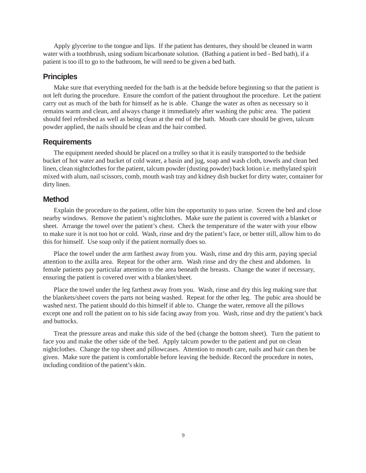Apply glycerine to the tongue and lips. If the patient has dentures, they should be cleaned in warm water with a toothbrush, using sodium bicarbonate solution. (Bathing a patient in bed - Bed bath), if a patient is too ill to go to the bathroom, he will need to be given a bed bath.

#### **Principles**

Make sure that everything needed for the bath is at the bedside before beginning so that the patient is not left during the procedure. Ensure the comfort of the patient throughout the procedure. Let the patient carry out as much of the bath for himself as he is able. Change the water as often as necessary so it remains warm and clean, and always change it immediately after washing the pubic area. The patient should feel refreshed as well as being clean at the end of the bath. Mouth care should be given, talcum powder applied, the nails should be clean and the hair combed.

#### **Requirements**

The equipment needed should be placed on a trolley so that it is easily transported to the bedside bucket of hot water and bucket of cold water, a basin and jug, soap and wash cloth, towels and clean bed linen, clean nightclothes for the patient, talcum powder (dusting powder) back lotion i.e. methylated spirit mixed with alum, nail scissors, comb, mouth wash tray and kidney dish bucket for dirty water, container for dirty linen.

#### **Method**

Explain the procedure to the patient, offer him the opportunity to pass urine. Screen the bed and close nearby windows. Remove the patient's nightclothes. Make sure the patient is covered with a blanket or sheet. Arrange the towel over the patient's chest. Check the temperature of the water with your elbow to make sure it is not too hot or cold. Wash, rinse and dry the patient's face, or better still, allow him to do this for himself. Use soap only if the patient normally does so.

Place the towel under the arm farthest away from you. Wash, rinse and dry this arm, paying special attention to the axilla area. Repeat for the other arm. Wash rinse and dry the chest and abdomen. In female patients pay particular attention to the area beneath the breasts. Change the water if necessary, ensuring the patient is covered over with a blanket/sheet.

Place the towel under the leg farthest away from you. Wash, rinse and dry this leg making sure that the blankets/sheet covers the parts not being washed. Repeat for the other leg. The pubic area should be washed next. The patient should do this himself if able to. Change the water, remove all the pillows except one and roll the patient on to his side facing away from you. Wash, rinse and dry the patient's back and buttocks.

Treat the pressure areas and make this side of the bed (change the bottom sheet). Turn the patient to face you and make the other side of the bed. Apply talcum powder to the patient and put on clean nightclothes. Change the top sheet and pillowcases. Attention to mouth care, nails and hair can then be given. Make sure the patient is comfortable before leaving the bedside. Record the procedure in notes, including condition of the patient's skin.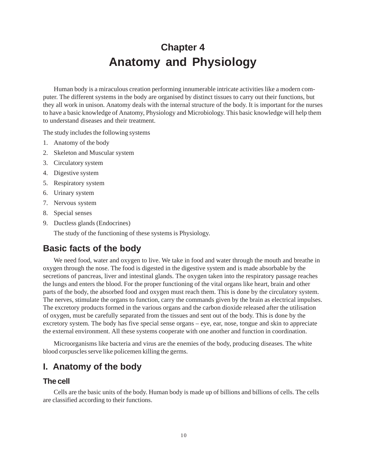# **Chapter 4 Anatomy and Physiology**

Human body is a miraculous creation performing innumerable intricate activities like a modern computer. The different systems in the body are organised by distinct tissues to carry out their functions, but they all work in unison. Anatomy deals with the internal structure of the body. It is important for the nurses to have a basic knowledge of Anatomy, Physiology and Microbiology. This basic knowledge will help them to understand diseases and their treatment.

The study includes the following systems

- 1. Anatomy of the body
- 2. Skeleton and Muscular system
- 3. Circulatory system
- 4. Digestive system
- 5. Respiratory system
- 6. Urinary system
- 7. Nervous system
- 8. Special senses
- 9. Ductless glands (Endocrines)

The study of the functioning of these systems is Physiology.

# **Basic facts of the body**

We need food, water and oxygen to live. We take in food and water through the mouth and breathe in oxygen through the nose. The food is digested in the digestive system and is made absorbable by the secretions of pancreas, liver and intestinal glands. The oxygen taken into the respiratory passage reaches the lungs and enters the blood. For the proper functioning of the vital organs like heart, brain and other parts of the body, the absorbed food and oxygen must reach them. This is done by the circulatory system. The nerves, stimulate the organs to function, carry the commands given by the brain as electrical impulses. The excretory products formed in the various organs and the carbon dioxide released after the utilisation of oxygen, must be carefully separated from the tissues and sent out of the body. This is done by the excretory system. The body has five special sense organs – eye, ear, nose, tongue and skin to appreciate the external environment. All these systems cooperate with one another and function in coordination.

Microorganisms like bacteria and virus are the enemies of the body, producing diseases. The white blood corpuscles serve like policemen killing the germs.

# **I. Anatomy of the body**

### **The cell**

Cells are the basic units of the body. Human body is made up of billions and billions of cells. The cells are classified according to their functions.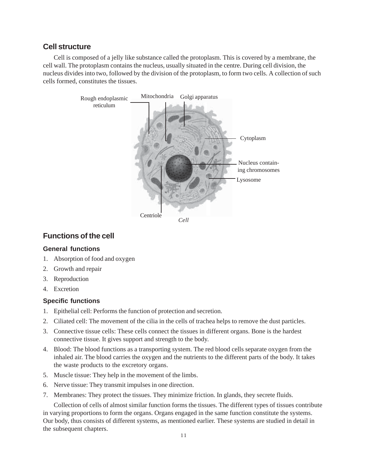## **Cell structure**

Cell is composed of a jelly like substance called the protoplasm. This is covered by a membrane, the cell wall. The protoplasm contains the nucleus, usually situated in the centre. During cell division, the nucleus divides into two, followed by the division of the protoplasm, to form two cells. A collection of such cells formed, constitutes the tissues.



## **Functions of the cell**

#### **General functions**

- 1. Absorption of food and oxygen
- 2. Growth and repair
- 3. Reproduction
- 4. Excretion

### **Specific functions**

- 1. Epithelial cell: Performs the function of protection and secretion.
- 2. Ciliated cell: The movement of the cilia in the cells of trachea helps to remove the dust particles.
- 3. Connective tissue cells: These cells connect the tissues in different organs. Bone is the hardest connective tissue. It gives support and strength to the body.
- 4. Blood: The blood functions as a transporting system. The red blood cells separate oxygen from the inhaled air. The blood carries the oxygen and the nutrients to the different parts of the body. It takes the waste products to the excretory organs.
- 5. Muscle tissue: They help in the movement of the limbs.
- 6. Nerve tissue: They transmit impulses in one direction.
- 7. Membranes: They protect the tissues. They minimize friction. In glands, they secrete fluids.

Collection of cells of almost similar function forms the tissues. The different types of tissues contribute in varying proportions to form the organs. Organs engaged in the same function constitute the systems. Our body, thus consists of different systems, as mentioned earlier. These systems are studied in detail in the subsequent chapters.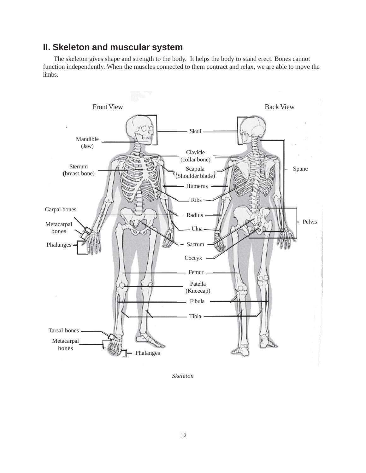# **II. Skeleton and muscular system**

The skeleton gives shape and strength to the body. It helps the body to stand erect. Bones cannot function independently. When the muscles connected to them contract and relax, we are able to move the limbs.



*Skeleton*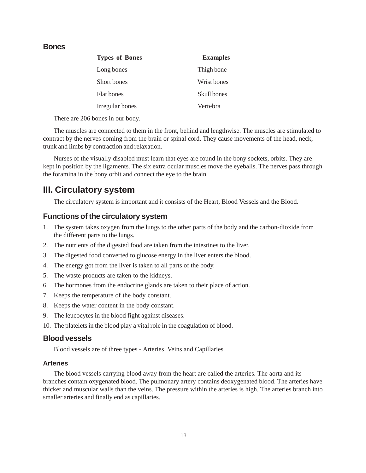### **Bones**

| <b>Types of Bones</b> | <b>Examples</b> |
|-----------------------|-----------------|
| Long bones            | Thigh bone      |
| Short bones           | Wrist bones     |
| <b>Flat bones</b>     | Skull bones     |
| Irregular bones       | Vertebra        |

There are 206 bones in our body.

The muscles are connected to them in the front, behind and lengthwise. The muscles are stimulated to contract by the nerves coming from the brain or spinal cord. They cause movements of the head, neck, trunk and limbs by contraction and relaxation.

Nurses of the visually disabled must learn that eyes are found in the bony sockets, orbits. They are kept in position by the ligaments. The six extra ocular muscles move the eyeballs. The nerves pass through the foramina in the bony orbit and connect the eye to the brain.

# **III. Circulatory system**

The circulatory system is important and it consists of the Heart, Blood Vessels and the Blood.

### **Functions of the circulatory system**

- 1. The system takes oxygen from the lungs to the other parts of the body and the carbon-dioxide from the different parts to the lungs.
- 2. The nutrients of the digested food are taken from the intestines to the liver.
- 3. The digested food converted to glucose energy in the liver enters the blood.
- 4. The energy got from the liver is taken to all parts of the body.
- 5. The waste products are taken to the kidneys.
- 6. The hormones from the endocrine glands are taken to their place of action.
- 7. Keeps the temperature of the body constant.
- 8. Keeps the water content in the body constant.
- 9. The leucocytes in the blood fight against diseases.
- 10. The platelets in the blood play a vital role in the coagulation of blood.

#### **Blood vessels**

Blood vessels are of three types - Arteries, Veins and Capillaries.

#### **Arteries**

The blood vessels carrying blood away from the heart are called the arteries. The aorta and its branches contain oxygenated blood. The pulmonary artery contains deoxygenated blood. The arteries have thicker and muscular walls than the veins. The pressure within the arteries is high. The arteries branch into smaller arteries and finally end as capillaries.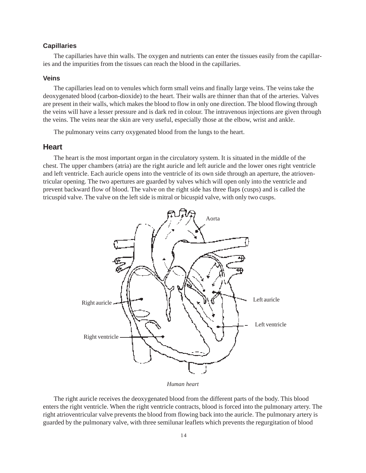#### **Capillaries**

The capillaries have thin walls. The oxygen and nutrients can enter the tissues easily from the capillaries and the impurities from the tissues can reach the blood in the capillaries.

#### **Veins**

The capillaries lead on to venules which form small veins and finally large veins. The veins take the deoxygenated blood (carbon-dioxide) to the heart. Their walls are thinner than that of the arteries. Valves are present in their walls, which makes the blood to flow in only one direction. The blood flowing through the veins will have a lesser pressure and is dark red in colour. The intravenous injections are given through the veins. The veins near the skin are very useful, especially those at the elbow, wrist and ankle.

The pulmonary veins carry oxygenated blood from the lungs to the heart.

#### **Heart**

The heart is the most important organ in the circulatory system. It is situated in the middle of the chest. The upper chambers (atria) are the right auricle and left auricle and the lower ones right ventricle and left ventricle. Each auricle opens into the ventricle of its own side through an aperture, the atrioventricular opening. The two apertures are guarded by valves which will open only into the ventricle and prevent backward flow of blood. The valve on the right side has three flaps (cusps) and is called the tricuspid valve. The valve on the left side is mitral or bicuspid valve, with only two cusps.



*Human heart*

The right auricle receives the deoxygenated blood from the different parts of the body. This blood enters the right ventricle. When the right ventricle contracts, blood is forced into the pulmonary artery. The right atrioventricular valve prevents the blood from flowing back into the auricle. The pulmonary artery is guarded by the pulmonary valve, with three semilunar leaflets which prevents the regurgitation of blood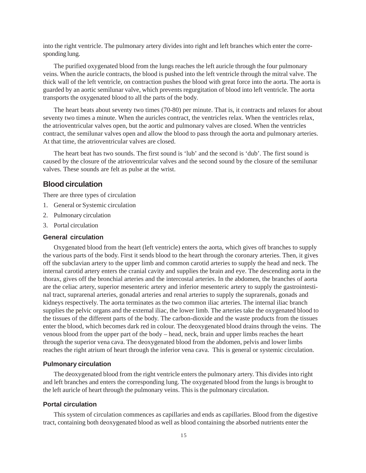into the right ventricle. The pulmonary artery divides into right and left branches which enter the corresponding lung.

The purified oxygenated blood from the lungs reaches the left auricle through the four pulmonary veins. When the auricle contracts, the blood is pushed into the left ventricle through the mitral valve. The thick wall of the left ventricle, on contraction pushes the blood with great force into the aorta. The aorta is guarded by an aortic semilunar valve, which prevents regurgitation of blood into left ventricle. The aorta transports the oxygenated blood to all the parts of the body.

The heart beats about seventy two times (70-80) per minute. That is, it contracts and relaxes for about seventy two times a minute. When the auricles contract, the ventricles relax. When the ventricles relax, the atrioventricular valves open, but the aortic and pulmonary valves are closed. When the ventricles contract, the semilunar valves open and allow the blood to pass through the aorta and pulmonary arteries. At that time, the atrioventricular valves are closed.

The heart beat has two sounds. The first sound is 'lub' and the second is 'dub'. The first sound is caused by the closure of the atrioventricular valves and the second sound by the closure of the semilunar valves. These sounds are felt as pulse at the wrist.

### **Blood circulation**

There are three types of circulation

- 1. General or Systemic circulation
- 2. Pulmonary circulation
- 3. Portal circulation

#### **General circulation**

Oxygenated blood from the heart (left ventricle) enters the aorta, which gives off branches to supply the various parts of the body. First it sends blood to the heart through the coronary arteries. Then, it gives off the subclavian artery to the upper limb and common carotid arteries to supply the head and neck. The internal carotid artery enters the cranial cavity and supplies the brain and eye. The descending aorta in the thorax, gives off the bronchial arteries and the intercostal arteries. In the abdomen, the branches of aorta are the celiac artery, superior mesenteric artery and inferior mesenteric artery to supply the gastrointestinal tract, suprarenal arteries, gonadal arteries and renal arteries to supply the suprarenals, gonads and kidneys respectively. The aorta terminates as the two common iliac arteries. The internal iliac branch supplies the pelvic organs and the external iliac, the lower limb. The arteries take the oxygenated blood to the tissues of the different parts of the body. The carbon-dioxide and the waste products from the tissues enter the blood, which becomes dark red in colour. The deoxygenated blood drains through the veins. The venous blood from the upper part of the body – head, neck, brain and upper limbs reaches the heart through the superior vena cava. The deoxygenated blood from the abdomen, pelvis and lower limbs reaches the right atrium of heart through the inferior vena cava. This is general or systemic circulation.

#### **Pulmonary circulation**

The deoxygenated blood from the right ventricle enters the pulmonary artery. This divides into right and left branches and enters the corresponding lung. The oxygenated blood from the lungs is brought to the left auricle of heart through the pulmonary veins. This is the pulmonary circulation.

#### **Portal circulation**

This system of circulation commences as capillaries and ends as capillaries. Blood from the digestive tract, containing both deoxygenated blood as well as blood containing the absorbed nutrients enter the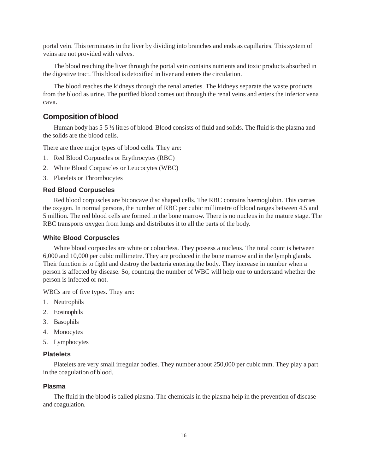portal vein. This terminates in the liver by dividing into branches and ends as capillaries. This system of veins are not provided with valves.

The blood reaching the liver through the portal vein contains nutrients and toxic products absorbed in the digestive tract. This blood is detoxified in liver and enters the circulation.

The blood reaches the kidneys through the renal arteries. The kidneys separate the waste products from the blood as urine. The purified blood comes out through the renal veins and enters the inferior vena cava.

#### **Composition of blood**

Human body has 5-5 ½ litres of blood. Blood consists of fluid and solids. The fluid is the plasma and the solids are the blood cells.

There are three major types of blood cells. They are:

- 1. Red Blood Corpuscles or Erythrocytes (RBC)
- 2. White Blood Corpuscles or Leucocytes (WBC)
- 3. Platelets or Thrombocytes

#### **Red Blood Corpuscles**

Red blood corpuscles are biconcave disc shaped cells. The RBC contains haemoglobin. This carries the oxygen. In normal persons, the number of RBC per cubic millimetre of blood ranges between 4.5 and 5 million. The red blood cells are formed in the bone marrow. There is no nucleus in the mature stage. The RBC transports oxygen from lungs and distributes it to all the parts of the body.

#### **White Blood Corpuscles**

White blood corpuscles are white or colourless. They possess a nucleus. The total count is between 6,000 and 10,000 per cubic millimetre. They are produced in the bone marrow and in the lymph glands. Their function is to fight and destroy the bacteria entering the body. They increase in number when a person is affected by disease. So, counting the number of WBC will help one to understand whether the person is infected or not.

WBCs are of five types. They are:

- 1. Neutrophils
- 2. Eosinophils
- 3. Basophils
- 4. Monocytes
- 5. Lymphocytes

#### **Platelets**

Platelets are very small irregular bodies. They number about 250,000 per cubic mm. They play a part in the coagulation of blood.

#### **Plasma**

The fluid in the blood is called plasma. The chemicals in the plasma help in the prevention of disease and coagulation.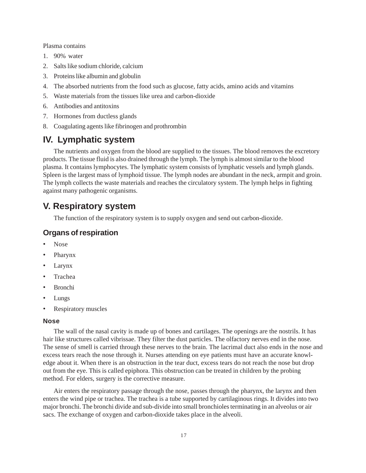Plasma contains

- 1. 90% water
- 2. Salts like sodium chloride, calcium
- 3. Proteins like albumin and globulin
- 4. The absorbed nutrients from the food such as glucose, fatty acids, amino acids and vitamins
- 5. Waste materials from the tissues like urea and carbon-dioxide
- 6. Antibodies and antitoxins
- 7. Hormones from ductless glands
- 8. Coagulating agents like fibrinogen and prothrombin

# **IV. Lymphatic system**

The nutrients and oxygen from the blood are supplied to the tissues. The blood removes the excretory products. The tissue fluid is also drained through the lymph. The lymph is almost similar to the blood plasma. It contains lymphocytes. The lymphatic system consists of lymphatic vessels and lymph glands. Spleen is the largest mass of lymphoid tissue. The lymph nodes are abundant in the neck, armpit and groin. The lymph collects the waste materials and reaches the circulatory system. The lymph helps in fighting against many pathogenic organisms.

# **V. Respiratory system**

The function of the respiratory system is to supply oxygen and send out carbon-dioxide.

## **Organs of respiration**

- Nose
- Pharynx
- Larynx
- Trachea
- Bronchi
- Lungs
- Respiratory muscles

#### **Nose**

The wall of the nasal cavity is made up of bones and cartilages. The openings are the nostrils. It has hair like structures called vibrissae. They filter the dust particles. The olfactory nerves end in the nose. The sense of smell is carried through these nerves to the brain. The lacrimal duct also ends in the nose and excess tears reach the nose through it. Nurses attending on eye patients must have an accurate knowledge about it. When there is an obstruction in the tear duct, excess tears do not reach the nose but drop out from the eye. This is called epiphora. This obstruction can be treated in children by the probing method. For elders, surgery is the corrective measure.

Air enters the respiratory passage through the nose, passes through the pharynx, the larynx and then enters the wind pipe or trachea. The trachea is a tube supported by cartilaginous rings. It divides into two major bronchi. The bronchi divide and sub-divide into small bronchioles terminating in an alveolus or air sacs. The exchange of oxygen and carbon-dioxide takes place in the alveoli.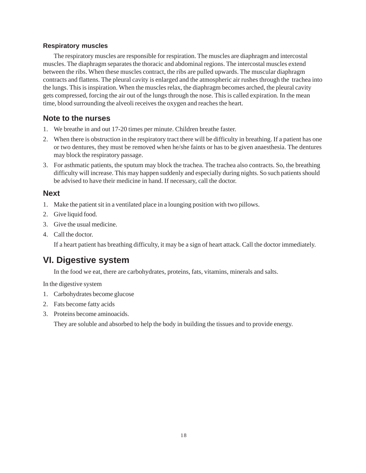#### **Respiratory muscles**

The respiratory muscles are responsible for respiration. The muscles are diaphragm and intercostal muscles. The diaphragm separates the thoracic and abdominal regions. The intercostal muscles extend between the ribs. When these muscles contract, the ribs are pulled upwards. The muscular diaphragm contracts and flattens. The pleural cavity is enlarged and the atmospheric air rushes through the trachea into the lungs. This is inspiration. When the muscles relax, the diaphragm becomes arched, the pleural cavity gets compressed, forcing the air out of the lungs through the nose. This is called expiration. In the mean time, blood surrounding the alveoli receives the oxygen and reaches the heart.

## **Note to the nurses**

- 1. We breathe in and out 17-20 times per minute. Children breathe faster.
- 2. When there is obstruction in the respiratory tract there will be difficulty in breathing. If a patient has one or two dentures, they must be removed when he/she faints or has to be given anaesthesia. The dentures may block the respiratory passage.
- 3. For asthmatic patients, the sputum may block the trachea. The trachea also contracts. So, the breathing difficulty will increase. This may happen suddenly and especially during nights. So such patients should be advised to have their medicine in hand. If necessary, call the doctor.

## **Next**

- 1. Make the patient sit in a ventilated place in a lounging position with two pillows.
- 2. Give liquid food.
- 3. Give the usual medicine.
- 4. Call the doctor.

If a heart patient has breathing difficulty, it may be a sign of heart attack. Call the doctor immediately.

# **VI. Digestive system**

In the food we eat, there are carbohydrates, proteins, fats, vitamins, minerals and salts.

In the digestive system

- 1. Carbohydrates become glucose
- 2. Fats become fatty acids
- 3. Proteins become aminoacids.

They are soluble and absorbed to help the body in building the tissues and to provide energy.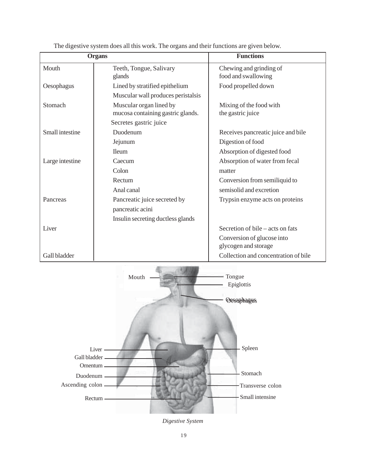|                 | <b>Organs</b>                                                | <b>Functions</b>                                   |
|-----------------|--------------------------------------------------------------|----------------------------------------------------|
| Mouth           | Teeth, Tongue, Salivary<br>glands                            | Chewing and grinding of<br>food and swallowing     |
| Oesophagus      | Lined by stratified epithelium                               | Food propelled down                                |
|                 | Muscular wall produces peristalsis                           |                                                    |
| Stomach         | Muscular organ lined by<br>mucosa containing gastric glands. | Mixing of the food with<br>the gastric juice       |
|                 | Secretes gastric juice                                       |                                                    |
| Small intestine | Duodenum                                                     | Receives pancreatic juice and bile                 |
|                 | Jejunum                                                      | Digestion of food                                  |
|                 | <b>Ileum</b>                                                 | Absorption of digested food                        |
| Large intestine | Caecum                                                       | Absorption of water from fecal                     |
|                 | Colon                                                        | matter                                             |
|                 | Rectum                                                       | Conversion from semiliquid to                      |
|                 | Anal canal                                                   | semisolid and excretion                            |
| Pancreas        | Pancreatic juice secreted by                                 | Trypsin enzyme acts on proteins                    |
|                 | pancreatic acini                                             |                                                    |
|                 | Insulin secreting ductless glands                            |                                                    |
| Liver           |                                                              | Secretion of bile – acts on fats                   |
|                 |                                                              | Conversion of glucose into<br>glycogen and storage |
| Gall bladder    |                                                              | Collection and concentration of bile               |

The digestive system does all this work. The organs and their functions are given below.



*Digestive System*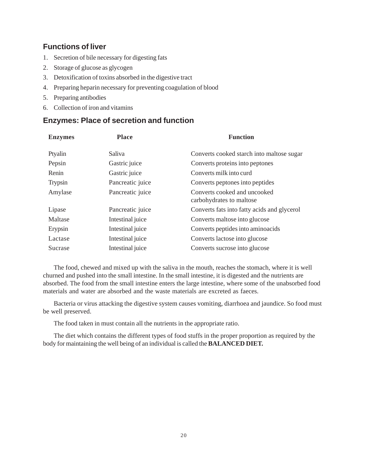# **Functions of liver**

- 1. Secretion of bile necessary for digesting fats
- 2. Storage of glucose as glycogen
- 3. Detoxification of toxins absorbed in the digestive tract
- 4. Preparing heparin necessary for preventing coagulation of blood
- 5. Preparing antibodies
- 6. Collection of iron and vitamins

### **Enzymes: Place of secretion and function**

| <b>Enzymes</b> | <b>Place</b>     | <b>Function</b>                                          |
|----------------|------------------|----------------------------------------------------------|
| Ptyalin        | Saliva           | Converts cooked starch into maltose sugar                |
| Pepsin         | Gastric juice    | Converts proteins into peptones                          |
| Renin          | Gastric juice    | Converts milk into curd                                  |
| <b>Trypsin</b> | Pancreatic juice | Converts peptones into peptides                          |
| Amylase        | Pancreatic juice | Converts cooked and uncooked<br>carbohydrates to maltose |
| Lipase         | Pancreatic juice | Converts fats into fatty acids and glycerol              |
| Maltase        | Intestinal juice | Converts maltose into glucose                            |
| Erypsin        | Intestinal juice | Converts peptides into aminoacids                        |
| Lactase        | Intestinal juice | Converts lactose into glucose                            |
| Sucrase        | Intestinal juice | Converts sucrose into glucose                            |

The food, chewed and mixed up with the saliva in the mouth, reaches the stomach, where it is well churned and pushed into the small intestine. In the small intestine, it is digested and the nutrients are absorbed. The food from the small intestine enters the large intestine, where some of the unabsorbed food materials and water are absorbed and the waste materials are excreted as faeces.

Bacteria or virus attacking the digestive system causes vomiting, diarrhoea and jaundice. So food must be well preserved.

The food taken in must contain all the nutrients in the appropriate ratio.

The diet which contains the different types of food stuffs in the proper proportion as required by the body for maintaining the well being of an individual is called the **BALANCED DIET.**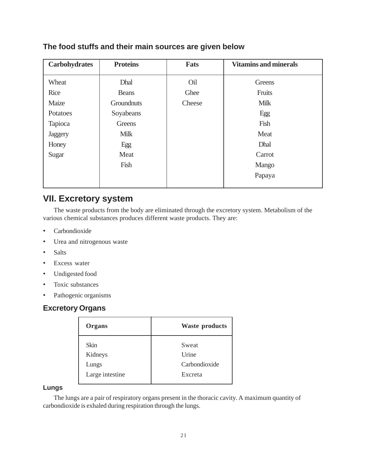| <b>Carbohydrates</b> | <b>Proteins</b> | <b>Fats</b> | <b>Vitamins and minerals</b> |
|----------------------|-----------------|-------------|------------------------------|
| Wheat                | Dhal            | Oil         | Greens                       |
| Rice                 | <b>Beans</b>    | Ghee        | Fruits                       |
| Maize                | Groundnuts      | Cheese      | <b>Milk</b>                  |
| Potatoes             | Soyabeans       |             | Egg                          |
| Tapioca              | Greens          |             | Fish                         |
| Jaggery              | <b>Milk</b>     |             | Meat                         |
| Honey                | Egg             |             | Dhal                         |
| Sugar                | Meat            |             | Carrot                       |
|                      | Fish            |             | Mango                        |
|                      |                 |             | Papaya                       |
|                      |                 |             |                              |

## **The food stuffs and their main sources are given below**

# **VII. Excretory system**

The waste products from the body are eliminated through the excretory system. Metabolism of the various chemical substances produces different waste products. They are:

- Carbondioxide
- Urea and nitrogenous waste
- Salts
- Excess water
- Undigested food
- Toxic substances
- Pathogenic organisms

# **Excretory Organs**

| Organs          | <b>Waste products</b> |
|-----------------|-----------------------|
| <b>Skin</b>     | Sweat                 |
| Kidneys         | Urine                 |
| Lungs           | Carbondioxide         |
| Large intestine | Excreta               |

#### **Lungs**

The lungs are a pair of respiratory organs present in the thoracic cavity. A maximum quantity of carbondioxide is exhaled during respiration through the lungs.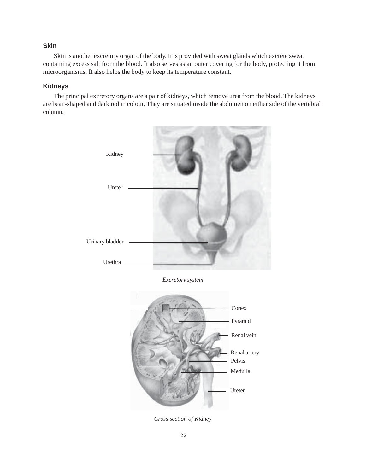#### **Skin**

Skin is another excretory organ of the body. It is provided with sweat glands which excrete sweat containing excess salt from the blood. It also serves as an outer covering for the body, protecting it from microorganisms. It also helps the body to keep its temperature constant.

#### **Kidneys**

The principal excretory organs are a pair of kidneys, which remove urea from the blood. The kidneys are bean-shaped and dark red in colour. They are situated inside the abdomen on either side of the vertebral column.



*Excretory system*



*Cross section of Kidney*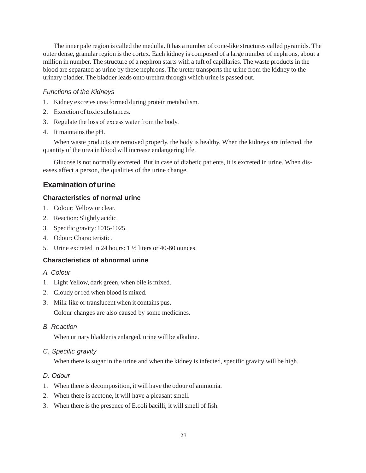The inner pale region is called the medulla. It has a number of cone-like structures called pyramids. The outer dense, granular region is the cortex. Each kidney is composed of a large number of nephrons, about a million in number. The structure of a nephron starts with a tuft of capillaries. The waste products in the blood are separated as urine by these nephrons. The ureter transports the urine from the kidney to the urinary bladder. The bladder leads onto urethra through which urine is passed out.

#### *Functions of the Kidneys*

- 1. Kidney excretes urea formed during protein metabolism.
- 2. Excretion of toxic substances.
- 3. Regulate the loss of excess water from the body.
- 4. It maintains the pH.

When waste products are removed properly, the body is healthy. When the kidneys are infected, the quantity of the urea in blood will increase endangering life.

Glucose is not normally excreted. But in case of diabetic patients, it is excreted in urine. When diseases affect a person, the qualities of the urine change.

# **Examination of urine**

#### **Characteristics of normal urine**

- 1. Colour: Yellow or clear.
- 2. Reaction: Slightly acidic.
- 3. Specific gravity: 1015-1025.
- 4. Odour: Characteristic.
- 5. Urine excreted in 24 hours: 1 ½ liters or 40-60 ounces.

### **Characteristics of abnormal urine**

- *A. Colour*
- 1. Light Yellow, dark green, when bile is mixed.
- 2. Cloudy or red when blood is mixed.
- 3. Milk-like or translucent when it contains pus.

Colour changes are also caused by some medicines.

*B. Reaction*

When urinary bladder is enlarged, urine will be alkaline.

*C. Specific gravity*

When there is sugar in the urine and when the kidney is infected, specific gravity will be high.

#### *D. Odour*

- 1. When there is decomposition, it will have the odour of ammonia.
- 2. When there is acetone, it will have a pleasant smell.
- 3. When there is the presence of E.coli bacilli, it will smell of fish.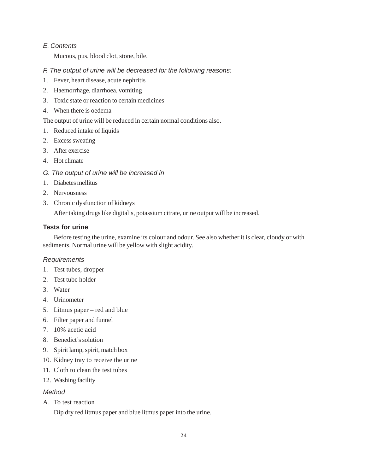### *E. Contents*

Mucous, pus, blood clot, stone, bile.

### *F. The output of urine will be decreased for the following reasons:*

- 1. Fever, heart disease, acute nephritis
- 2. Haemorrhage, diarrhoea, vomiting
- 3. Toxic state or reaction to certain medicines
- 4. When there is oedema

The output of urine will be reduced in certain normal conditions also.

- 1. Reduced intake of liquids
- 2. Excess sweating
- 3. After exercise
- 4. Hot climate
- *G. The output of urine will be increased in*
- 1. Diabetes mellitus
- 2. Nervousness
- 3. Chronic dysfunction of kidneys

After taking drugs like digitalis, potassium citrate, urine output will be increased.

#### **Tests for urine**

Before testing the urine, examine its colour and odour. See also whether it is clear, cloudy or with sediments. Normal urine will be yellow with slight acidity.

#### *Requirements*

- 1. Test tubes, dropper
- 2. Test tube holder
- 3. Water
- 4. Urinometer
- 5. Litmus paper red and blue
- 6. Filter paper and funnel
- 7. 10% acetic acid
- 8. Benedict's solution
- 9. Spirit lamp, spirit, match box
- 10. Kidney tray to receive the urine
- 11. Cloth to clean the test tubes
- 12. Washing facility

#### *Method*

A. To test reaction

Dip dry red litmus paper and blue litmus paper into the urine.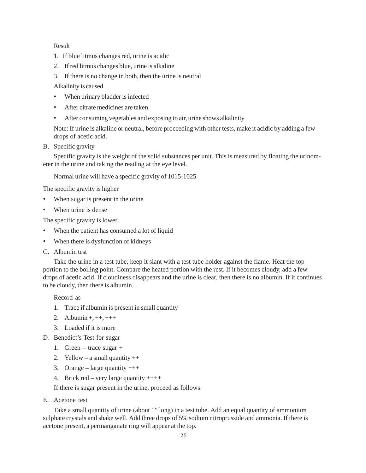#### Result

- 1. If blue litmus changes red, urine is acidic
- 2. If red litmus changes blue, urine is alkaline
- 3. If there is no change in both, then the urine is neutral

Alkalinity is caused

- When urinary bladder is infected
- After citrate medicines are taken
- After consuming vegetables and exposing to air, urine shows alkalinity

Note: If urine is alkaline or neutral, before proceeding with other tests, make it acidic by adding a few drops of acetic acid.

B. Specific gravity

Specific gravity is the weight of the solid substances per unit. This is measured by floating the urinometer in the urine and taking the reading at the eye level.

Normal urine will have a specific gravity of 1015-1025

The specific gravity is higher

- When sugar is present in the urine
- When urine is dense

The specific gravity is lower

- When the patient has consumed a lot of liquid
- When there is dysfunction of kidneys
- C. Albumin test

Take the urine in a test tube, keep it slant with a test tube holder against the flame. Heat the top portion to the boiling point. Compare the heated portion with the rest. If it becomes cloudy, add a few drops of acetic acid. If cloudiness disappears and the urine is clear, then there is no albumin. If it continues to be cloudy, then there is albumin.

Record as

- 1. Trace if albumin is present in small quantity
- 2. Albumin +, ++, +++
- 3. Loaded if it is more
- D. Benedict's Test for sugar
	- 1. Green trace sugar +
	- 2. Yellow a small quantity  $++$
	- 3. Orange large quantity  $+++$
	- 4. Brick red very large quantity  $++++$

If there is sugar present in the urine, proceed as follows.

E. Acetone test

Take a small quantity of urine (about 1" long) in a test tube. Add an equal quantity of ammonium sulphate crystals and shake well. Add three drops of 5% sodium nitroprusside and ammonia. If there is acetone present, a permanganate ring will appear at the top.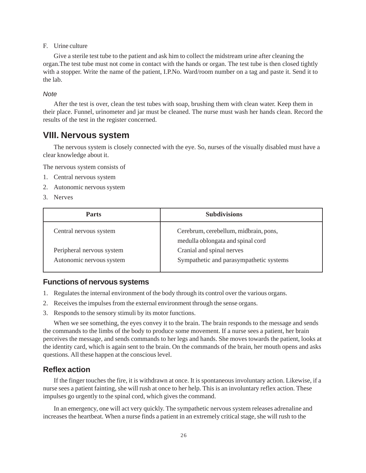#### F. Urine culture

Give a sterile test tube to the patient and ask him to collect the midstream urine after cleaning the organ.The test tube must not come in contact with the hands or organ. The test tube is then closed tightly with a stopper. Write the name of the patient, I.P.No. Ward/room number on a tag and paste it. Send it to the lab.

#### *Note*

After the test is over, clean the test tubes with soap, brushing them with clean water. Keep them in their place. Funnel, urinometer and jar must be cleaned. The nurse must wash her hands clean. Record the results of the test in the register concerned.

### **VIII. Nervous system**

The nervous system is closely connected with the eye. So, nurses of the visually disabled must have a clear knowledge about it.

The nervous system consists of

- 1. Central nervous system
- 2. Autonomic nervous system
- 3. Nerves

| <b>Parts</b>                                          | <b>Subdivisions</b>                                                        |
|-------------------------------------------------------|----------------------------------------------------------------------------|
| Central nervous system                                | Cerebrum, cerebellum, midbrain, pons,<br>medulla oblongata and spinal cord |
| Peripheral nervous system<br>Autonomic nervous system | Cranial and spinal nerves<br>Sympathetic and parasympathetic systems       |

#### **Functions of nervous systems**

- 1. Regulates the internal environment of the body through its control over the various organs.
- 2. Receives the impulses from the external environment through the sense organs.
- 3. Responds to the sensory stimuli by its motor functions.

When we see something, the eyes convey it to the brain. The brain responds to the message and sends the commands to the limbs of the body to produce some movement. If a nurse sees a patient, her brain perceives the message, and sends commands to her legs and hands. She moves towards the patient, looks at the identity card, which is again sent to the brain. On the commands of the brain, her mouth opens and asks questions. All these happen at the conscious level.

### **Reflex action**

If the finger touches the fire, it is withdrawn at once. It is spontaneous involuntary action. Likewise, if a nurse sees a patient fainting, she will rush at once to her help. This is an involuntary reflex action. These impulses go urgently to the spinal cord, which gives the command.

In an emergency, one will act very quickly. The sympathetic nervous system releases adrenaline and increases the heartbeat. When a nurse finds a patient in an extremely critical stage, she will rush to the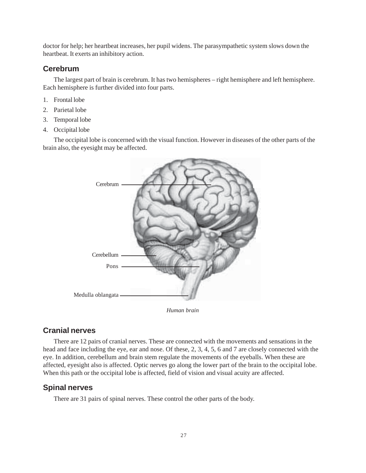doctor for help; her heartbeat increases, her pupil widens. The parasympathetic system slows down the heartbeat. It exerts an inhibitory action.

### **Cerebrum**

The largest part of brain is cerebrum. It has two hemispheres – right hemisphere and left hemisphere. Each hemisphere is further divided into four parts.

- 1. Frontal lobe
- 2. Parietal lobe
- 3. Temporal lobe
- 4. Occipital lobe

The occipital lobe is concerned with the visual function. However in diseases of the other parts of the brain also, the eyesight may be affected.



*Human brain*

### **Cranial nerves**

There are 12 pairs of cranial nerves. These are connected with the movements and sensations in the head and face including the eye, ear and nose. Of these, 2, 3, 4, 5, 6 and 7 are closely connected with the eye. In addition, cerebellum and brain stem regulate the movements of the eyeballs. When these are affected, eyesight also is affected. Optic nerves go along the lower part of the brain to the occipital lobe. When this path or the occipital lobe is affected, field of vision and visual acuity are affected.

### **Spinal nerves**

There are 31 pairs of spinal nerves. These control the other parts of the body.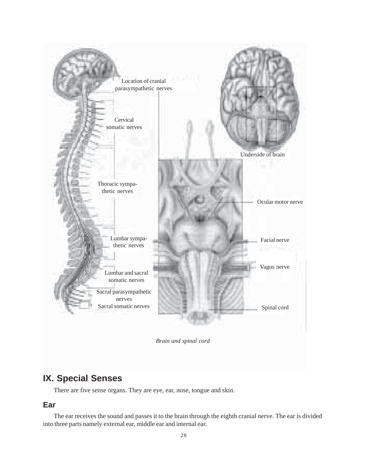

# **IX. Special Senses**

There are five sense organs. They are eye, ear, nose, tongue and skin.

## **Ear**

The ear receives the sound and passes it to the brain through the eighth cranial nerve. The ear is divided into three parts namely external ear, middle ear and internal ear.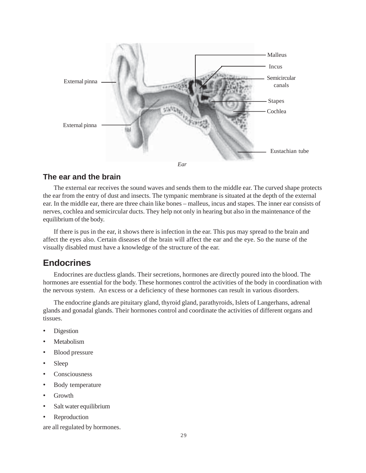

### **The ear and the brain**

The external ear receives the sound waves and sends them to the middle ear. The curved shape protects the ear from the entry of dust and insects. The tympanic membrane is situated at the depth of the external ear. In the middle ear, there are three chain like bones – malleus, incus and stapes. The inner ear consists of nerves, cochlea and semicircular ducts. They help not only in hearing but also in the maintenance of the equilibrium of the body.

If there is pus in the ear, it shows there is infection in the ear. This pus may spread to the brain and affect the eyes also. Certain diseases of the brain will affect the ear and the eye. So the nurse of the visually disabled must have a knowledge of the structure of the ear.

# **Endocrines**

Endocrines are ductless glands. Their secretions, hormones are directly poured into the blood. The hormones are essential for the body. These hormones control the activities of the body in coordination with the nervous system. An excess or a deficiency of these hormones can result in various disorders.

The endocrine glands are pituitary gland, thyroid gland, parathyroids, Islets of Langerhans, adrenal glands and gonadal glands. Their hormones control and coordinate the activities of different organs and tissues.

- **Digestion**
- **Metabolism**
- Blood pressure
- Sleep
- **Consciousness**
- Body temperature
- Growth
- Salt water equilibrium
- **Reproduction**

are all regulated by hormones.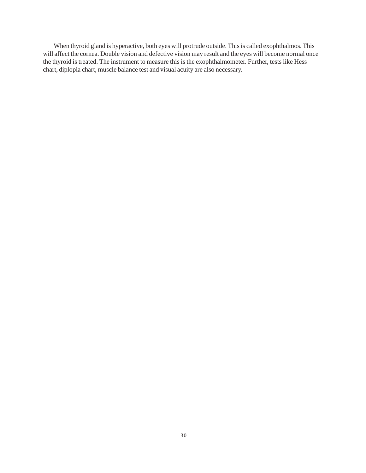When thyroid gland is hyperactive, both eyes will protrude outside. This is called exophthalmos. This will affect the cornea. Double vision and defective vision may result and the eyes will become normal once the thyroid is treated. The instrument to measure this is the exophthalmometer. Further, tests like Hess chart, diplopia chart, muscle balance test and visual acuity are also necessary.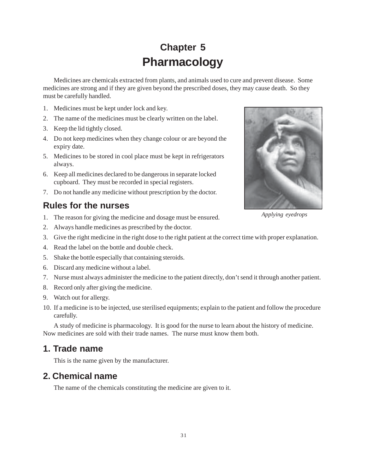# **Chapter 5 Pharmacology**

Medicines are chemicals extracted from plants, and animals used to cure and prevent disease. Some medicines are strong and if they are given beyond the prescribed doses, they may cause death. So they must be carefully handled.

- 1. Medicines must be kept under lock and key.
- 2. The name of the medicines must be clearly written on the label.
- 3. Keep the lid tightly closed.
- 4. Do not keep medicines when they change colour or are beyond the expiry date.
- 5. Medicines to be stored in cool place must be kept in refrigerators always.
- 6. Keep all medicines declared to be dangerous in separate locked cupboard. They must be recorded in special registers.
- 7. Do not handle any medicine without prescription by the doctor.

# **Rules for the nurses**

- 1. The reason for giving the medicine and dosage must be ensured.
- 2. Always handle medicines as prescribed by the doctor.
- 3. Give the right medicine in the right dose to the right patient at the correct time with proper explanation.
- 4. Read the label on the bottle and double check.
- 5. Shake the bottle especially that containing steroids.
- 6. Discard any medicine without a label.
- 7. Nurse must always administer the medicine to the patient directly, don't send it through another patient.
- 8. Record only after giving the medicine.
- 9. Watch out for allergy.
- 10. If a medicine is to be injected, use sterilised equipments; explain to the patient and follow the procedure carefully.

A study of medicine is pharmacology. It is good for the nurse to learn about the history of medicine. Now medicines are sold with their trade names. The nurse must know them both.

# **1. Trade name**

This is the name given by the manufacturer.

# **2. Chemical name**

The name of the chemicals constituting the medicine are given to it.



*Applying eyedrops*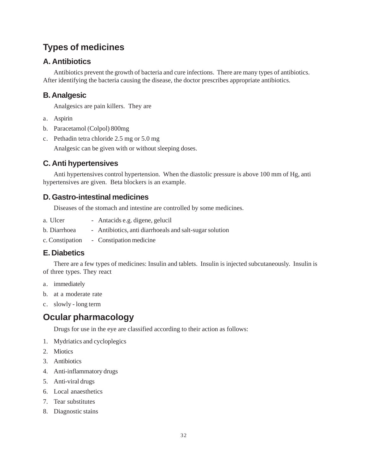# **Types of medicines**

# **A. Antibiotics**

Antibiotics prevent the growth of bacteria and cure infections. There are many types of antibiotics. After identifying the bacteria causing the disease, the doctor prescribes appropriate antibiotics.

# **B. Analgesic**

Analgesics are pain killers. They are

- a. Aspirin
- b. Paracetamol (Colpol) 800mg
- c. Pethadin tetra chloride 2.5 mg or 5.0 mg

Analgesic can be given with or without sleeping doses.

# **C. Anti hypertensives**

Anti hypertensives control hypertension. When the diastolic pressure is above 100 mm of Hg, anti hypertensives are given. Beta blockers is an example.

# **D. Gastro-intestinal medicines**

Diseases of the stomach and intestine are controlled by some medicines.

- a. Ulcer Antacids e.g. digene, gelucil
- b. Diarrhoea Antibiotics, anti diarrhoeals and salt-sugar solution
- c. Constipation Constipation medicine

## **E. Diabetics**

There are a few types of medicines: Insulin and tablets. Insulin is injected subcutaneously. Insulin is of three types. They react

- a. immediately
- b. at a moderate rate
- c. slowly long term

# **Ocular pharmacology**

Drugs for use in the eye are classified according to their action as follows:

- 1. Mydriatics and cycloplegics
- 2. Miotics
- 3. Antibiotics
- 4. Anti-inflammatory drugs
- 5. Anti-viral drugs
- 6. Local anaesthetics
- 7. Tear substitutes
- 8. Diagnostic stains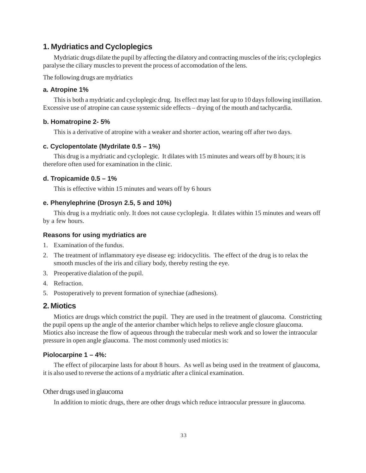### **1. Mydriatics and Cycloplegics**

Mydriatic drugs dilate the pupil by affecting the dilatory and contracting muscles of the iris; cycloplegics paralyse the ciliary muscles to prevent the process of accomodation of the lens.

The following drugs are mydriatics

#### **a. Atropine 1%**

This is both a mydriatic and cycloplegic drug. Its effect may last for up to 10 days following instillation. Excessive use of atropine can cause systemic side effects – drying of the mouth and tachycardia.

#### **b. Homatropine 2- 5%**

This is a derivative of atropine with a weaker and shorter action, wearing off after two days.

#### **c. Cyclopentolate (Mydrilate 0.5 – 1%)**

This drug is a mydriatic and cycloplegic. It dilates with 15 minutes and wears off by 8 hours; it is therefore often used for examination in the clinic.

#### **d. Tropicamide 0.5 – 1%**

This is effective within 15 minutes and wears off by 6 hours

#### **e. Phenylephrine (Drosyn 2.5, 5 and 10%)**

This drug is a mydriatic only. It does not cause cycloplegia. It dilates within 15 minutes and wears off by a few hours.

#### **Reasons for using mydriatics are**

- 1. Examination of the fundus.
- 2. The treatment of inflammatory eye disease eg: iridocyclitis. The effect of the drug is to relax the smooth muscles of the iris and ciliary body, thereby resting the eye.
- 3. Preoperative dialation of the pupil.
- 4. Refraction.
- 5. Postoperatively to prevent formation of synechiae (adhesions).

#### **2. Miotics**

Miotics are drugs which constrict the pupil. They are used in the treatment of glaucoma. Constricting the pupil opens up the angle of the anterior chamber which helps to relieve angle closure glaucoma. Miotics also increase the flow of aqueous through the trabecular mesh work and so lower the intraocular pressure in open angle glaucoma. The most commonly used miotics is:

#### **Piolocarpine 1 – 4%:**

The effect of pilocarpine lasts for about 8 hours. As well as being used in the treatment of glaucoma, it is also used to reverse the actions of a mydriatic after a clinical examination.

#### Other drugs used in glaucoma

In addition to miotic drugs, there are other drugs which reduce intraocular pressure in glaucoma.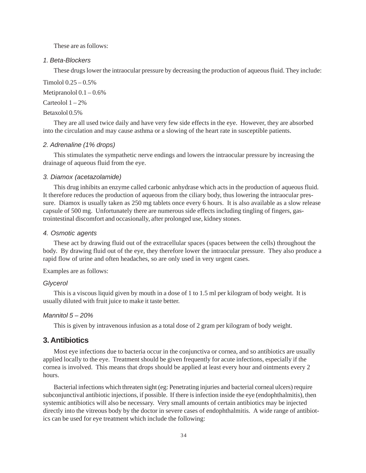These are as follows:

#### *1. Beta-Blockers*

These drugs lower the intraocular pressure by decreasing the production of aqueous fluid. They include:

Timolol 0.25 – 0.5%

Metipranolol  $0.1 - 0.6\%$ 

Carteolol  $1 - 2\%$ 

#### Betaxolol 0.5%

They are all used twice daily and have very few side effects in the eye. However, they are absorbed into the circulation and may cause asthma or a slowing of the heart rate in susceptible patients.

#### *2. Adrenaline (1% drops)*

This stimulates the sympathetic nerve endings and lowers the intraocular pressure by increasing the drainage of aqueous fluid from the eye.

#### *3. Diamox (acetazolamide)*

This drug inhibits an enzyme called carbonic anhydrase which acts in the production of aqueous fluid. It therefore reduces the production of aqueous from the ciliary body, thus lowering the intraocular pressure. Diamox is usually taken as 250 mg tablets once every 6 hours. It is also available as a slow release capsule of 500 mg. Unfortunately there are numerous side effects including tingling of fingers, gastrointestinal discomfort and occasionally, after prolonged use, kidney stones.

#### *4. Osmotic agents*

These act by drawing fluid out of the extracellular spaces (spaces between the cells) throughout the body. By drawing fluid out of the eye, they therefore lower the intraocular pressure. They also produce a rapid flow of urine and often headaches, so are only used in very urgent cases.

Examples are as follows:

#### *Glycerol*

This is a viscous liquid given by mouth in a dose of 1 to 1.5 ml per kilogram of body weight. It is usually diluted with fruit juice to make it taste better.

#### *Mannitol 5 – 20%*

This is given by intravenous infusion as a total dose of 2 gram per kilogram of body weight.

#### **3. Antibiotics**

Most eye infections due to bacteria occur in the conjunctiva or cornea, and so antibiotics are usually applied locally to the eye. Treatment should be given frequently for acute infections, especially if the cornea is involved. This means that drops should be applied at least every hour and ointments every 2 hours.

Bacterial infections which threaten sight (eg: Penetrating injuries and bacterial corneal ulcers) require subconjunctival antibiotic injections, if possible. If there is infection inside the eye (endophthalmitis), then systemic antibiotics will also be necessary. Very small amounts of certain antibiotics may be injected directly into the vitreous body by the doctor in severe cases of endophthalmitis. A wide range of antibiotics can be used for eye treatment which include the following: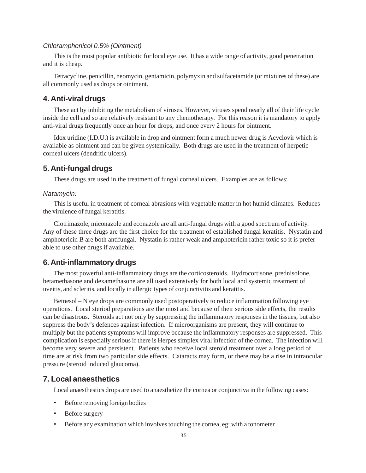#### *Chloramphenicol 0.5% (Ointment)*

This is the most popular antibiotic for local eye use. It has a wide range of activity, good penetration and it is cheap.

Tetracycline, penicillin, neomycin, gentamicin, polymyxin and sulfacetamide (or mixtures of these) are all commonly used as drops or ointment.

#### **4. Anti-viral drugs**

These act by inhibiting the metabolism of viruses. However, viruses spend nearly all of their life cycle inside the cell and so are relatively resistant to any chemotherapy. For this reason it is mandatory to apply anti-viral drugs frequently once an hour for drops, and once every 2 hours for ointment.

Idox uridine (I.D.U.) is available in drop and ointment form a much newer drug is Acyclovir which is available as ointment and can be given systemically. Both drugs are used in the treatment of herpetic corneal ulcers (dendritic ulcers).

### **5. Anti-fungal drugs**

These drugs are used in the treatment of fungal corneal ulcers. Examples are as follows:

#### *Natamycin:*

This is useful in treatment of corneal abrasions with vegetable matter in hot humid climates. Reduces the virulence of fungal keratitis.

Clotrimazole, miconazole and econazole are all anti-fungal drugs with a good spectrum of activity. Any of these three drugs are the first choice for the treatment of established fungal keratitis. Nystatin and amphotericin B are both antifungal. Nystatin is rather weak and amphotericin rather toxic so it is preferable to use other drugs if available.

#### **6. Anti-inflammatory drugs**

The most powerful anti-inflammatory drugs are the corticosteroids. Hydrocortisone, prednisolone, betamethasone and dexamethasone are all used extensively for both local and systemic treatment of uveitis, and scleritis, and locally in allergic types of conjunctivitis and keratitis.

Betnesol – N eye drops are commonly used postoperatively to reduce inflammation following eye operations. Local steriod preparations are the most and because of their serious side effects, the results can be disastrous. Steroids act not only by suppressing the inflammatory responses in the tissues, but also suppress the body's defences against infection. If microorganisms are present, they will continue to multiply but the patients symptoms will improve because the inflammatory responses are suppressed. This complication is especially serious if there is Herpes simplex viral infection of the cornea. The infection will become very severe and persistent. Patients who receive local steroid treatment over a long period of time are at risk from two particular side effects. Cataracts may form, or there may be a rise in intraocular pressure (steroid induced glaucoma).

#### **7. Local anaesthetics**

Local anaesthestics drops are used to anaesthetize the cornea or conjunctiva in the following cases:

- Before removing foreign bodies
- Before surgery
- Before any examination which involves touching the cornea, eg: with a tonometer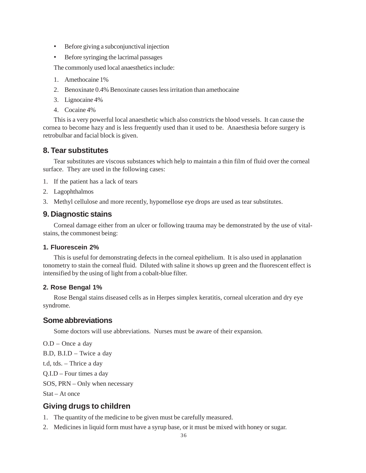- Before giving a subconjunctival injection
- Before syringing the lacrimal passages

The commonly used local anaesthetics include:

- 1. Amethocaine 1%
- 2. Benoxinate 0.4% Benoxinate causes less irritation than amethocaine
- 3. Lignocaine 4%
- 4. Cocaine 4%

This is a very powerful local anaesthetic which also constricts the blood vessels. It can cause the cornea to become hazy and is less frequently used than it used to be. Anaesthesia before surgery is retrobulbar and facial block is given.

### **8. Tear substitutes**

Tear substitutes are viscous substances which help to maintain a thin film of fluid over the corneal surface. They are used in the following cases:

- 1. If the patient has a lack of tears
- 2. Lagophthalmos
- 3. Methyl cellulose and more recently, hypomellose eye drops are used as tear substitutes.

#### **9. Diagnostic stains**

Corneal damage either from an ulcer or following trauma may be demonstrated by the use of vitalstains, the commonest being:

#### **1. Fluorescein 2%**

This is useful for demonstrating defects in the corneal epithelium. It is also used in applanation tonometry to stain the corneal fluid. Diluted with saline it shows up green and the fluorescent effect is intensified by the using of light from a cobalt-blue filter.

#### **2. Rose Bengal 1%**

Rose Bengal stains diseased cells as in Herpes simplex keratitis, corneal ulceration and dry eye syndrome.

#### **Some abbreviations**

Some doctors will use abbreviations. Nurses must be aware of their expansion.

O.D – Once a day

B.D, B.I.D – Twice a day

t.d, tds. – Thrice a day

Q.I.D – Four times a day

SOS, PRN – Only when necessary

Stat – At once

# **Giving drugs to children**

- 1. The quantity of the medicine to be given must be carefully measured.
- 2. Medicines in liquid form must have a syrup base, or it must be mixed with honey or sugar.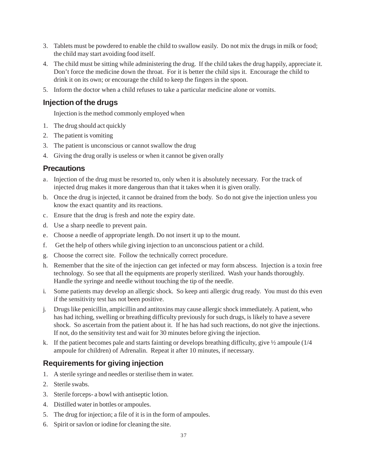- 3. Tablets must be powdered to enable the child to swallow easily. Do not mix the drugs in milk or food; the child may start avoiding food itself.
- 4. The child must be sitting while administering the drug. If the child takes the drug happily, appreciate it. Don't force the medicine down the throat. For it is better the child sips it. Encourage the child to drink it on its own; or encourage the child to keep the fingers in the spoon.
- 5. Inform the doctor when a child refuses to take a particular medicine alone or vomits.

# **Injection of the drugs**

Injection is the method commonly employed when

- 1. The drug should act quickly
- 2. The patient is vomiting
- 3. The patient is unconscious or cannot swallow the drug
- 4. Giving the drug orally is useless or when it cannot be given orally

# **Precautions**

- a. Injection of the drug must be resorted to, only when it is absolutely necessary. For the track of injected drug makes it more dangerous than that it takes when it is given orally.
- b. Once the drug is injected, it cannot be drained from the body. So do not give the injection unless you know the exact quantity and its reactions.
- c. Ensure that the drug is fresh and note the expiry date.
- d. Use a sharp needle to prevent pain.
- e. Choose a needle of appropriate length. Do not insert it up to the mount.
- f. Get the help of others while giving injection to an unconscious patient or a child.
- g. Choose the correct site. Follow the technically correct procedure.
- h. Remember that the site of the injection can get infected or may form abscess. Injection is a toxin free technology. So see that all the equipments are properly sterilized. Wash your hands thoroughly. Handle the syringe and needle without touching the tip of the needle.
- i. Some patients may develop an allergic shock. So keep anti allergic drug ready. You must do this even if the sensitivity test has not been positive.
- j. Drugs like penicillin, ampicillin and antitoxins may cause allergic shock immediately. A patient, who has had itching, swelling or breathing difficulty previously for such drugs, is likely to have a severe shock. So ascertain from the patient about it. If he has had such reactions, do not give the injections. If not, do the sensitivity test and wait for 30 minutes before giving the injection.
- k. If the patient becomes pale and starts fainting or develops breathing difficulty, give  $\frac{1}{2}$  ampoule (1/4 ampoule for children) of Adrenalin. Repeat it after 10 minutes, if necessary.

# **Requirements for giving injection**

- 1. A sterile syringe and needles or sterilise them in water.
- 2. Sterile swabs.
- 3. Sterile forceps- a bowl with antiseptic lotion.
- 4. Distilled water in bottles or ampoules.
- 5. The drug for injection; a file of it is in the form of ampoules.
- 6. Spirit or savlon or iodine for cleaning the site.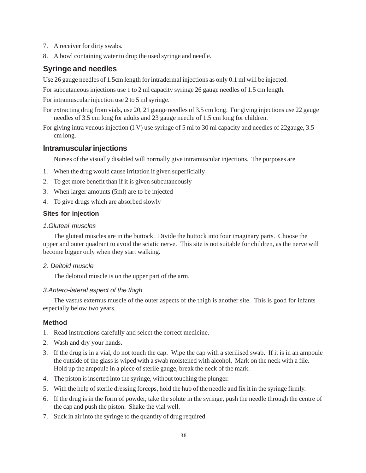- 7. A receiver for dirty swabs.
- 8. A bowl containing water to drop the used syringe and needle.

# **Syringe and needles**

Use 26 gauge needles of 1.5cm length for intradermal injections as only 0.1 ml will be injected.

For subcutaneous injections use 1 to 2 ml capacity syringe 26 gauge needles of 1.5 cm length.

For intramuscular injection use 2 to 5 ml syringe.

For extracting drug from vials, use 20, 21 gauge needles of 3.5 cm long. For giving injections use 22 gauge needles of 3.5 cm long for adults and 23 gauge needle of 1.5 cm long for children.

For giving intra venous injection (I.V) use syringe of 5 ml to 30 ml capacity and needles of 22gauge, 3.5 cm long.

# **Intramuscular injections**

Nurses of the visually disabled will normally give intramuscular injections. The purposes are

- 1. When the drug would cause irritation if given superficially
- 2. To get more benefit than if it is given subcutaneously
- 3. When larger amounts (5ml) are to be injected
- 4. To give drugs which are absorbed slowly

## **Sites for injection**

#### *1.Gluteal muscles*

The gluteal muscles are in the buttock. Divide the buttock into four imaginary parts. Choose the upper and outer quadrant to avoid the sciatic nerve. This site is not suitable for children, as the nerve will become bigger only when they start walking.

### *2. Deltoid muscle*

The delotoid muscle is on the upper part of the arm.

#### *3.Antero-lateral aspect of the thigh*

The vastus externus muscle of the outer aspects of the thigh is another site. This is good for infants especially below two years.

#### **Method**

- 1. Read instructions carefully and select the correct medicine.
- 2. Wash and dry your hands.
- 3. If the drug is in a vial, do not touch the cap. Wipe the cap with a sterilised swab. If it is in an ampoule the outside of the glass is wiped with a swab moistened with alcohol. Mark on the neck with a file. Hold up the ampoule in a piece of sterile gauge, break the neck of the mark.
- 4. The piston is inserted into the syringe, without touching the plunger.
- 5. With the help of sterile dressing forceps, hold the hub of the needle and fix it in the syringe firmly.
- 6. If the drug is in the form of powder, take the solute in the syringe, push the needle through the centre of the cap and push the piston. Shake the vial well.
- 7. Suck in air into the syringe to the quantity of drug required.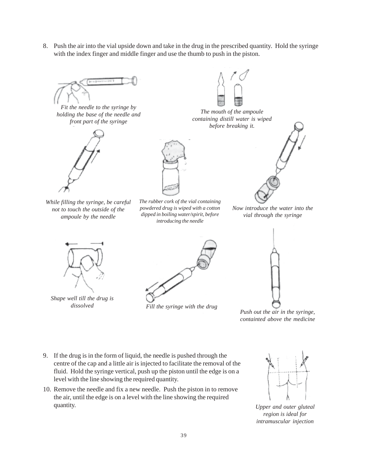8. Push the air into the vial upside down and take in the drug in the prescribed quantity. Hold the syringe with the index finger and middle finger and use the thumb to push in the piston.



*Fit the needle to the syringe by holding the base of the needle and front part of the syringe*



*While filling the syringe, be careful not to touch the outside of the ampoule by the needle*



*The rubber cork of the vial containing powdered drug is wiped with a cotton dipped in boiling water/spirit, before introducing the needle*



*The mouth of the ampoule containing distill water is wiped before breaking it.*



*Now introduce the water into the vial through the syringe*



*Shape well till the drug is*



*dissolved Fill the syringe with the drug*



*Push out the air in the syringe, containted above the medicine*

- 9. If the drug is in the form of liquid, the needle is pushed through the centre of the cap and a little air is injected to facilitate the removal of the fluid. Hold the syringe vertical, push up the piston until the edge is on a level with the line showing the required quantity.
- 10. Remove the needle and fix a new needle. Push the piston in to remove the air, until the edge is on a level with the line showing the required quantity.



*Upper and outer gluteal region is ideal for intramuscular injection*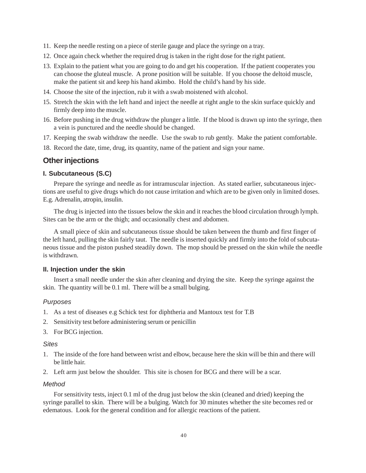- 11. Keep the needle resting on a piece of sterile gauge and place the syringe on a tray.
- 12. Once again check whether the required drug is taken in the right dose for the right patient.
- 13. Explain to the patient what you are going to do and get his cooperation. If the patient cooperates you can choose the gluteal muscle. A prone position will be suitable. If you choose the deltoid muscle, make the patient sit and keep his hand akimbo. Hold the child's hand by his side.
- 14. Choose the site of the injection, rub it with a swab moistened with alcohol.
- 15. Stretch the skin with the left hand and inject the needle at right angle to the skin surface quickly and firmly deep into the muscle.
- 16. Before pushing in the drug withdraw the plunger a little. If the blood is drawn up into the syringe, then a vein is punctured and the needle should be changed.
- 17. Keeping the swab withdraw the needle. Use the swab to rub gently. Make the patient comfortable.
- 18. Record the date, time, drug, its quantity, name of the patient and sign your name.

#### **Other injections**

#### **I. Subcutaneous (S.C)**

Prepare the syringe and needle as for intramuscular injection. As stated earlier, subcutaneous injections are useful to give drugs which do not cause irritation and which are to be given only in limited doses. E.g. Adrenalin, atropin, insulin.

The drug is injected into the tissues below the skin and it reaches the blood circulation through lymph. Sites can be the arm or the thigh; and occasionally chest and abdomen.

A small piece of skin and subcutaneous tissue should be taken between the thumb and first finger of the left hand, pulling the skin fairly taut. The needle is inserted quickly and firmly into the fold of subcutaneous tissue and the piston pushed steadily down. The mop should be pressed on the skin while the needle is withdrawn.

#### **II. Injection under the skin**

Insert a small needle under the skin after cleaning and drying the site. Keep the syringe against the skin. The quantity will be 0.1 ml. There will be a small bulging.

#### *Purposes*

- 1. As a test of diseases e.g Schick test for diphtheria and Mantoux test for T.B
- 2. Sensitivity test before administering serum or penicillin
- 3. For BCG injection.

#### *Sites*

- 1. The inside of the fore hand between wrist and elbow, because here the skin will be thin and there will be little hair.
- 2. Left arm just below the shoulder. This site is chosen for BCG and there will be a scar.

### *Method*

For sensitivity tests, inject 0.1 ml of the drug just below the skin (cleaned and dried) keeping the syringe parallel to skin. There will be a bulging. Watch for 30 minutes whether the site becomes red or edematous. Look for the general condition and for allergic reactions of the patient.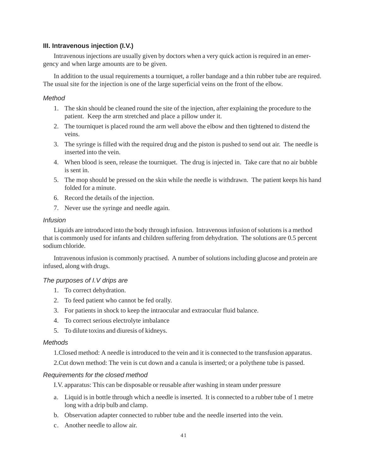### **III. Intravenous injection (I.V.)**

Intravenous injections are usually given by doctors when a very quick action is required in an emergency and when large amounts are to be given.

In addition to the usual requirements a tourniquet, a roller bandage and a thin rubber tube are required. The usual site for the injection is one of the large superficial veins on the front of the elbow.

#### *Method*

- 1. The skin should be cleaned round the site of the injection, after explaining the procedure to the patient. Keep the arm stretched and place a pillow under it.
- 2. The tourniquet is placed round the arm well above the elbow and then tightened to distend the veins.
- 3. The syringe is filled with the required drug and the piston is pushed to send out air. The needle is inserted into the vein.
- 4. When blood is seen, release the tourniquet. The drug is injected in. Take care that no air bubble is sent in.
- 5. The mop should be pressed on the skin while the needle is withdrawn. The patient keeps his hand folded for a minute.
- 6. Record the details of the injection.
- 7. Never use the syringe and needle again.

#### *Infusion*

Liquids are introduced into the body through infusion. Intravenous infusion of solutions is a method that is commonly used for infants and children suffering from dehydration. The solutions are 0.5 percent sodium chloride.

Intravenous infusion is commonly practised. A number of solutions including glucose and protein are infused, along with drugs.

### *The purposes of I.V drips are*

- 1. To correct dehydration.
- 2. To feed patient who cannot be fed orally.
- 3. For patients in shock to keep the intraocular and extraocular fluid balance.
- 4. To correct serious electrolyte imbalance
- 5. To dilute toxins and diuresis of kidneys.

#### *Methods*

1.Closed method: A needle is introduced to the vein and it is connected to the transfusion apparatus.

2.Cut down method: The vein is cut down and a canula is inserted; or a polythene tube is passed.

#### *Requirements for the closed method*

I.V. apparatus: This can be disposable or reusable after washing in steam under pressure

- a. Liquid is in bottle through which a needle is inserted. It is connected to a rubber tube of 1 metre long with a drip bulb and clamp.
- b. Observation adapter connected to rubber tube and the needle inserted into the vein.
- c. Another needle to allow air.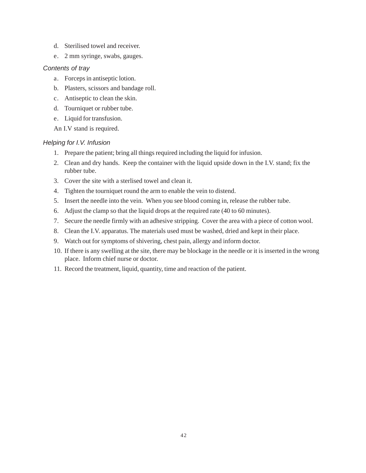- d. Sterilised towel and receiver.
- e. 2 mm syringe, swabs, gauges.

### *Contents of tray*

- a. Forceps in antiseptic lotion.
- b. Plasters, scissors and bandage roll.
- c. Antiseptic to clean the skin.
- d. Tourniquet or rubber tube.
- e. Liquid for transfusion.

An I.V stand is required.

### *Helping for I.V. Infusion*

- 1. Prepare the patient; bring all things required including the liquid for infusion.
- 2. Clean and dry hands. Keep the container with the liquid upside down in the I.V. stand; fix the rubber tube.
- 3. Cover the site with a sterlised towel and clean it.
- 4. Tighten the tourniquet round the arm to enable the vein to distend.
- 5. Insert the needle into the vein. When you see blood coming in, release the rubber tube.
- 6. Adjust the clamp so that the liquid drops at the required rate (40 to 60 minutes).
- 7. Secure the needle firmly with an adhesive stripping. Cover the area with a piece of cotton wool.
- 8. Clean the I.V. apparatus. The materials used must be washed, dried and kept in their place.
- 9. Watch out for symptoms of shivering, chest pain, allergy and inform doctor.
- 10. If there is any swelling at the site, there may be blockage in the needle or it is inserted in the wrong place. Inform chief nurse or doctor.
- 11. Record the treatment, liquid, quantity, time and reaction of the patient.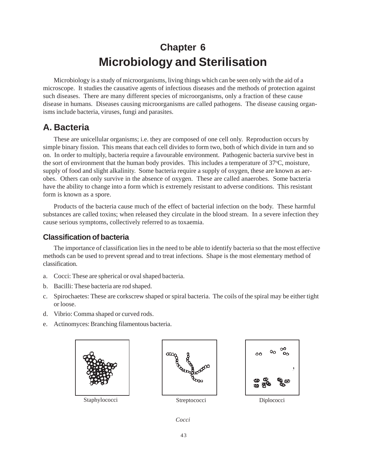# **Chapter 6 Microbiology and Sterilisation**

Microbiology is a study of microorganisms, living things which can be seen only with the aid of a microscope. It studies the causative agents of infectious diseases and the methods of protection against such diseases. There are many different species of microorganisms, only a fraction of these cause disease in humans. Diseases causing microorganisms are called pathogens. The disease causing organisms include bacteria, viruses, fungi and parasites.

# **A. Bacteria**

These are unicellular organisms; i.e. they are composed of one cell only. Reproduction occurs by simple binary fission. This means that each cell divides to form two, both of which divide in turn and so on. In order to multiply, bacteria require a favourable environment. Pathogenic bacteria survive best in the sort of environment that the human body provides. This includes a temperature of 37°C, moisture, supply of food and slight alkalinity. Some bacteria require a supply of oxygen, these are known as aerobes. Others can only survive in the absence of oxygen. These are called anaerobes. Some bacteria have the ability to change into a form which is extremely resistant to adverse conditions. This resistant form is known as a spore.

Products of the bacteria cause much of the effect of bacterial infection on the body. These harmful substances are called toxins; when released they circulate in the blood stream. In a severe infection they cause serious symptoms, collectively referred to as toxaemia.

# **Classification of bacteria**

The importance of classification lies in the need to be able to identify bacteria so that the most effective methods can be used to prevent spread and to treat infections. Shape is the most elementary method of classification.

- a. Cocci: These are spherical or oval shaped bacteria.
- b. Bacilli: These bacteria are rod shaped.
- c. Spirochaetes: These are corkscrew shaped or spiral bacteria. The coils of the spiral may be either tight or loose.
- d. Vibrio: Comma shaped or curved rods.
- e. Actinomyces: Branching filamentous bacteria.





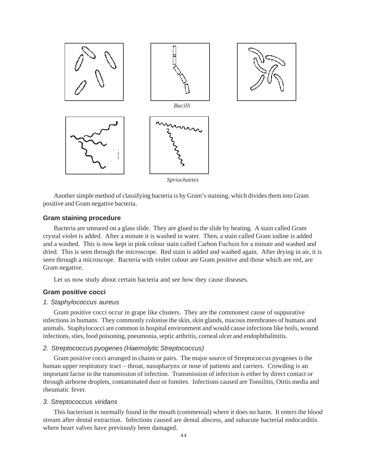

Another simple method of classifying bacteria is by Gram's staining, which divides them into Gram positive and Gram negative bacteria.

#### **Gram staining procedure**

Bacteria are smeared on a glass slide. They are glued to the slide by heating. A stain called Gram crystal violet is added. After a minute it is washed in water. Then, a stain called Gram iodine is added and a washed. This is now kept in pink colour stain called Carbon Fuchsin for a minute and washed and dried. This is seen through the microscope. Red stain is added and washed again. After drying in air, it is seen through a microscope. Bacteria with violet colour are Gram positive and those which are red, are Gram negative.

Let us now study about certain bacteria and see how they cause diseases.

### **Gram positive cocci**

#### *1. Staphylococcus aureus*

Gram positive cocci occur in grape like clusters. They are the commonest cause of suppurative infections in humans. They commonly colonise the skin, skin glands, mucous membranes of humans and animals. Staphylococci are common in hospital environment and would cause infections like boils, wound infections, sties, food poisoning, pneumonia, septic arthritis, corneal ulcer and endophthalmitis.

### *2. Streptococcus pyogenes (Haemolytic Streptococcus)*

Gram positive cocci arranged in chains or pairs. The major source of Streptococcus pyogenes is the human upper respiratory tract – throat, nasopharynx or nose of patients and carriers. Crowding is an important factor in the transmission of infection. Transmission of infection is either by direct contact or through airborne droplets, contaminated dust or fomites. Infections caused are Tonsilitis, Otitis media and rheumatic fever.

#### *3. Streptococcus viridans*

This bacterium is normally found in the mouth (commensal) where it does no harm. It enters the blood stream after dental extraction. Infections caused are dental abscess, and subacute bacterial endocarditis where heart valves have previously been damaged.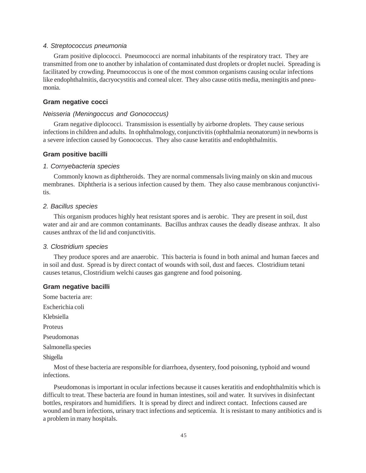#### *4. Streptococcus pneumonia*

Gram positive diplococci. Pneumococci are normal inhabitants of the respiratory tract. They are transmitted from one to another by inhalation of contaminated dust droplets or droplet nuclei. Spreading is facilitated by crowding. Pneumococcus is one of the most common organisms causing ocular infections like endophthalmitis, dacryocystitis and corneal ulcer. They also cause otitis media, meningitis and pneumonia.

### **Gram negative cocci**

#### *Neisseria (Meningoccus and Gonococcus)*

Gram negative diplococci. Transmission is essentially by airborne droplets. They cause serious infections in children and adults. In ophthalmology, conjunctivitis (ophthalmia neonatorum) in newborns is a severe infection caused by Gonococcus. They also cause keratitis and endophthalmitis.

#### **Gram positive bacilli**

#### *1. Cornyebacteria species*

Commonly known as diphtheroids. They are normal commensals living mainly on skin and mucous membranes. Diphtheria is a serious infection caused by them. They also cause membranous conjunctivitis.

#### *2. Bacillus species*

This organism produces highly heat resistant spores and is aerobic. They are present in soil, dust water and air and are common contaminants. Bacillus anthrax causes the deadly disease anthrax. It also causes anthrax of the lid and conjunctivitis.

#### *3. Clostridium species*

They produce spores and are anaerobic. This bacteria is found in both animal and human faeces and in soil and dust. Spread is by direct contact of wounds with soil, dust and faeces. Clostridium tetani causes tetanus, Clostridium welchi causes gas gangrene and food poisoning.

#### **Gram negative bacilli**

Some bacteria are: Escherichia coli Klebsiella Proteus Pseudomonas Salmonella species Shigella

Most of these bacteria are responsible for diarrhoea, dysentery, food poisoning, typhoid and wound infections.

Pseudomonas is important in ocular infections because it causes keratitis and endophthalmitis which is difficult to treat. These bacteria are found in human intestines, soil and water. It survives in disinfectant bottles, respirators and humidifiers. It is spread by direct and indirect contact. Infections caused are wound and burn infections, urinary tract infections and septicemia. It is resistant to many antibiotics and is a problem in many hospitals.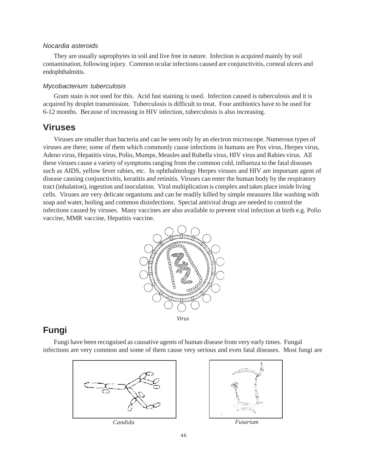### *Nocardia asteroids*

They are usually saprophytes in soil and live free in nature. Infection is acquired mainly by soil contamination, following injury. Common ocular infections caused are conjunctivitis, corneal ulcers and endophthalmitis.

### *Mycobacterium tuberculosis*

Gram stain is not used for this. Acid fast staining is used. Infection caused is tuberculosis and it is acquired by droplet transmission. Tuberculosis is difficult to treat. Four antibiotics have to be used for 6-12 months. Because of increasing in HIV infection, tuberculosis is also increasing.

# **Viruses**

Viruses are smaller than bacteria and can be seen only by an electron microscope. Numerous types of viruses are there; some of them which commonly cause infections in humans are Pox virus, Herpes virus, Adeno virus, Hepatitis virus, Polio, Mumps, Measles and Rubella virus, HIV virus and Rabies virus. All these viruses cause a variety of symptoms ranging from the common cold, influenza to the fatal diseases such as AIDS, yellow fever rabies, etc. In ophthalmology Herpes viruses and HIV are important agent of disease causing conjunctivitis, keratitis and retinitis. Viruses can enter the human body by the respiratory tract (inhalation), ingestion and inoculation. Viral multiplication is complex and takes place inside living cells. Viruses are very delicate organisms and can be readily killed by simple measures like washing with soap and water, boiling and common disinfections. Special antiviral drugs are needed to control the infections caused by viruses. Many vaccines are also available to prevent viral infection at birth e.g. Polio vaccine, MMR vaccine, Hepatitis vaccine.



# **Fungi**

Fungi have been recognised as causative agents of human disease from very early times. Fungal infections are very common and some of them cause very serious and even fatal diseases. Most fungi are



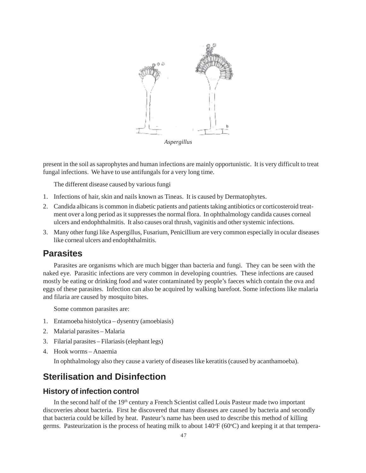

present in the soil as saprophytes and human infections are mainly opportunistic. It is very difficult to treat fungal infections. We have to use antifungals for a very long time.

The different disease caused by various fungi

- 1. Infections of hair, skin and nails known as Tineas. It is caused by Dermatophytes.
- 2. Candida albicans is common in diabetic patients and patients taking antibiotics or corticosteroid treatment over a long period as it suppresses the normal flora. In ophthalmology candida causes corneal ulcers and endophthalmitis. It also causes oral thrush, vaginitis and other systemic infections.
- 3. Many other fungi like Aspergillus, Fusarium, Penicillium are very common especially in ocular diseases like corneal ulcers and endophthalmitis.

# **Parasites**

Parasites are organisms which are much bigger than bacteria and fungi. They can be seen with the naked eye. Parasitic infections are very common in developing countries. These infections are caused mostly be eating or drinking food and water contaminated by people's faeces which contain the ova and eggs of these parasites. Infection can also be acquired by walking barefoot. Some infections like malaria and filaria are caused by mosquito bites.

Some common parasites are:

- 1. Entamoeba histolytica dysentry (amoebiasis)
- 2. Malarial parasites Malaria
- 3. Filarial parasites Filariasis (elephant legs)
- 4. Hook worms Anaemia

In ophthalmology also they cause a variety of diseases like keratitis (caused by acanthamoeba).

# **Sterilisation and Disinfection**

# **History of infection control**

In the second half of the 19<sup>th</sup> century a French Scientist called Louis Pasteur made two important discoveries about bacteria. First he discovered that many diseases are caused by bacteria and secondly that bacteria could be killed by heat. Pasteur's name has been used to describe this method of killing germs. Pasteurization is the process of heating milk to about 140°F (60°C) and keeping it at that tempera-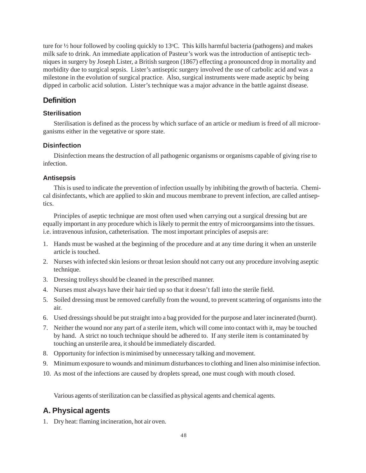ture for 1/2 hour followed by cooling quickly to 13°C. This kills harmful bacteria (pathogens) and makes milk safe to drink. An immediate application of Pasteur's work was the introduction of antiseptic techniques in surgery by Joseph Lister, a British surgeon (1867) effecting a pronounced drop in mortality and morbidity due to surgical sepsis. Lister's antiseptic surgery involved the use of carbolic acid and was a milestone in the evolution of surgical practice. Also, surgical instruments were made aseptic by being dipped in carbolic acid solution. Lister's technique was a major advance in the battle against disease.

# **Definition**

# **Sterilisation**

Sterilisation is defined as the process by which surface of an article or medium is freed of all microorganisms either in the vegetative or spore state.

# **Disinfection**

Disinfection means the destruction of all pathogenic organisms or organisms capable of giving rise to infection.

# **Antisepsis**

This is used to indicate the prevention of infection usually by inhibiting the growth of bacteria. Chemical disinfectants, which are applied to skin and mucous membrane to prevent infection, are called antiseptics.

Principles of aseptic technique are most often used when carrying out a surgical dressing but are equally important in any procedure which is likely to permit the entry of microorgansims into the tissues. i.e. intravenous infusion, catheterisation. The most important principles of asepsis are:

- 1. Hands must be washed at the beginning of the procedure and at any time during it when an unsterile article is touched.
- 2. Nurses with infected skin lesions or throat lesion should not carry out any procedure involving aseptic technique.
- 3. Dressing trolleys should be cleaned in the prescribed manner.
- 4. Nurses must always have their hair tied up so that it doesn't fall into the sterile field.
- 5. Soiled dressing must be removed carefully from the wound, to prevent scattering of organisms into the air.
- 6. Used dressings should be put straight into a bag provided for the purpose and later incinerated (burnt).
- 7. Neither the wound nor any part of a sterile item, which will come into contact with it, may be touched by hand. A strict no touch technique should be adhered to. If any sterile item is contaminated by touching an unsterile area, it should be immediately discarded.
- 8. Opportunity for infection is minimised by unnecessary talking and movement.
- 9. Minimum exposure to wounds and minimum disturbances to clothing and linen also minimise infection.
- 10. As most of the infections are caused by droplets spread, one must cough with mouth closed.

Various agents of sterilization can be classified as physical agents and chemical agents.

# **A. Physical agents**

1. Dry heat: flaming incineration, hot air oven.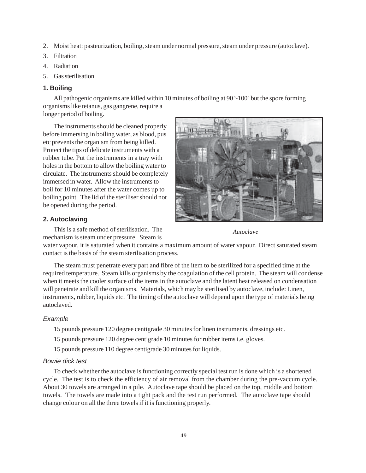- 2. Moist heat: pasteurization, boiling, steam under normal pressure, steam under pressure (autoclave).
- 3. Filtration
- 4. Radiation
- 5. Gas sterilisation

### **1. Boiling**

All pathogenic organisms are killed within 10 minutes of boiling at 90°-100° but the spore forming organisms like tetanus, gas gangrene, require a longer period of boiling.

The instruments should be cleaned properly before immersing in boiling water, as blood, pus etc prevents the organism from being killed. Protect the tips of delicate instruments with a rubber tube. Put the instruments in a tray with holes in the bottom to allow the boiling water to circulate. The instruments should be completely immersed in water. Allow the instruments to boil for 10 minutes after the water comes up to boiling point. The lid of the steriliser should not be opened during the period.



### **2. Autoclaving**

This is a safe method of sterilisation. The

mechanism is steam under pressure. Steam is

*Autoclave*

water vapour, it is saturated when it contains a maximum amount of water vapour. Direct saturated steam contact is the basis of the steam sterilisation process.

The steam must penetrate every part and fibre of the item to be sterilized for a specified time at the required temperature. Steam kills organisms by the coagulation of the cell protein. The steam will condense when it meets the cooler surface of the items in the autoclave and the latent heat released on condensation will penetrate and kill the organisms. Materials, which may be sterilised by autoclave, include: Linen, instruments, rubber, liquids etc. The timing of the autoclave will depend upon the type of materials being autoclaved.

## *Example*

15 pounds pressure 120 degree centigrade 30 minutes for linen instruments, dressings etc.

15 pounds pressure 120 degree centigrade 10 minutes for rubber items i.e. gloves.

15 pounds pressure 110 degree centigrade 30 minutes for liquids.

#### *Bowie dick test*

To check whether the autoclave is functioning correctly special test run is done which is a shortened cycle. The test is to check the efficiency of air removal from the chamber during the pre-vaccum cycle. About 30 towels are arranged in a pile. Autoclave tape should be placed on the top, middle and bottom towels. The towels are made into a tight pack and the test run performed. The autoclave tape should change colour on all the three towels if it is functioning properly.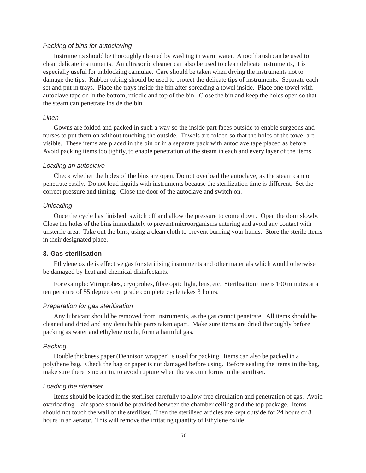### *Packing of bins for autoclaving*

Instruments should be thoroughly cleaned by washing in warm water. A toothbrush can be used to clean delicate instruments. An ultrasonic cleaner can also be used to clean delicate instruments, it is especially useful for unblocking cannulae. Care should be taken when drying the instruments not to damage the tips. Rubber tubing should be used to protect the delicate tips of instruments. Separate each set and put in trays. Place the trays inside the bin after spreading a towel inside. Place one towel with autoclave tape on in the bottom, middle and top of the bin. Close the bin and keep the holes open so that the steam can penetrate inside the bin.

#### *Linen*

Gowns are folded and packed in such a way so the inside part faces outside to enable surgeons and nurses to put them on without touching the outside. Towels are folded so that the holes of the towel are visible. These items are placed in the bin or in a separate pack with autoclave tape placed as before. Avoid packing items too tightly, to enable penetration of the steam in each and every layer of the items.

#### *Loading an autoclave*

Check whether the holes of the bins are open. Do not overload the autoclave, as the steam cannot penetrate easily. Do not load liquids with instruments because the sterilization time is different. Set the correct pressure and timing. Close the door of the autoclave and switch on.

#### *Unloading*

Once the cycle has finished, switch off and allow the pressure to come down. Open the door slowly. Close the holes of the bins immediately to prevent microorganisms entering and avoid any contact with unsterile area. Take out the bins, using a clean cloth to prevent burning your hands. Store the sterile items in their designated place.

#### **3. Gas sterilisation**

Ethylene oxide is effective gas for sterilising instruments and other materials which would otherwise be damaged by heat and chemical disinfectants.

For example: Vitroprobes, cryoprobes, fibre optic light, lens, etc. Sterilisation time is 100 minutes at a temperature of 55 degree centigrade complete cycle takes 3 hours.

#### *Preparation for gas sterilisation*

Any lubricant should be removed from instruments, as the gas cannot penetrate. All items should be cleaned and dried and any detachable parts taken apart. Make sure items are dried thoroughly before packing as water and ethylene oxide, form a harmful gas.

#### *Packing*

Double thickness paper (Dennison wrapper) is used for packing. Items can also be packed in a polythene bag. Check the bag or paper is not damaged before using. Before sealing the items in the bag, make sure there is no air in, to avoid rupture when the vaccum forms in the steriliser.

#### *Loading the steriliser*

Items should be loaded in the steriliser carefully to allow free circulation and penetration of gas. Avoid overloading – air space should be provided between the chamber ceiling and the top package. Items should not touch the wall of the steriliser. Then the sterilised articles are kept outside for 24 hours or 8 hours in an aerator. This will remove the irritating quantity of Ethylene oxide.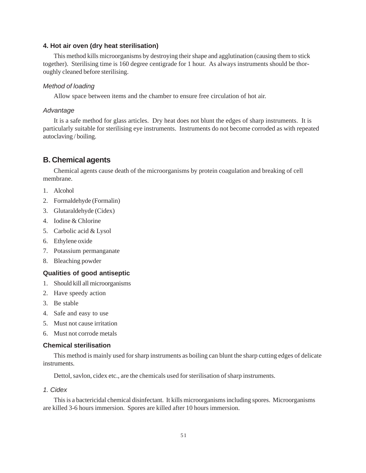### **4. Hot air oven (dry heat sterilisation)**

This method kills microorganisms by destroying their shape and agglutination (causing them to stick together). Sterilising time is 160 degree centigrade for 1 hour. As always instruments should be thoroughly cleaned before sterilising.

#### *Method of loading*

Allow space between items and the chamber to ensure free circulation of hot air.

#### *Advantage*

It is a safe method for glass articles. Dry heat does not blunt the edges of sharp instruments. It is particularly suitable for sterilising eye instruments. Instruments do not become corroded as with repeated autoclaving / boiling.

# **B. Chemical agents**

Chemical agents cause death of the microorganisms by protein coagulation and breaking of cell membrane.

- 1. Alcohol
- 2. Formaldehyde (Formalin)
- 3. Glutaraldehyde (Cidex)
- 4. Iodine & Chlorine
- 5. Carbolic acid & Lysol
- 6. Ethylene oxide
- 7. Potassium permanganate
- 8. Bleaching powder

### **Qualities of good antiseptic**

- 1. Should kill all microorganisms
- 2. Have speedy action
- 3. Be stable
- 4. Safe and easy to use
- 5. Must not cause irritation
- 6. Must not corrode metals

### **Chemical sterilisation**

This method is mainly used for sharp instruments as boiling can blunt the sharp cutting edges of delicate instruments.

Dettol, savlon, cidex etc., are the chemicals used for sterilisation of sharp instruments.

#### *1. Cidex*

This is a bactericidal chemical disinfectant. It kills microorganisms including spores. Microorganisms are killed 3-6 hours immersion. Spores are killed after 10 hours immersion.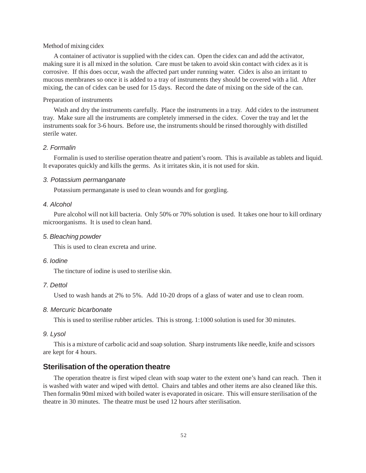#### Method of mixing cidex

A container of activator is supplied with the cidex can. Open the cidex can and add the activator, making sure it is all mixed in the solution. Care must be taken to avoid skin contact with cidex as it is corrosive. If this does occur, wash the affected part under running water. Cidex is also an irritant to mucous membranes so once it is added to a tray of instruments they should be covered with a lid. After mixing, the can of cidex can be used for 15 days. Record the date of mixing on the side of the can.

#### Preparation of instruments

Wash and dry the instruments carefully. Place the instruments in a tray. Add cidex to the instrument tray. Make sure all the instruments are completely immersed in the cidex. Cover the tray and let the instruments soak for 3-6 hours. Before use, the instruments should be rinsed thoroughly with distilled sterile water.

## *2. Formalin*

Formalin is used to sterilise operation theatre and patient's room. This is available as tablets and liquid. It evaporates quickly and kills the germs. As it irritates skin, it is not used for skin.

#### *3. Potassium permanganate*

Potassium permanganate is used to clean wounds and for gorgling.

### *4. Alcohol*

Pure alcohol will not kill bacteria. Only 50% or 70% solution is used. It takes one hour to kill ordinary microorganisms. It is used to clean hand.

#### *5. Bleaching powder*

This is used to clean excreta and urine.

#### *6. Iodine*

The tincture of iodine is used to sterilise skin.

#### *7. Dettol*

Used to wash hands at 2% to 5%. Add 10-20 drops of a glass of water and use to clean room.

#### *8. Mercuric bicarbonate*

This is used to sterilise rubber articles. This is strong. 1:1000 solution is used for 30 minutes.

#### *9. Lysol*

This is a mixture of carbolic acid and soap solution. Sharp instruments like needle, knife and scissors are kept for 4 hours.

### **Sterilisation of the operation theatre**

The operation theatre is first wiped clean with soap water to the extent one's hand can reach. Then it is washed with water and wiped with dettol. Chairs and tables and other items are also cleaned like this. Then formalin 90ml mixed with boiled water is evaporated in osicare. This will ensure sterilisation of the theatre in 30 minutes. The theatre must be used 12 hours after sterilisation.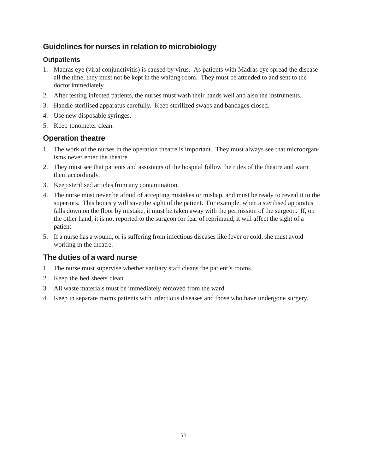# **Guidelines for nurses in relation to microbiology**

# **Outpatients**

- 1. Madras eye (viral conjunctivitis) is caused by virus. As patients with Madras eye spread the disease all the time, they must not be kept in the waiting room. They must be attended to and sent to the doctor immediately.
- 2. After testing infected patients, the nurses must wash their hands well and also the instruments.
- 3. Handle sterilised apparatus carefully. Keep sterilized swabs and bandages closed.
- 4. Use new disposable syringes.
- 5. Keep tonometer clean.

# **Operation theatre**

- 1. The work of the nurses in the operation theatre is important. They must always see that microorganisms never enter the theatre.
- 2. They must see that patients and assistants of the hospital follow the rules of the theatre and warn them accordingly.
- 3. Keep sterilised articles from any contamination.
- 4. The nurse must never be afraid of accepting mistakes or mishap, and must be ready to reveal it to the superiors. This honesty will save the sight of the patient. For example, when a sterilised apparatus falls down on the floor by mistake, it must be taken away with the permission of the surgeon. If, on the other hand, it is not reported to the surgeon for fear of reprimand, it will affect the sight of a patient.
- 5. If a nurse has a wound, or is suffering from infectious diseases like fever or cold, she must avoid working in the theatre.

# **The duties of a ward nurse**

- 1. The nurse must supervise whether sanitary staff cleans the patient's rooms.
- 2. Keep the bed sheets clean.
- 3. All waste materials must be immediately removed from the ward.
- 4. Keep in separate rooms patients with infectious diseases and those who have undergone surgery.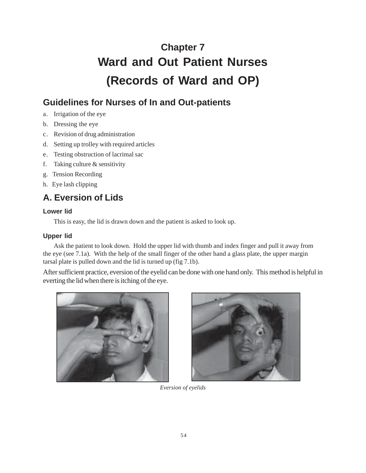# **Chapter 7 Ward and Out Patient Nurses (Records of Ward and OP)**

# **Guidelines for Nurses of In and Out-patients**

- a. Irrigation of the eye
- b. Dressing the eye
- c. Revision of drug administration
- d. Setting up trolley with required articles
- e. Testing obstruction of lacrimal sac
- f. Taking culture & sensitivity
- g. Tension Recording
- h. Eye lash clipping

# **A. Eversion of Lids**

# **Lower lid**

This is easy, the lid is drawn down and the patient is asked to look up.

# **Upper lid**

Ask the patient to look down. Hold the upper lid with thumb and index finger and pull it away from the eye (see 7.1a). With the help of the small finger of the other hand a glass plate, the upper margin tarsal plate is pulled down and the lid is turned up (fig 7.1b).

After sufficient practice, eversion of the eyelid can be done with one hand only. This method is helpful in everting the lid when there is itching of the eye.





*Eversion of eyelids*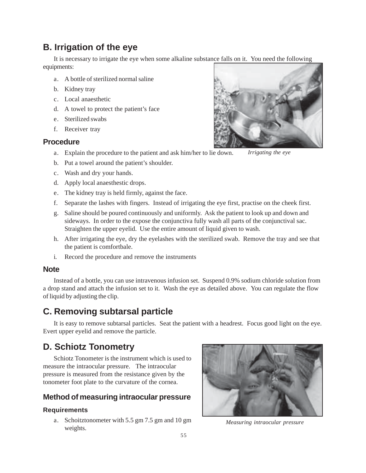# **B. Irrigation of the eye**

It is necessary to irrigate the eye when some alkaline substance falls on it. You need the following equipments:

- a. A bottle of sterilized normal saline
- b. Kidney tray
- c. Local anaesthetic
- d. A towel to protect the patient's face
- e. Sterilized swabs
- f. Receiver tray

# **Procedure**

- a. Explain the procedure to the patient and ask him/her to lie down.
- b. Put a towel around the patient's shoulder.
- c. Wash and dry your hands.
- d. Apply local anaesthestic drops.
- e. The kidney tray is held firmly, against the face.
- f. Separate the lashes with fingers. Instead of irrigating the eye first, practise on the cheek first.
- g. Saline should be poured continuously and uniformly. Ask the patient to look up and down and sideways. In order to the expose the conjunctiva fully wash all parts of the conjunctival sac. Straighten the upper eyelid. Use the entire amount of liquid given to wash.
- h. After irrigating the eye, dry the eyelashes with the sterilized swab. Remove the tray and see that the patient is comfortbale.
- i. Record the procedure and remove the instruments

# **Note**

Instead of a bottle, you can use intravenous infusion set. Suspend 0.9% sodium chloride solution from a drop stand and attach the infusion set to it. Wash the eye as detailed above. You can regulate the flow of liquid by adjusting the clip.

# **C. Removing subtarsal particle**

It is easy to remove subtarsal particles. Seat the patient with a headrest. Focus good light on the eye. Evert upper eyelid and remove the particle.

# **D. Schiotz Tonometry**

Schiotz Tonometer is the instrument which is used to measure the intraocular pressure. The intraocular pressure is measured from the resistance given by the tonometer foot plate to the curvature of the cornea.

# **Method of measuring intraocular pressure**

#### **Requirements**

a. Schoitztonometer with 5.5 gm 7.5 gm and 10 gm weights.



*Measuring intraocular pressure*



*Irrigating the eye*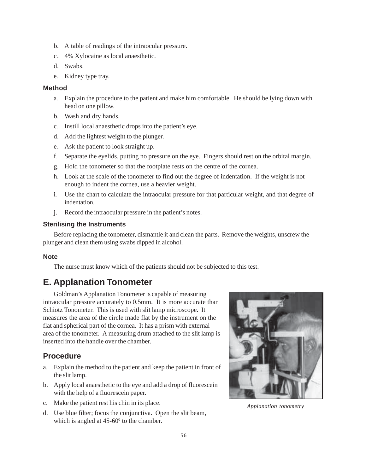- b. A table of readings of the intraocular pressure.
- c. 4% Xylocaine as local anaesthetic.
- d. Swabs.
- e. Kidney type tray.

### **Method**

- a. Explain the procedure to the patient and make him comfortable. He should be lying down with head on one pillow.
- b. Wash and dry hands.
- c. Instill local anaesthetic drops into the patient's eye.
- d. Add the lightest weight to the plunger.
- e. Ask the patient to look straight up.
- f. Separate the eyelids, putting no pressure on the eye. Fingers should rest on the orbital margin.
- g. Hold the tonometer so that the footplate rests on the centre of the cornea.
- h. Look at the scale of the tonometer to find out the degree of indentation. If the weight is not enough to indent the cornea, use a heavier weight.
- i. Use the chart to calculate the intraocular pressure for that particular weight, and that degree of indentation.
- j. Record the intraocular pressure in the patient's notes.

### **Sterilising the Instruments**

Before replacing the tonometer, dismantle it and clean the parts. Remove the weights, unscrew the plunger and clean them using swabs dipped in alcohol.

#### **Note**

The nurse must know which of the patients should not be subjected to this test.

# **E. Applanation Tonometer**

Goldman's Applanation Tonometer is capable of measuring intraocular pressure accurately to 0.5mm. It is more accurate than Schiotz Tonometer. This is used with slit lamp microscope. It measures the area of the circle made flat by the instrument on the flat and spherical part of the cornea. It has a prism with external area of the tonometer. A measuring drum attached to the slit lamp is inserted into the handle over the chamber.

# **Procedure**

- a. Explain the method to the patient and keep the patient in front of the slit lamp.
- b. Apply local anaesthetic to the eye and add a drop of fluorescein with the help of a fluorescein paper.
- c. Make the patient rest his chin in its place.
- d. Use blue filter; focus the conjunctiva. Open the slit beam, which is angled at  $45{\text -}60^{\circ}$  to the chamber.



*Applanation tonometry*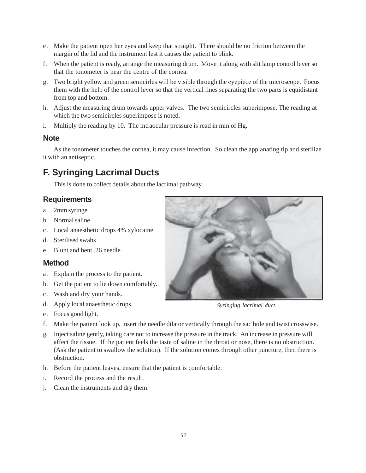- e. Make the patient open her eyes and keep that straight. There should be no friction between the margin of the lid and the instrument lest it causes the patient to blink.
- f. When the patient is ready, arrange the measuring drum. Move it along with slit lamp control lever so that the tonometer is near the centre of the cornea.
- g. Two bright yellow and green semicirles will be visible through the eyepiece of the microscope. Focus them with the help of the control lever so that the vertical lines separating the two parts is equidistant from top and bottom.
- h. Adjust the measuring drum towards upper valves. The two semicircles superimpose. The reading at which the two semicircles superimpose is noted.
- i. Multiply the reading by 10. The intraocular pressure is read in mm of Hg.

### **Note**

As the tonometer touches the cornea, it may cause infection. So clean the applanating tip and sterilize it with an antiseptic.

# **F. Syringing Lacrimal Ducts**

This is done to collect details about the lacrimal pathway.

# **Requirements**

- a. 2mm syringe
- b. Normal saline
- c. Local anaesthetic drops 4% xylocaine
- d. Sterilised swabs
- e. Blunt and bent .26 needle

## **Method**

- a. Explain the process to the patient.
- b. Get the patient to lie down comfortably.
- c. Wash and dry your hands.
- d. Apply local anaesthetic drops.
- e. Focus good light.
- f. Make the patient look up, insert the needle dilator vertically through the sac hole and twist crosswise.
- g. Inject saline gently, taking care not to increase the pressure in the track. An increase in pressure will affect the tissue. If the patient feels the taste of saline in the throat or nose, there is no obstruction. (Ask the patient to swallow the solution). If the solution comes through other puncture, then there is obstruction.
- h. Before the patient leaves, ensure that the patient is comfortable.
- i. Record the process and the result.
- j. Clean the instruments and dry them.



*Syringing lacrimal duct*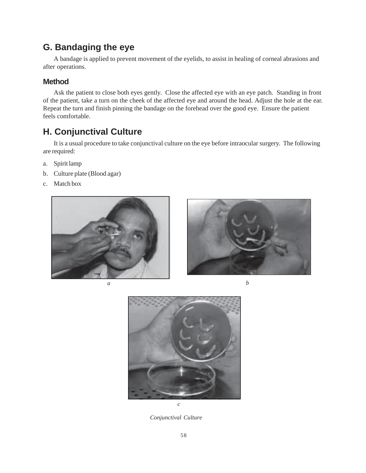# **G. Bandaging the eye**

A bandage is applied to prevent movement of the eyelids, to assist in healing of corneal abrasions and after operations.

# **Method**

Ask the patient to close both eyes gently. Close the affected eye with an eye patch. Standing in front of the patient, take a turn on the cheek of the affected eye and around the head. Adjust the hole at the ear. Repeat the turn and finish pinning the bandage on the forehead over the good eye. Ensure the patient feels comfortable.

# **H. Conjunctival Culture**

It is a usual procedure to take conjunctival culture on the eye before intraocular surgery. The following are required:

- a. Spirit lamp
- b. Culture plate (Blood agar)
- c. Match box







*Conjunctival Culture*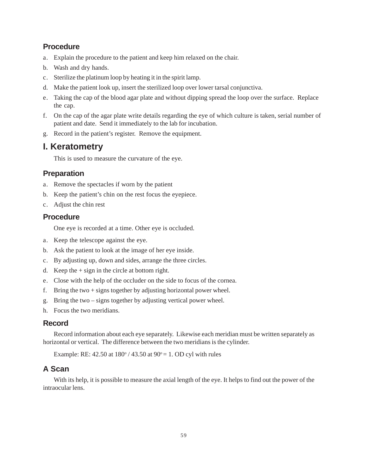# **Procedure**

- a. Explain the procedure to the patient and keep him relaxed on the chair.
- b. Wash and dry hands.
- c. Sterilize the platinum loop by heating it in the spirit lamp.
- d. Make the patient look up, insert the sterilized loop over lower tarsal conjunctiva.
- e. Taking the cap of the blood agar plate and without dipping spread the loop over the surface. Replace the cap.
- f. On the cap of the agar plate write details regarding the eye of which culture is taken, serial number of patient and date. Send it immediately to the lab for incubation.
- g. Record in the patient's register. Remove the equipment.

# **I. Keratometry**

This is used to measure the curvature of the eye.

# **Preparation**

- a. Remove the spectacles if worn by the patient
- b. Keep the patient's chin on the rest focus the eyepiece.
- c. Adjust the chin rest

# **Procedure**

One eye is recorded at a time. Other eye is occluded.

- a. Keep the telescope against the eye.
- b. Ask the patient to look at the image of her eye inside.
- c. By adjusting up, down and sides, arrange the three circles.
- d. Keep the  $+$  sign in the circle at bottom right.
- e. Close with the help of the occluder on the side to focus of the cornea.
- f. Bring the two  $+$  signs together by adjusting horizontal power wheel.
- g. Bring the two signs together by adjusting vertical power wheel.
- h. Focus the two meridians.

# **Record**

Record information about each eye separately. Likewise each meridian must be written separately as horizontal or vertical. The difference between the two meridians is the cylinder.

Example: RE:  $42.50$  at  $180^{\circ}$  /  $43.50$  at  $90^{\circ} = 1$ . OD cyl with rules

# **A Scan**

With its help, it is possible to measure the axial length of the eye. It helps to find out the power of the intraocular lens.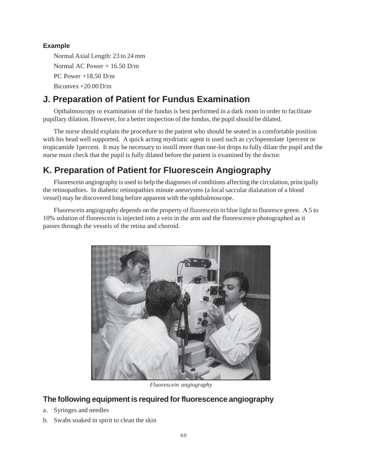# **Example**

Normal Axial Length: 23 to 24 mm Normal AC Power + 16.50 D/m PC Power +18.50 D/m Biconvex +20.00 D/m

# **J. Preparation of Patient for Fundus Examination**

Opthalmoscopy or examination of the fundus is best performed in a dark room in order to facilitate pupillary dilation. However, for a better inspection of the fundus, the pupil should be dilated.

The nurse should explain the procedure to the patient who should be seated in a comfortable position with his head well supported. A quick acting mydriatic agent is used such as cyclopentolate 1percent or tropicamide 1percent. It may be necessary to instill more than one-lot drops to fully dilate the pupil and the nurse must check that the pupil is fully dilated before the patient is examined by the doctor.

# **K. Preparation of Patient for Fluorescein Angiography**

Fluorescein angiography is used to help the diagnoses of conditions affecting the circulation, principally the retinopathies. In diabetic retinopathies minute aneurysms (a local saccular dialatation of a blood vessel) may be discovered long before apparent with the ophthalmoscope.

Fluorescein angiography depends on the property of fluorescein in blue light to fluoresce green. A 5 to 10% solution of fluorescein is injected into a vein in the arm and the fluorescence photographed as it passes through the vessels of the retina and choroid.



*Fluorescein angiography*

# **The following equipment is required for fluorescence angiography**

- a. Syringes and needles
- b. Swabs soaked in spirit to clean the skin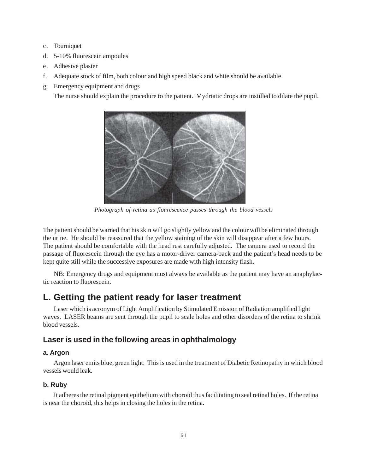- c. Tourniquet
- d. 5-10% fluorescein ampoules
- e. Adhesive plaster
- f. Adequate stock of film, both colour and high speed black and white should be available
- g. Emergency equipment and drugs

The nurse should explain the procedure to the patient. Mydriatic drops are instilled to dilate the pupil.



*Photograph of retina as flourescence passes through the blood vessels*

The patient should be warned that his skin will go slightly yellow and the colour will be eliminated through the urine. He should be reassured that the yellow staining of the skin will disappear after a few hours. The patient should be comfortable with the head rest carefully adjusted. The camera used to record the passage of fluorescein through the eye has a motor-driver camera-back and the patient's head needs to be kept quite still while the successive exposures are made with high intensity flash.

NB: Emergency drugs and equipment must always be available as the patient may have an anaphylactic reaction to fluorescein.

# **L. Getting the patient ready for laser treatment**

Laser which is acronym of Light Amplification by Stimulated Emission of Radiation amplified light waves. LASER beams are sent through the pupil to scale holes and other disorders of the retina to shrink blood vessels.

# **Laser is used in the following areas in ophthalmology**

#### **a. Argon**

Argon laser emits blue, green light. This is used in the treatment of Diabetic Retinopathy in which blood vessels would leak.

### **b. Ruby**

It adheres the retinal pigment epithelium with choroid thus facilitating to seal retinal holes. If the retina is near the choroid, this helps in closing the holes in the retina.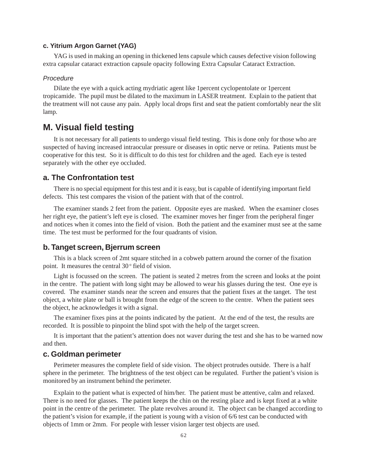## **c. Yitrium Argon Garnet (YAG)**

YAG is used in making an opening in thickened lens capsule which causes defective vision following extra capsular cataract extraction capsule opacity following Extra Capsular Cataract Extraction.

#### *Procedure*

Dilate the eye with a quick acting mydriatic agent like 1percent cyclopentolate or 1percent tropicamide. The pupil must be dilated to the maximum in LASER treatment. Explain to the patient that the treatment will not cause any pain. Apply local drops first and seat the patient comfortably near the slit lamp.

# **M. Visual field testing**

It is not necessary for all patients to undergo visual field testing. This is done only for those who are suspected of having increased intraocular pressure or diseases in optic nerve or retina. Patients must be cooperative for this test. So it is difficult to do this test for children and the aged. Each eye is tested separately with the other eye occluded.

## **a. The Confrontation test**

There is no special equipment for this test and it is easy, but is capable of identifying important field defects. This test compares the vision of the patient with that of the control.

The examiner stands 2 feet from the patient. Opposite eyes are masked. When the examiner closes her right eye, the patient's left eye is closed. The examiner moves her finger from the peripheral finger and notices when it comes into the field of vision. Both the patient and the examiner must see at the same time. The test must be performed for the four quadrants of vision.

### **b. Tanget screen, Bjerrum screen**

This is a black screen of 2mt square stitched in a cobweb pattern around the corner of the fixation point. It measures the central  $30^{\circ}$  field of vision.

Light is focussed on the screen. The patient is seated 2 metres from the screen and looks at the point in the centre. The patient with long sight may be allowed to wear his glasses during the test. One eye is covered. The examiner stands near the screen and ensures that the patient fixes at the tanget. The test object, a white plate or ball is brought from the edge of the screen to the centre. When the patient sees the object, he acknowledges it with a signal.

The examiner fixes pins at the points indicated by the patient. At the end of the test, the results are recorded. It is possible to pinpoint the blind spot with the help of the target screen.

It is important that the patient's attention does not waver during the test and she has to be warned now and then.

### **c. Goldman perimeter**

Perimeter measures the complete field of side vision. The object protrudes outside. There is a half sphere in the perimeter. The brightness of the test object can be regulated. Further the patient's vision is monitored by an instrument behind the perimeter.

Explain to the patient what is expected of him/her. The patient must be attentive, calm and relaxed. There is no need for glasses. The patient keeps the chin on the resting place and is kept fixed at a white point in the centre of the perimeter. The plate revolves around it. The object can be changed according to the patient's vision for example, if the patient is young with a vision of 6/6 test can be conducted with objects of 1mm or 2mm. For people with lesser vision larger test objects are used.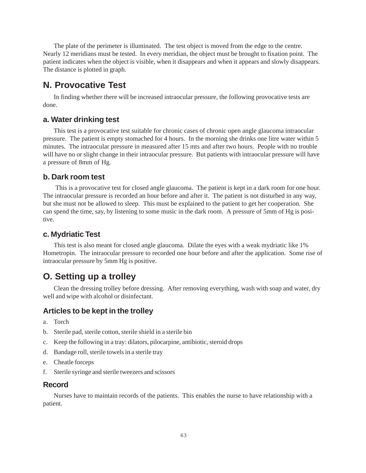The plate of the perimeter is illuminated. The test object is moved from the edge to the centre. Nearly 12 meridians must be tested. In every meridian, the object must be brought to fixation point. The patient indicates when the object is visible, when it disappears and when it appears and slowly disappears. The distance is plotted in graph.

# **N. Provocative Test**

In finding whether there will be increased intraocular pressure, the following provocative tests are done.

# **a. Water drinking test**

This test is a provocative test suitable for chronic cases of chronic open angle glaucoma intraocular pressure. The patient is empty stomached for 4 hours. In the morning she drinks one litre water within 5 minutes. The intraocular pressure in measured after 15 mts and after two hours. People with no trouble will have no or slight change in their intraocular pressure. But patients with intraocular pressure will have a pressure of 8mm of Hg.

# **b. Dark room test**

 This is a provocative test for closed angle glaucoma. The patient is kept in a dark room for one hour. The intraocular pressure is recorded an hour before and after it. The patient is not disturbed in any way, but she must not be allowed to sleep. This must be explained to the patient to get her cooperation. She can spend the time, say, by listening to some music in the dark room. A pressure of 5mm of Hg is positive.

# **c. Mydriatic Test**

This test is also meant for closed angle glaucoma. Dilate the eyes with a weak mydriatic like 1% Hometropin. The intraocular pressure to recorded one hour before and after the application. Some rise of intraocular pressure by 5mm Hg is positive.

# **O. Setting up a trolley**

Clean the dressing trolley before dressing. After removing everything, wash with soap and water, dry well and wipe with alcohol or disinfectant.

# **Articles to be kept in the trolley**

- a. Torch
- b. Sterile pad, sterile cotton, sterile shield in a sterile bin
- c. Keep the following in a tray: dilators, pilocarpine, antibiotic, steroid drops
- d. Bandage roll, sterile towels in a sterile tray
- e. Cheatle forceps
- f. Sterile syringe and sterile tweezers and scissors

## **Record**

Nurses have to maintain records of the patients. This enables the nurse to have relationship with a patient.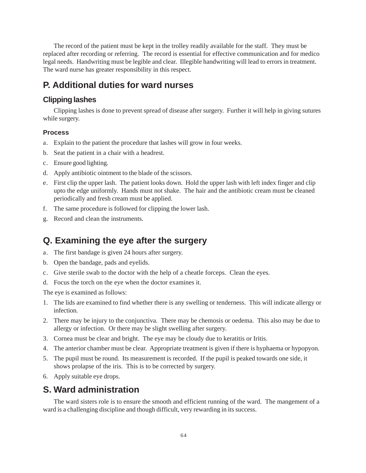The record of the patient must be kept in the trolley readily available for the staff. They must be replaced after recording or referring. The record is essential for effective communication and for medico legal needs. Handwriting must be legible and clear. Illegible handwriting will lead to errors in treatment. The ward nurse has greater responsibility in this respect.

# **P. Additional duties for ward nurses**

# **Clipping lashes**

Clipping lashes is done to prevent spread of disease after surgery. Further it will help in giving sutures while surgery.

# **Process**

- a. Explain to the patient the procedure that lashes will grow in four weeks.
- b. Seat the patient in a chair with a headrest.
- c. Ensure good lighting.
- d. Apply antibiotic ointment to the blade of the scissors.
- e. First clip the upper lash. The patient looks down. Hold the upper lash with left index finger and clip upto the edge uniformly. Hands must not shake. The hair and the antibiotic cream must be cleaned periodically and fresh cream must be applied.
- f. The same procedure is followed for clipping the lower lash.
- g. Record and clean the instruments.

# **Q. Examining the eye after the surgery**

- a. The first bandage is given 24 hours after surgery.
- b. Open the bandage, pads and eyelids.
- c. Give sterile swab to the doctor with the help of a cheatle forceps. Clean the eyes.
- d. Focus the torch on the eye when the doctor examines it.

The eye is examined as follows:

- 1. The lids are examined to find whether there is any swelling or tenderness. This will indicate allergy or infection.
- 2. There may be injury to the conjunctiva. There may be chemosis or oedema. This also may be due to allergy or infection. Or there may be slight swelling after surgery.
- 3. Cornea must be clear and bright. The eye may be cloudy due to keratitis or Iritis.
- 4. The anterior chamber must be clear. Appropriate treatment is given if there is hyphaema or hypopyon.
- 5. The pupil must be round. Its measurement is recorded. If the pupil is peaked towards one side, it shows prolapse of the iris. This is to be corrected by surgery.
- 6. Apply suitable eye drops.

# **S. Ward administration**

The ward sisters role is to ensure the smooth and efficient running of the ward. The mangement of a ward is a challenging discipline and though difficult, very rewarding in its success.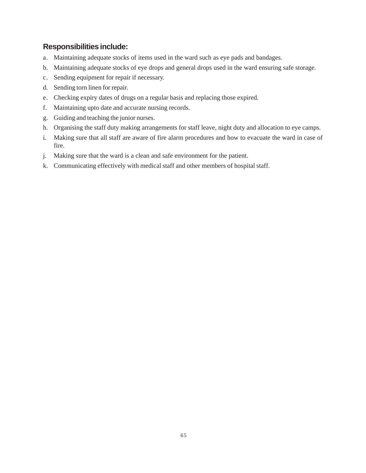# **Responsibilities include:**

- a. Maintaining adequate stocks of items used in the ward such as eye pads and bandages.
- b. Maintaining adequate stocks of eye drops and general drops used in the ward ensuring safe storage.
- c. Sending equipment for repair if necessary.
- d. Sending torn linen for repair.
- e. Checking expiry dates of drugs on a regular basis and replacing those expired.
- f. Maintaining upto date and accurate nursing records.
- g. Guiding and teaching the junior nurses.
- h. Organising the staff duty making arrangements for staff leave, night duty and allocation to eye camps.
- i. Making sure that all staff are aware of fire alarm procedures and how to evacuate the ward in case of fire.
- j. Making sure that the ward is a clean and safe environment for the patient.
- k. Communicating effectively with medical staff and other members of hospital staff.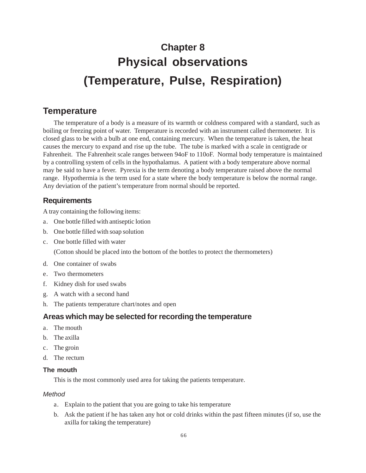# **Chapter 8 Physical observations (Temperature, Pulse, Respiration)**

# **Temperature**

The temperature of a body is a measure of its warmth or coldness compared with a standard, such as boiling or freezing point of water. Temperature is recorded with an instrument called thermometer. It is closed glass to be with a bulb at one end, containing mercury. When the temperature is taken, the heat causes the mercury to expand and rise up the tube. The tube is marked with a scale in centigrade or Fahrenheit. The Fahrenheit scale ranges between 94oF to 110oF. Normal body temperature is maintained by a controlling system of cells in the hypothalamus. A patient with a body temperature above normal may be said to have a fever. Pyrexia is the term denoting a body temperature raised above the normal range. Hypothermia is the term used for a state where the body temperature is below the normal range. Any deviation of the patient's temperature from normal should be reported.

# **Requirements**

A tray containing the following items:

- a. One bottle filled with antiseptic lotion
- b. One bottle filled with soap solution
- c. One bottle filled with water

(Cotton should be placed into the bottom of the bottles to protect the thermometers)

- d. One container of swabs
- e. Two thermometers
- f. Kidney dish for used swabs
- g. A watch with a second hand
- h. The patients temperature chart/notes and open

# **Areas which may be selected for recording the temperature**

- a. The mouth
- b. The axilla
- c. The groin
- d. The rectum

# **The mouth**

This is the most commonly used area for taking the patients temperature.

# *Method*

- a. Explain to the patient that you are going to take his temperature
- b. Ask the patient if he has taken any hot or cold drinks within the past fifteen minutes (if so, use the axilla for taking the temperature)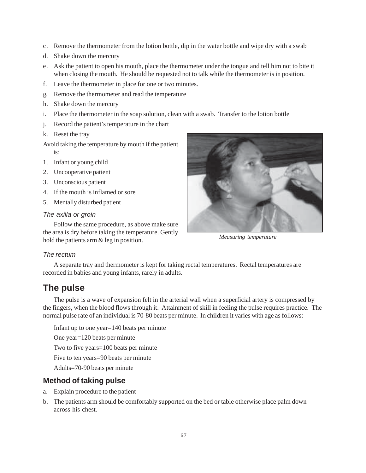- c. Remove the thermometer from the lotion bottle, dip in the water bottle and wipe dry with a swab
- d. Shake down the mercury
- e. Ask the patient to open his mouth, place the thermometer under the tongue and tell him not to bite it when closing the mouth. He should be requested not to talk while the thermometer is in position.
- f. Leave the thermometer in place for one or two minutes.
- g. Remove the thermometer and read the temperature
- h. Shake down the mercury
- i. Place the thermometer in the soap solution, clean with a swab. Transfer to the lotion bottle
- j. Record the patient's temperature in the chart
- k. Reset the tray
- Avoid taking the temperature by mouth if the patient is:
- 1. Infant or young child
- 2. Uncooperative patient
- 3. Unconscious patient
- 4. If the mouth is inflamed or sore
- 5. Mentally disturbed patient

#### *The axilla or groin*

Follow the same procedure, as above make sure the area is dry before taking the temperature. Gently hold the patients arm & leg in position.



*Measuring temperature*

## *The rectum*

A separate tray and thermometer is kept for taking rectal temperatures. Rectal temperatures are recorded in babies and young infants, rarely in adults.

# **The pulse**

The pulse is a wave of expansion felt in the arterial wall when a superficial artery is compressed by the fingers, when the blood flows through it. Attainment of skill in feeling the pulse requires practice. The normal pulse rate of an individual is 70-80 beats per minute. In children it varies with age as follows:

Infant up to one year=140 beats per minute One year=120 beats per minute Two to five years=100 beats per minute Five to ten years=90 beats per minute Adults=70-90 beats per minute

# **Method of taking pulse**

- a. Explain procedure to the patient
- b. The patients arm should be comfortably supported on the bed or table otherwise place palm down across his chest.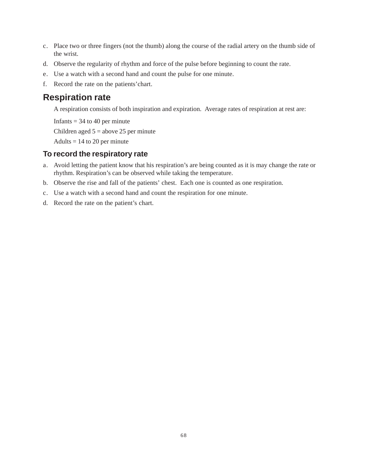- c. Place two or three fingers (not the thumb) along the course of the radial artery on the thumb side of the wrist.
- d. Observe the regularity of rhythm and force of the pulse before beginning to count the rate.
- e. Use a watch with a second hand and count the pulse for one minute.
- f. Record the rate on the patients'chart.

# **Respiration rate**

A respiration consists of both inspiration and expiration. Average rates of respiration at rest are:

Infants  $=$  34 to 40 per minute Children aged  $5 =$  above 25 per minute Adults  $= 14$  to 20 per minute

# **To record the respiratory rate**

- a. Avoid letting the patient know that his respiration's are being counted as it is may change the rate or rhythm. Respiration's can be observed while taking the temperature.
- b. Observe the rise and fall of the patients' chest. Each one is counted as one respiration.
- c. Use a watch with a second hand and count the respiration for one minute.
- d. Record the rate on the patient's chart.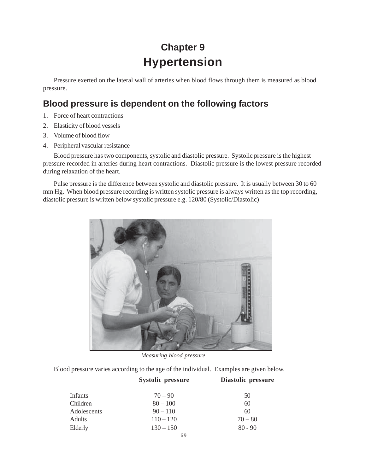# **Chapter 9 Hypertension**

Pressure exerted on the lateral wall of arteries when blood flows through them is measured as blood pressure.

# **Blood pressure is dependent on the following factors**

- 1. Force of heart contractions
- 2. Elasticity of blood vessels
- 3. Volume of blood flow
- 4. Peripheral vascular resistance

Blood pressure has two components, systolic and diastolic pressure. Systolic pressure is the highest pressure recorded in arteries during heart contractions. Diastolic pressure is the lowest pressure recorded during relaxation of the heart.

Pulse pressure is the difference between systolic and diastolic pressure. It is usually between 30 to 60 mm Hg. When blood pressure recording is written systolic pressure is always written as the top recording, diastolic pressure is written below systolic pressure e.g. 120/80 (Systolic/Diastolic)



*Measuring blood pressure*

Blood pressure varies according to the age of the individual. Examples are given below.

|               | <b>Systolic pressure</b> | Diastolic pressure |  |  |  |  |  |
|---------------|--------------------------|--------------------|--|--|--|--|--|
| Infants       | $70 - 90$                | 50                 |  |  |  |  |  |
| Children      | $80 - 100$               | 60                 |  |  |  |  |  |
| Adolescents   | $90 - 110$               | 60                 |  |  |  |  |  |
| <b>Adults</b> | $110 - 120$              | $70 - 80$          |  |  |  |  |  |
| Elderly       | $130 - 150$              | $80 - 90$          |  |  |  |  |  |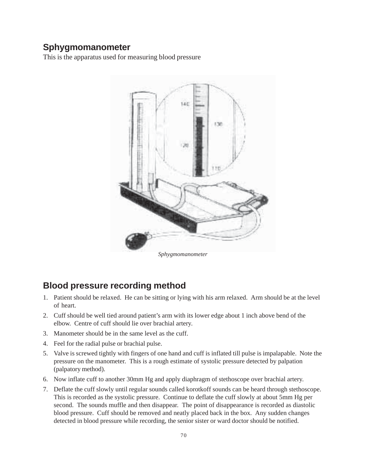# **Sphygmomanometer**

This is the apparatus used for measuring blood pressure



*Sphygmomanometer*

# **Blood pressure recording method**

- 1. Patient should be relaxed. He can be sitting or lying with his arm relaxed. Arm should be at the level of heart.
- 2. Cuff should be well tied around patient's arm with its lower edge about 1 inch above bend of the elbow. Centre of cuff should lie over brachial artery.
- 3. Manometer should be in the same level as the cuff.
- 4. Feel for the radial pulse or brachial pulse.
- 5. Valve is screwed tightly with fingers of one hand and cuff is inflated till pulse is impalapable. Note the pressure on the manometer. This is a rough estimate of systolic pressure detected by palpation (palpatory method).
- 6. Now inflate cuff to another 30mm Hg and apply diaphragm of stethoscope over brachial artery.
- 7. Deflate the cuff slowly until regular sounds called korotkoff sounds can be heard through stethoscope. This is recorded as the systolic pressure. Continue to deflate the cuff slowly at about 5mm Hg per second. The sounds muffle and then disappear. The point of disappearance is recorded as diastolic blood pressure. Cuff should be removed and neatly placed back in the box. Any sudden changes detected in blood pressure while recording, the senior sister or ward doctor should be notified.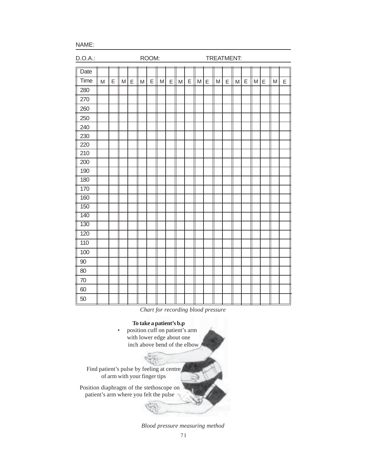NAME:

| $D.O.A.$ : |   | ROOM: |   |             |           |   |           |   | TREATMENT: |   |   |             |   |   |   |   |   |   |   |   |
|------------|---|-------|---|-------------|-----------|---|-----------|---|------------|---|---|-------------|---|---|---|---|---|---|---|---|
| Date       |   |       |   |             |           |   |           |   |            |   |   |             |   |   |   |   |   |   |   |   |
| Time       | M | E     | M | $\mathsf E$ | ${\sf M}$ | E | ${\sf M}$ | E | M          | E | M | $\mathsf E$ | M | E | M | E | M | E | M | E |
| 280        |   |       |   |             |           |   |           |   |            |   |   |             |   |   |   |   |   |   |   |   |
| 270        |   |       |   |             |           |   |           |   |            |   |   |             |   |   |   |   |   |   |   |   |
| 260        |   |       |   |             |           |   |           |   |            |   |   |             |   |   |   |   |   |   |   |   |
| 250        |   |       |   |             |           |   |           |   |            |   |   |             |   |   |   |   |   |   |   |   |
| 240        |   |       |   |             |           |   |           |   |            |   |   |             |   |   |   |   |   |   |   |   |
| 230        |   |       |   |             |           |   |           |   |            |   |   |             |   |   |   |   |   |   |   |   |
| 220        |   |       |   |             |           |   |           |   |            |   |   |             |   |   |   |   |   |   |   |   |
| 210        |   |       |   |             |           |   |           |   |            |   |   |             |   |   |   |   |   |   |   |   |
| 200        |   |       |   |             |           |   |           |   |            |   |   |             |   |   |   |   |   |   |   |   |
| 190        |   |       |   |             |           |   |           |   |            |   |   |             |   |   |   |   |   |   |   |   |
| 180        |   |       |   |             |           |   |           |   |            |   |   |             |   |   |   |   |   |   |   |   |
| 170        |   |       |   |             |           |   |           |   |            |   |   |             |   |   |   |   |   |   |   |   |
| 160        |   |       |   |             |           |   |           |   |            |   |   |             |   |   |   |   |   |   |   |   |
| 150        |   |       |   |             |           |   |           |   |            |   |   |             |   |   |   |   |   |   |   |   |
| 140        |   |       |   |             |           |   |           |   |            |   |   |             |   |   |   |   |   |   |   |   |
| 130        |   |       |   |             |           |   |           |   |            |   |   |             |   |   |   |   |   |   |   |   |
| 120        |   |       |   |             |           |   |           |   |            |   |   |             |   |   |   |   |   |   |   |   |
| 110        |   |       |   |             |           |   |           |   |            |   |   |             |   |   |   |   |   |   |   |   |
| 100        |   |       |   |             |           |   |           |   |            |   |   |             |   |   |   |   |   |   |   |   |
| $90\,$     |   |       |   |             |           |   |           |   |            |   |   |             |   |   |   |   |   |   |   |   |
| 80         |   |       |   |             |           |   |           |   |            |   |   |             |   |   |   |   |   |   |   |   |
| 70         |   |       |   |             |           |   |           |   |            |   |   |             |   |   |   |   |   |   |   |   |
| 60         |   |       |   |             |           |   |           |   |            |   |   |             |   |   |   |   |   |   |   |   |
| 50         |   |       |   |             |           |   |           |   |            |   |   |             |   |   |   |   |   |   |   |   |

*Chart for recording blood pressure*

#### **To take a patient's b.p**

position cuff on patient's arm with lower edge about one inch above bend of the elbow

Find patient's pulse by feeling at centre of arm with your finger tips

Position diaphragm of the stethoscope on patient's arm where you felt the pulse

*Blood pressure measuring method*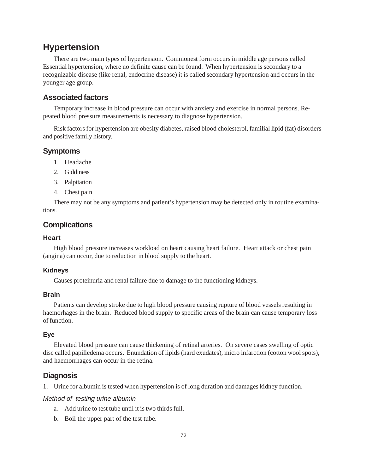# **Hypertension**

There are two main types of hypertension. Commonest form occurs in middle age persons called Essential hypertension, where no definite cause can be found. When hypertension is secondary to a recognizable disease (like renal, endocrine disease) it is called secondary hypertension and occurs in the younger age group.

# **Associated factors**

Temporary increase in blood pressure can occur with anxiety and exercise in normal persons. Repeated blood pressure measurements is necessary to diagnose hypertension.

Risk factors for hypertension are obesity diabetes, raised blood cholesterol, familial lipid (fat) disorders and positive family history.

# **Symptoms**

- 1. Headache
- 2. Giddiness
- 3. Palpitation
- 4. Chest pain

There may not be any symptoms and patient's hypertension may be detected only in routine examinations.

# **Complications**

# **Heart**

High blood pressure increases workload on heart causing heart failure. Heart attack or chest pain (angina) can occur, due to reduction in blood supply to the heart.

# **Kidneys**

Causes proteinuria and renal failure due to damage to the functioning kidneys.

# **Brain**

Patients can develop stroke due to high blood pressure causing rupture of blood vessels resulting in haemorhages in the brain. Reduced blood supply to specific areas of the brain can cause temporary loss of function.

# **Eye**

Elevated blood pressure can cause thickening of retinal arteries. On severe cases swelling of optic disc called papilledema occurs. Enundation of lipids (hard exudates), micro infarction (cotton wool spots), and haemorrhages can occur in the retina.

# **Diagnosis**

1. Urine for albumin is tested when hypertension is of long duration and damages kidney function.

## *Method of testing urine albumin*

- a. Add urine to test tube until it is two thirds full.
- b. Boil the upper part of the test tube.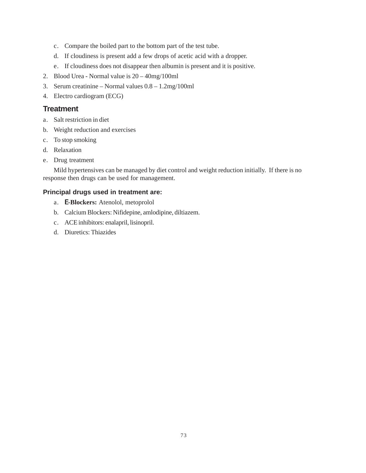- c. Compare the boiled part to the bottom part of the test tube.
- d. If cloudiness is present add a few drops of acetic acid with a dropper.
- e. If cloudiness does not disappear then albumin is present and it is positive.
- 2. Blood Urea Normal value is 20 40mg/100ml
- 3. Serum creatinine Normal values 0.8 1.2mg/100ml
- 4. Electro cardiogram (ECG)

### **Treatment**

- a. Salt restriction in diet
- b. Weight reduction and exercises
- c. To stop smoking
- d. Relaxation
- e. Drug treatment

Mild hypertensives can be managed by diet control and weight reduction initially. If there is no response then drugs can be used for management.

#### **Principal drugs used in treatment are:**

- a. **η-Blockers:** Atenolol, metoprolol
- b. Calcium Blockers: Nifidepine, amlodipine, diltiazem.
- c. ACE inhibitors: enalapril, lisinopril.
- d. Diuretics: Thiazides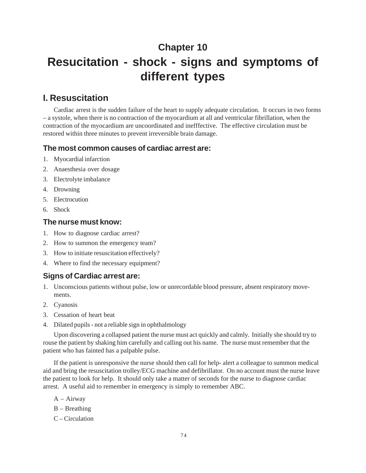# **Chapter 10 Resucitation - shock - signs and symptoms of different types**

# **I. Resuscitation**

Cardiac arrest is the sudden failure of the heart to supply adequate circulation. It occurs in two forms – a systole, when there is no contraction of the myocardium at all and ventricular fibrillation, when the contraction of the myocardium are uncoordinated and inefffective. The effective circulation must be restored within three minutes to prevent irreversible brain damage.

#### **The most common causes of cardiac arrest are:**

- 1. Myocardial infarction
- 2. Anaesthesia over dosage
- 3. Electrolyte imbalance
- 4. Drowning
- 5. Electrocution
- 6. Shock

#### **The nurse must know:**

- 1. How to diagnose cardiac arrest?
- 2. How to summon the emergency team?
- 3. How to initiate resuscitation effectively?
- 4. Where to find the necessary equipment?

### **Signs of Cardiac arrest are:**

- 1. Unconscious patients without pulse, low or unrecordable blood pressure, absent respiratory movements.
- 2. Cyanosis
- 3. Cessation of heart beat
- 4. Dilated pupils not a reliable sign in ophthalmology

Upon discovering a collapsed patient the nurse must act quickly and calmly. Initially she should try to rouse the patient by shaking him carefully and calling out his name. The nurse must remember that the patient who has fainted has a palpable pulse.

If the patient is unresponsive the nurse should then call for help- alert a colleague to summon medical aid and bring the resuscitation trolley/ECG machine and defibrillator. On no account must the nurse leave the patient to look for help. It should only take a matter of seconds for the nurse to diagnose cardiac arrest. A useful aid to remember in emergency is simply to remember ABC.

- A Airway
- B Breathing
- C Circulation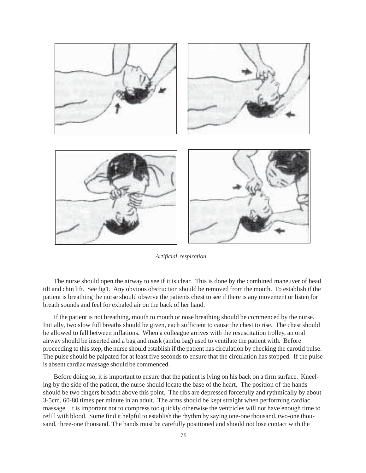

*Artificial respiration*

The nurse should open the airway to see if it is clear. This is done by the combined maneuver of head tilt and chin lift. See fig1. Any obvious obstruction should be removed from the mouth. To establish if the patient is breathing the nurse should observe the patients chest to see if there is any movement or listen for breath sounds and feel for exhaled air on the back of her hand.

If the patient is not breathing, mouth to mouth or nose breathing should be commenced by the nurse. Initially, two slow full breaths should be given, each sufficient to cause the chest to rise. The chest should be allowed to fall between inflations. When a colleague arrives with the resuscitation trolley, an oral airway should be inserted and a bag and mask (ambu bag) used to ventilate the patient with. Before proceeding to this step, the nurse should establish if the patient has circulation by checking the carotid pulse. The pulse should be palpated for at least five seconds to ensure that the circulation has stopped. If the pulse is absent cardiac massage should be commenced.

Before doing so, it is important to ensure that the patient is lying on his back on a firm surface. Kneeling by the side of the patient, the nurse should locate the base of the heart. The position of the hands should be two fingers breadth above this point. The ribs are depressed forcefully and rythmically by about 3-5cm, 60-80 times per minute in an adult. The arms should be kept straight when performing cardiac massage. It is important not to compress too quickly otherwise the ventricles will not have enough time to refill with blood. Some find it helpful to establish the rhythm by saying one-one thousand, two-one thousand, three-one thousand. The hands must be carefully positioned and should not lose contact with the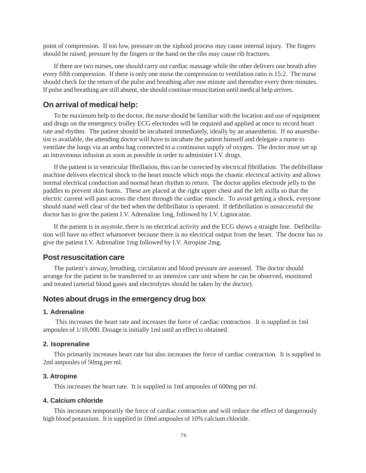point of compression. If too low, pressure on the xiphoid process may cause internal injury. The fingers should be raised; pressure by the fingers or the hand on the ribs may cause rib fractures.

If there are two nurses, one should carry out cardiac massage while the other delivers one breath after every fifth compression. If there is only one nurse the compression to ventilation ratio is 15:2. The nurse should check for the return of the pulse and breathing after one minute and thereafter every three minutes. If pulse and breathing are still absent, she should continue resuscitation until medical help arrives.

#### **On arrival of medical help:**

To be maximum help to the doctor, the nurse should be familiar with the location and use of equipment and drugs on the emergency trolley ECG electrodes will be required and applied at once to record heart rate and rhythm. The patient should be incubated immediately, ideally by an anaesthetist. If no anaesthetist is available, the attending doctor will have to incubate the patient himself and delegate a nurse to ventilate the lungs via an ambu bag connected to a continuous supply of oxygen. The doctor must set up an intravenous infusion as soon as possible in order to administer I.V. drugs.

If the patient is in ventricular fibrillation, this can be corrected by electrical fibrillation. The defibrillator machine delivers electrical shock to the heart muscle which stops the chaotic electrical activity and allows normal electrical conduction and normal heart rhythm to return. The doctor applies electrode jelly to the paddles to prevent skin burns. These are placed at the right upper chest and the left axilla so that the electric current will pass across the chest through the cardiac muscle. To avoid getting a shock, everyone should stand well clear of the bed when the defibrillator is operated. If defibrillation is unsuccessful the doctor has to give the patient I.V. Adrenaline 1mg, followed by I.V. Lignocaine.

If the patient is in asystole, there is no electrical activity and the ECG shows a straight line. Defibrillation will have no effect whatsoever because there is no electrical output from the heart. The doctor has to give the patient I.V. Adrenaline 1mg followed by I.V. Atropine 2mg.

#### **Post resuscitation care**

The patient's airway, breathing, circulation and blood pressure are assessed. The doctor should arrange for the patient to be transferred to an intensive care unit where he can be observed, monitored and treated (arterial blood gases and electrolytes should be taken by the doctor).

#### **Notes about drugs in the emergency drug box**

#### **1. Adrenaline**

 This increases the heart rate and increases the force of cardiac contraction. It is supplied in 1ml ampoules of 1/10,000. Dosage is initially 1ml until an effect is obtained.

#### **2. Isoprenaline**

This primarily increases heart rate but also increases the force of cardiac contraction. It is supplied in 2ml ampoules of 50mg per ml.

#### **3. Atropine**

This increases the heart rate. It is supplied in 1ml ampoules of 600mg per ml.

#### **4. Calcium chloride**

This increases temporarily the force of cardiac contraction and will reduce the effect of dangerously high blood potassium. It is supplied in 10ml ampoules of 10% calcium chloride.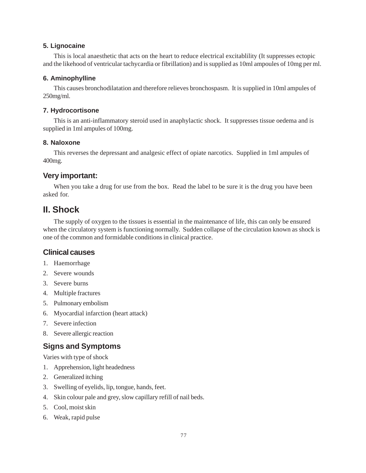#### **5. Lignocaine**

This is local anaesthetic that acts on the heart to reduce electrical excitablility (It suppresses ectopic and the likehood of ventricular tachycardia or fibrillation) and is supplied as 10ml ampoules of 10mg per ml.

#### **6. Aminophylline**

This causes bronchodilatation and therefore relieves bronchospasm. It is supplied in 10ml ampules of 250mg/ml.

#### **7. Hydrocortisone**

This is an anti-inflammatory steroid used in anaphylactic shock. It suppresses tissue oedema and is supplied in 1ml ampules of 100mg.

#### **8. Naloxone**

This reverses the depressant and analgesic effect of opiate narcotics. Supplied in 1ml ampules of 400mg.

### **Very important:**

When you take a drug for use from the box. Read the label to be sure it is the drug you have been asked for.

# **II. Shock**

The supply of oxygen to the tissues is essential in the maintenance of life, this can only be ensured when the circulatory system is functioning normally. Sudden collapse of the circulation known as shock is one of the common and formidable conditions in clinical practice.

### **Clinical causes**

- 1. Haemorrhage
- 2. Severe wounds
- 3. Severe burns
- 4. Multiple fractures
- 5. Pulmonary embolism
- 6. Myocardial infarction (heart attack)
- 7. Severe infection
- 8. Severe allergic reaction

## **Signs and Symptoms**

Varies with type of shock

- 1. Apprehension, light headedness
- 2. Generalized itching
- 3. Swelling of eyelids, lip, tongue, hands, feet.
- 4. Skin colour pale and grey, slow capillary refill of nail beds.
- 5. Cool, moist skin
- 6. Weak, rapid pulse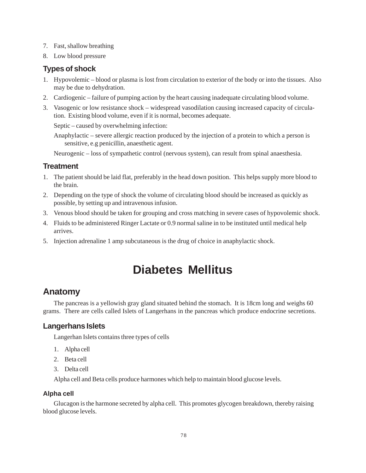- 7. Fast, shallow breathing
- 8. Low blood pressure

### **Types of shock**

- 1. Hypovolemic blood or plasma is lost from circulation to exterior of the body or into the tissues. Also may be due to dehydration.
- 2. Cardiogenic failure of pumping action by the heart causing inadequate circulating blood volume.
- 3. Vasogenic or low resistance shock widespread vasodilation causing increased capacity of circulation. Existing blood volume, even if it is normal, becomes adequate.

Septic – caused by overwhelming infection:

Anaphylactic – severe allergic reaction produced by the injection of a protein to which a person is sensitive, e.g penicillin, anaesthetic agent.

Neurogenic – loss of sympathetic control (nervous system), can result from spinal anaesthesia.

#### **Treatment**

- 1. The patient should be laid flat, preferably in the head down position. This helps supply more blood to the brain.
- 2. Depending on the type of shock the volume of circulating blood should be increased as quickly as possible, by setting up and intravenous infusion.
- 3. Venous blood should be taken for grouping and cross matching in severe cases of hypovolemic shock.
- 4. Fluids to be administered Ringer Lactate or 0.9 normal saline in to be instituted until medical help arrives.
- 5. Injection adrenaline 1 amp subcutaneous is the drug of choice in anaphylactic shock.

# **Diabetes Mellitus**

# **Anatomy**

The pancreas is a yellowish gray gland situated behind the stomach. It is 18cm long and weighs 60 grams. There are cells called Islets of Langerhans in the pancreas which produce endocrine secretions.

#### **Langerhans Islets**

Langerhan Islets contains three types of cells

- 1. Alpha cell
- 2. Beta cell
- 3. Delta cell

Alpha cell and Beta cells produce harmones which help to maintain blood glucose levels.

#### **Alpha cell**

Glucagon is the harmone secreted by alpha cell. This promotes glycogen breakdown, thereby raising blood glucose levels.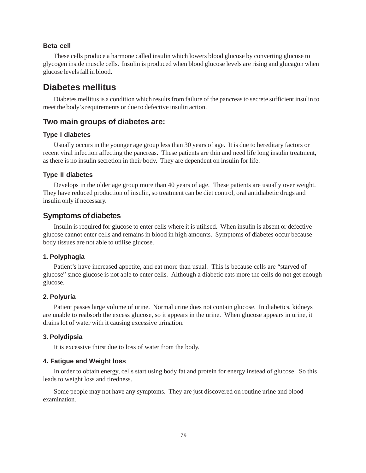#### **Beta cell**

These cells produce a harmone called insulin which lowers blood glucose by converting glucose to glycogen inside muscle cells. Insulin is produced when blood glucose levels are rising and glucagon when glucose levels fall in blood.

### **Diabetes mellitus**

Diabetes mellitus is a condition which results from failure of the pancreas to secrete sufficient insulin to meet the body's requirements or due to defective insulin action.

#### **Two main groups of diabetes are:**

#### **Type I diabetes**

Usually occurs in the younger age group less than 30 years of age. It is due to hereditary factors or recent viral infection affecting the pancreas. These patients are thin and need life long insulin treatment, as there is no insulin secretion in their body. They are dependent on insulin for life.

#### **Type II diabetes**

Develops in the older age group more than 40 years of age. These patients are usually over weight. They have reduced production of insulin, so treatment can be diet control, oral antidiabetic drugs and insulin only if necessary.

#### **Symptoms of diabetes**

Insulin is required for glucose to enter cells where it is utilised. When insulin is absent or defective glucose cannot enter cells and remains in blood in high amounts. Symptoms of diabetes occur because body tissues are not able to utilise glucose.

#### **1. Polyphagia**

Patient's have increased appetite, and eat more than usual. This is because cells are "starved of glucose" since glucose is not able to enter cells. Although a diabetic eats more the cells do not get enough glucose.

#### **2. Polyuria**

Patient passes large volume of urine. Normal urine does not contain glucose. In diabetics, kidneys are unable to reabsorb the excess glucose, so it appears in the urine. When glucose appears in urine, it drains lot of water with it causing excessive urination.

#### **3. Polydipsia**

It is excessive thirst due to loss of water from the body.

#### **4. Fatigue and Weight loss**

In order to obtain energy, cells start using body fat and protein for energy instead of glucose. So this leads to weight loss and tiredness.

Some people may not have any symptoms. They are just discovered on routine urine and blood examination.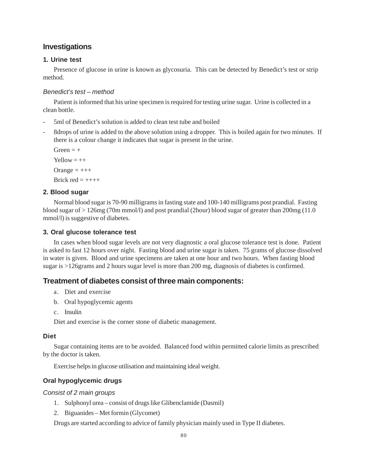### **Investigations**

#### **1. Urine test**

Presence of glucose in urine is known as glycosuria. This can be detected by Benedict's test or strip method.

#### *Benedict's test – method*

Patient is informed that his urine specimen is required for testing urine sugar. Urine is collected in a clean bottle.

- 5ml of Benedict's solution is added to clean test tube and boiled
- 8drops of urine is added to the above solution using a dropper. This is boiled again for two minutes. If there is a colour change it indicates that sugar is present in the urine.

 $Green = +$  $Y$ ellow  $=++$ Orange  $=$   $++$ Brick red  $=$  ++++

#### **2. Blood sugar**

Normal blood sugar is 70-90 milligrams in fasting state and 100-140 milligrams post prandial. Fasting blood sugar of > 126mg (70m mmol/l) and post prandial (2hour) blood sugar of greater than 200mg (11.0 mmol/l) is suggestive of diabetes.

#### **3. Oral glucose tolerance test**

In cases when blood sugar levels are not very diagnostic a oral glucose tolerance test is done. Patient is asked to fast 12 hours over night. Fasting blood and urine sugar is taken. 75 grams of glucose dissolved in water is given. Blood and urine specimens are taken at one hour and two hours. When fasting blood sugar is >126grams and 2 hours sugar level is more than 200 mg, diagnosis of diabetes is confirmed.

### **Treatment of diabetes consist of three main components:**

- a. Diet and exercise
- b. Oral hypoglycemic agents
- c. Insulin

Diet and exercise is the corner stone of diabetic management.

#### **Diet**

Sugar containing items are to be avoided. Balanced food within permitted calorie limits as prescribed by the doctor is taken.

Exercise helps in glucose utilisation and maintaining ideal weight.

#### **Oral hypoglycemic drugs**

#### *Consist of 2 main groups*

- 1. Sulphonyl urea consist of drugs like Glibenclamide (Dasmil)
- 2. Biguanides Met formin (Glycomet)

Drugs are started according to advice of family physician mainly used in Type II diabetes.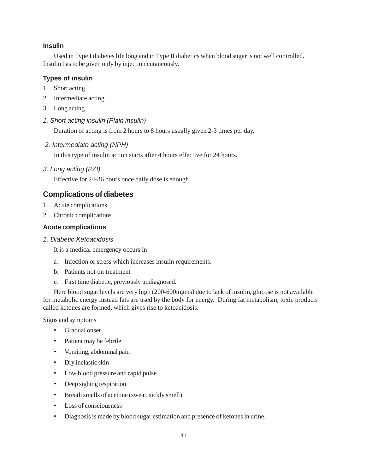#### **Insulin**

Used in Type I diabetes life long and in Type II diabetics when blood sugar is not well controlled. Insulin has to be given only by injection cutaneously.

#### **Types of insulin**

- 1. Short acting
- 2. Intermediate acting
- 3. Long acting
- *1. Short acting insulin (Plain insulin)*

Duration of acting is from 2 hours to 8 hours usually given 2-3 times per day.

 *2. Intermediate acting (NPH)*

In this type of insulin action starts after 4 hours effective for 24 hours.

*3. Long acting (PZI)*

Effective for 24-36 hours once daily dose is enough.

### **Complications of diabetes**

- 1. Acute complications
- 2. Chronic complications

#### **Acute complications**

*1. Diabetic Ketoacidosis*

It is a medical emergency occurs in

- a. Infection or stress which increases insulin requirements.
- b. Patients not on treatment
- c. First time diabetic, previously undiagnosed.

Here blood sugar levels are very high (200-600mgms) due to lack of insulin, glucose is not available for metabolic energy instead fats are used by the body for energy. During fat metabolism, toxic products called ketones are formed, which gives rise to ketoacidosis.

Signs and symptoms

- Gradual onset
- Patient may be febrile
- Vomiting, abdominal pain
- Dry inelastic skin
- Low blood pressure and rapid pulse
- Deep sighing respiration
- Breath smells of acetone (sweat, sickly smell)
- Loss of consciousness
- Diagnosis is made by blood sugar estimation and presence of ketones in urine.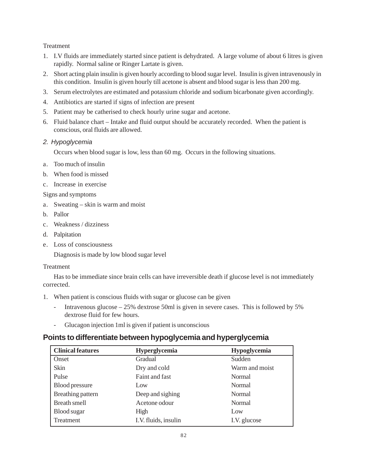**Treatment** 

- 1. I.V fluids are immediately started since patient is dehydrated. A large volume of about 6 litres is given rapidly. Normal saline or Ringer Lartate is given.
- 2. Short acting plain insulin is given hourly according to blood sugar level. Insulin is given intravenously in this condition. Insulin is given hourly till acetone is absent and blood sugar is less than 200 mg.
- 3. Serum electrolytes are estimated and potassium chloride and sodium bicarbonate given accordingly.
- 4. Antibiotics are started if signs of infection are present
- 5. Patient may be catherised to check hourly urine sugar and acetone.
- 6. Fluid balance chart Intake and fluid output should be accurately recorded. When the patient is conscious, oral fluids are allowed.

#### *2. Hypoglycemia*

Occurs when blood sugar is low, less than 60 mg. Occurs in the following situations.

- a. Too much of insulin
- b. When food is missed
- c. Increase in exercise

Signs and symptoms

- a. Sweating skin is warm and moist
- b. Pallor
- c. Weakness / dizziness
- d. Palpitation
- e. Loss of consciousness

Diagnosis is made by low blood sugar level

#### **Treatment**

Has to be immediate since brain cells can have irreversible death if glucose level is not immediately corrected.

- 1. When patient is conscious fluids with sugar or glucose can be given
	- Intravenous glucose 25% dextrose 50ml is given in severe cases. This is followed by 5% dextrose fluid for few hours.
	- Glucagon injection 1ml is given if patient is unconscious

## **Points to differentiate between hypoglycemia and hyperglycemia**

| <b>Clinical features</b> | <b>Hyperglycemia</b> | Hypoglycemia   |
|--------------------------|----------------------|----------------|
| Onset                    | Gradual              | Sudden         |
| Skin                     | Dry and cold         | Warm and moist |
| Pulse                    | Faint and fast       | Normal         |
| Blood pressure           | Low                  | Normal         |
| Breathing pattern        | Deep and sighing     | Normal         |
| <b>Breath smell</b>      | Acetone odour        | Normal         |
| <b>Blood</b> sugar       | High                 | Low            |
| Treatment                | I.V. fluids, insulin | I.V. glucose   |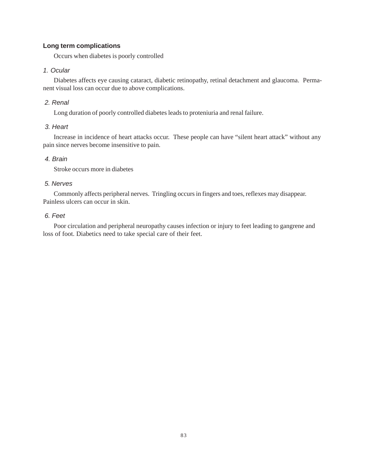#### **Long term complications**

Occurs when diabetes is poorly controlled

#### *1. Ocular*

Diabetes affects eye causing cataract, diabetic retinopathy, retinal detachment and glaucoma. Permanent visual loss can occur due to above complications.

#### *2. Renal*

Long duration of poorly controlled diabetes leads to proteniuria and renal failure.

#### *3. Heart*

Increase in incidence of heart attacks occur. These people can have "silent heart attack" without any pain since nerves become insensitive to pain.

#### *4. Brain*

Stroke occurs more in diabetes

#### *5. Nerves*

Commonly affects peripheral nerves. Tringling occurs in fingers and toes, reflexes may disappear. Painless ulcers can occur in skin.

#### *6. Feet*

Poor circulation and peripheral neuropathy causes infection or injury to feet leading to gangrene and loss of foot. Diabetics need to take special care of their feet.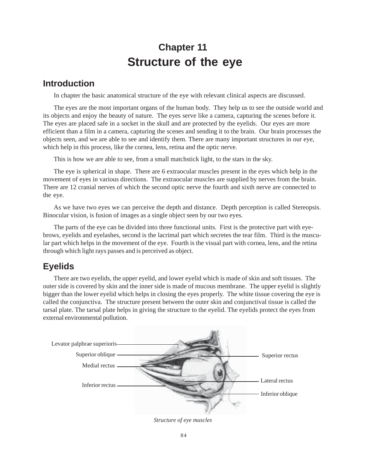# **Chapter 11 Structure of the eye**

# **Introduction**

In chapter the basic anatomical structure of the eye with relevant clinical aspects are discussed.

The eyes are the most important organs of the human body. They help us to see the outside world and its objects and enjoy the beauty of nature. The eyes serve like a camera, capturing the scenes before it. The eyes are placed safe in a socket in the skull and are protected by the eyelids. Our eyes are more efficient than a film in a camera, capturing the scenes and sending it to the brain. Our brain processes the objects seen, and we are able to see and identify them. There are many important structures in our eye, which help in this process, like the cornea, lens, retina and the optic nerve.

This is how we are able to see, from a small matchstick light, to the stars in the sky.

The eye is spherical in shape. There are 6 extraocular muscles present in the eyes which help in the movement of eyes in various directions. The extraocular muscles are supplied by nerves from the brain. There are 12 cranial nerves of which the second optic nerve the fourth and sixth nerve are connected to the eye.

As we have two eyes we can perceive the depth and distance. Depth perception is called Stereopsis. Binocular vision, is fusion of images as a single object seen by our two eyes.

The parts of the eye can be divided into three functional units. First is the protective part with eyebrows, eyelids and eyelashes, second is the lacrimal part which secretes the tear film. Third is the muscular part which helps in the movement of the eye. Fourth is the visual part with cornea, lens, and the retina through which light rays passes and is perceived as object.

# **Eyelids**

There are two eyelids, the upper eyelid, and lower eyelid which is made of skin and soft tissues. The outer side is covered by skin and the inner side is made of mucous membrane. The upper eyelid is slightly bigger than the lower eyelid which helps in closing the eyes properly. The white tissue covering the eye is called the conjunctiva. The structure present between the outer skin and conjunctival tissue is called the tarsal plate. The tarsal plate helps in giving the structure to the eyelid. The eyelids protect the eyes from external environmental pollution.



*Structure of eye muscles*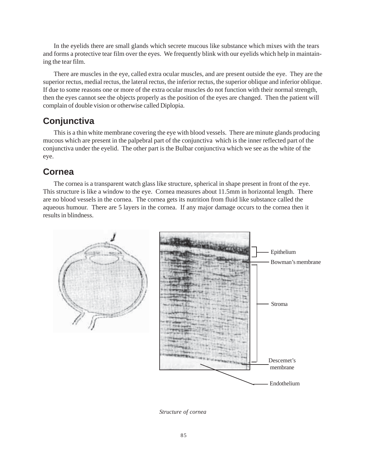In the eyelids there are small glands which secrete mucous like substance which mixes with the tears and forms a protective tear film over the eyes. We frequently blink with our eyelids which help in maintaining the tear film.

There are muscles in the eye, called extra ocular muscles, and are present outside the eye. They are the superior rectus, medial rectus, the lateral rectus, the inferior rectus, the superior oblique and inferior oblique. If due to some reasons one or more of the extra ocular muscles do not function with their normal strength, then the eyes cannot see the objects properly as the position of the eyes are changed. Then the patient will complain of double vision or otherwise called Diplopia.

# **Conjunctiva**

This is a thin white membrane covering the eye with blood vessels. There are minute glands producing mucous which are present in the palpebral part of the conjunctiva which is the inner reflected part of the conjunctiva under the eyelid. The other part is the Bulbar conjunctiva which we see as the white of the eye.

# **Cornea**

The cornea is a transparent watch glass like structure, spherical in shape present in front of the eye. This structure is like a window to the eye. Cornea measures about 11.5mm in horizontal length. There are no blood vessels in the cornea. The cornea gets its nutrition from fluid like substance called the aqueous humour. There are 5 layers in the cornea. If any major damage occurs to the cornea then it results in blindness.



*Structure of cornea*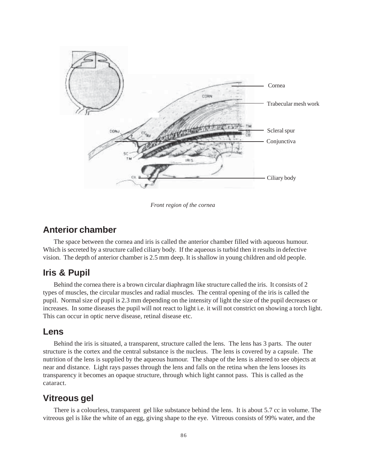

*Front region of the cornea*

### **Anterior chamber**

The space between the cornea and iris is called the anterior chamber filled with aqueous humour. Which is secreted by a structure called ciliary body. If the aqueous is turbid then it results in defective vision. The depth of anterior chamber is 2.5 mm deep. It is shallow in young children and old people.

# **Iris & Pupil**

Behind the cornea there is a brown circular diaphragm like structure called the iris. It consists of 2 types of muscles, the circular muscles and radial muscles. The central opening of the iris is called the pupil. Normal size of pupil is 2.3 mm depending on the intensity of light the size of the pupil decreases or increases. In some diseases the pupil will not react to light i.e. it will not constrict on showing a torch light. This can occur in optic nerve disease, retinal disease etc.

### **Lens**

Behind the iris is situated, a transparent, structure called the lens. The lens has 3 parts. The outer structure is the cortex and the central substance is the nucleus. The lens is covered by a capsule. The nutrition of the lens is supplied by the aqueous humour. The shape of the lens is altered to see objects at near and distance. Light rays passes through the lens and falls on the retina when the lens looses its transparency it becomes an opaque structure, through which light cannot pass. This is called as the cataract.

# **Vitreous gel**

There is a colourless, transparent gel like substance behind the lens. It is about 5.7 cc in volume. The vitreous gel is like the white of an egg, giving shape to the eye. Vitreous consists of 99% water, and the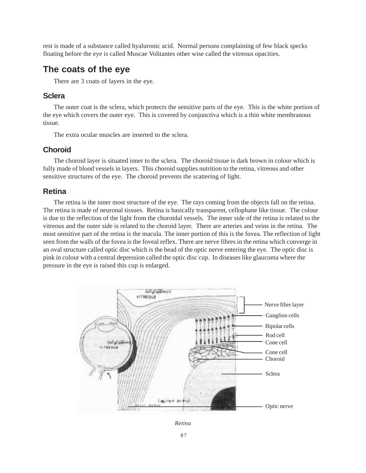rest is made of a substance called hyaluronic acid. Normal persons complaining of few black specks floating before the eye is called Muscae Volitantes other wise called the vitreous opacities.

# **The coats of the eye**

There are 3 coats of layers in the eye.

#### **Sclera**

The outer coat is the sclera, which protects the sensitive parts of the eye. This is the white portion of the eye which covers the outer eye. This is covered by conjunctiva which is a thin white membranous tissue.

The extra ocular muscles are inserted to the sclera.

### **Choroid**

The choroid layer is situated inner to the sclera. The choroid tissue is dark brown in colour which is fully made of blood vessels in layers. This choroid supplies nutrition to the retina, vitreous and other sensitive structures of the eye. The choroid prevents the scattering of light.

### **Retina**

The retina is the inner most structure of the eye. The rays coming from the objects fall on the retina. The retina is made of neuronal tissues. Retina is basically transparent, cellophane like tissue. The colour is due to the reflection of the light from the choroidal vessels. The inner side of the retina is related to the vitreous and the outer side is related to the choroid layer. There are arteries and veins in the retina. The most sensitive part of the retina is the macula. The inner portion of this is the fovea. The reflection of light seen from the walls of the fovea is the foveal reflex. There are nerve fibres in the retina which converge in an oval structure called optic disc which is the head of the optic nerve entering the eye. The optic disc is pink in colour with a central depression called the optic disc cup. In diseases like glaucoma where the pressure in the eye is raised this cup is enlarged.



*Retina*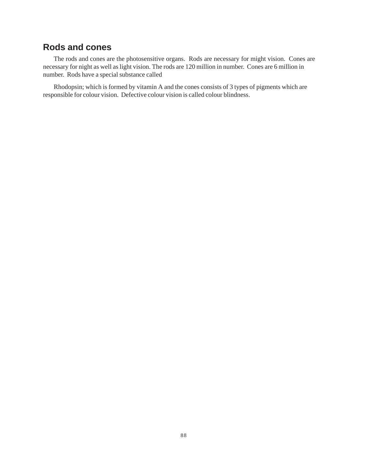# **Rods and cones**

The rods and cones are the photosensitive organs. Rods are necessary for might vision. Cones are necessary for night as well as light vision. The rods are 120 million in number. Cones are 6 million in number. Rods have a special substance called

Rhodopsin; which is formed by vitamin A and the cones consists of 3 types of pigments which are responsible for colour vision. Defective colour vision is called colour blindness.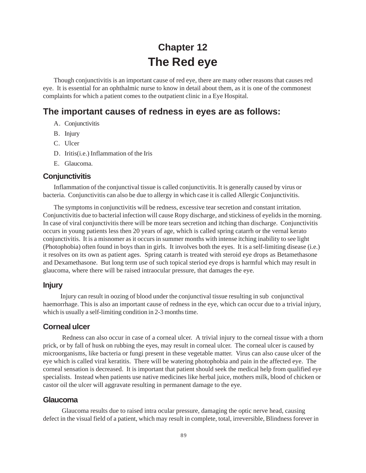# **Chapter 12 The Red eye**

Though conjunctivitis is an important cause of red eye, there are many other reasons that causes red eye. It is essential for an ophthalmic nurse to know in detail about them, as it is one of the commonest complaints for which a patient comes to the outpatient clinic in a Eye Hospital.

# **The important causes of redness in eyes are as follows:**

- A. Conjunctivitis
- B. Injury
- C. Ulcer
- D. Iritis(i.e.) Inflammation of the Iris
- E. Glaucoma.

#### **Conjunctivitis**

Inflammation of the conjunctival tissue is called conjunctivitis. It is generally caused by virus or bacteria. Conjunctivitis can also be due to allergy in which case it is called Allergic Conjunctivitis.

The symptoms in conjunctivitis will be redness, excessive tear secretion and constant irritation. Conjunctivitis due to bacterial infection will cause Ropy discharge, and stickiness of eyelids in the morning. In case of viral conjunctivitis there will be more tears secretion and itching than discharge. Conjunctivitis occurs in young patients less then 20 years of age, which is called spring catarrh or the vernal kerato conjunctivitis. It is a misnomer as it occurs in summer months with intense itching inability to see light (Photophobia) often found in boys than in girls. It involves both the eyes. It is a self-limiting disease (i.e.) it resolves on its own as patient ages. Spring catarrh is treated with steroid eye drops as Betamethasone and Dexamethasone. But long term use of such topical steriod eye drops is harmful which may result in glaucoma, where there will be raised intraocular pressure, that damages the eye.

#### **Injury**

 Injury can result in oozing of blood under the conjunctival tissue resulting in sub conjunctival haemorrhage. This is also an important cause of redness in the eye, which can occur due to a trivial injury, which is usually a self-limiting condition in 2-3 months time.

#### **Corneal ulcer**

 Redness can also occur in case of a corneal ulcer. A trivial injury to the corneal tissue with a thorn prick, or by fall of husk on rubbing the eyes, may result in corneal ulcer. The corneal ulcer is caused by microorganisms, like bacteria or fungi present in these vegetable matter. Virus can also cause ulcer of the eye which is called viral keratitis. There will be watering photophobia and pain in the affected eye. The corneal sensation is decreased. It is important that patient should seek the medical help from qualified eye specialists. Instead when patients use native medicines like herbal juice, mothers milk, blood of chicken or castor oil the ulcer will aggravate resulting in permanent damage to the eye.

#### **Glaucoma**

 Glaucoma results due to raised intra ocular pressure, damaging the optic nerve head, causing defect in the visual field of a patient, which may result in complete, total, irreversible, Blindness forever in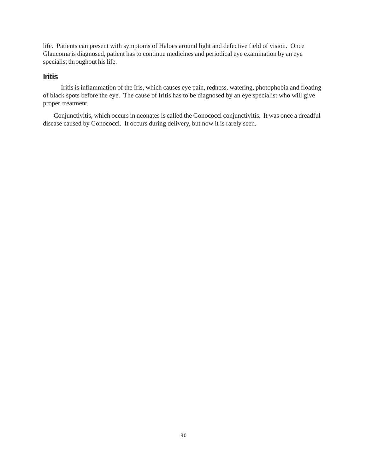life. Patients can present with symptoms of Haloes around light and defective field of vision. Once Glaucoma is diagnosed, patient has to continue medicines and periodical eye examination by an eye specialist throughout his life.

#### **Iritis**

 Iritis is inflammation of the Iris, which causes eye pain, redness, watering, photophobia and floating of black spots before the eye. The cause of Iritis has to be diagnosed by an eye specialist who will give proper treatment.

Conjunctivitis, which occurs in neonates is called the Gonococci conjunctivitis. It was once a dreadful disease caused by Gonococci. It occurs during delivery, but now it is rarely seen.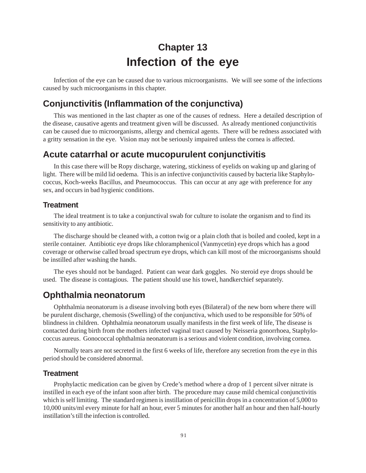# **Chapter 13 Infection of the eye**

Infection of the eye can be caused due to various microorganisms. We will see some of the infections caused by such microorganisms in this chapter.

# **Conjunctivitis (Inflammation of the conjunctiva)**

This was mentioned in the last chapter as one of the causes of redness. Here a detailed description of the disease, causative agents and treatment given will be discussed. As already mentioned conjunctivitis can be caused due to microorganisms, allergy and chemical agents. There will be redness associated with a gritty sensation in the eye. Vision may not be seriously impaired unless the cornea is affected.

# **Acute catarrhal or acute mucopurulent conjunctivitis**

In this case there will be Ropy discharge, watering, stickiness of eyelids on waking up and glaring of light. There will be mild lid oedema. This is an infective conjunctivitis caused by bacteria like Staphylococcus, Koch-weeks Bacillus, and Pneumococcus. This can occur at any age with preference for any sex, and occurs in bad hygienic conditions.

#### **Treatment**

The ideal treatment is to take a conjunctival swab for culture to isolate the organism and to find its sensitivity to any antibiotic.

The discharge should be cleaned with, a cotton twig or a plain cloth that is boiled and cooled, kept in a sterile container. Antibiotic eye drops like chloramphenicol (Vanmycetin) eye drops which has a good coverage or otherwise called broad spectrum eye drops, which can kill most of the microorganisms should be instilled after washing the hands.

The eyes should not be bandaged. Patient can wear dark goggles. No steroid eye drops should be used. The disease is contagious. The patient should use his towel, handkerchief separately.

# **Ophthalmia neonatorum**

Ophthalmia neonatorum is a disease involving both eyes (Bilateral) of the new born where there will be purulent discharge, chemosis (Swelling) of the conjunctiva, which used to be responsible for 50% of blindness in children. Ophthalmia neonatorum usually manifests in the first week of life, The disease is contacted during birth from the mothers infected vaginal tract caused by Neisseria gonorrhoea, Staphylococcus aureus. Gonococcal ophthalmia neonatorum is a serious and violent condition, involving cornea.

Normally tears are not secreted in the first 6 weeks of life, therefore any secretion from the eye in this period should be considered abnormal.

#### **Treatment**

Prophylactic medication can be given by Crede's method where a drop of 1 percent silver nitrate is instilled in each eye of the infant soon after birth. The procedure may cause mild chemical conjunctivitis which is self limiting. The standard regimen is instillation of penicillin drops in a concentration of 5,000 to 10,000 units/ml every minute for half an hour, ever 5 minutes for another half an hour and then half-hourly instillation's till the infection is controlled.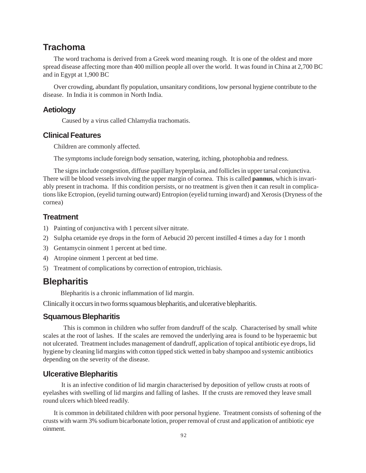# **Trachoma**

The word trachoma is derived from a Greek word meaning rough. It is one of the oldest and more spread disease affecting more than 400 million people all over the world. It was found in China at 2,700 BC and in Egypt at 1,900 BC

Over crowding, abundant fly population, unsanitary conditions, low personal hygiene contribute to the disease. In India it is common in North India.

#### **Aetiology**

Caused by a virus called Chlamydia trachomatis.

#### **Clinical Features**

Children are commonly affected.

The symptoms include foreign body sensation, watering, itching, photophobia and redness.

The signs include congestion, diffuse papillary hyperplasia, and follicles in upper tarsal conjunctiva. There will be blood vessels involving the upper margin of cornea. This is called **pannus**, which is invariably present in trachoma. If this condition persists, or no treatment is given then it can result in complications like Ectropion, (eyelid turning outward) Entropion (eyelid turning inward) and Xerosis (Dryness of the cornea)

#### **Treatment**

- 1) Painting of conjunctiva with 1 percent silver nitrate.
- 2) Sulpha cetamide eye drops in the form of Aebucid 20 percent instilled 4 times a day for 1 month
- 3) Gentamycin oinment 1 percent at bed time.
- 4) Atropine oinment 1 percent at bed time.
- 5) Treatment of complications by correction of entropion, trichiasis.

## **Blepharitis**

Blepharitis is a chronic inflammation of lid margin.

Clinically it occurs in two forms squamous blepharitis, and ulcerative blepharitis.

#### **Squamous Blepharitis**

 This is common in children who suffer from dandruff of the scalp. Characterised by small white scales at the root of lashes. If the scales are removed the underlying area is found to be hyperaemic but not ulcerated. Treatment includes management of dandruff, application of topical antibiotic eye drops, lid hygiene by cleaning lid margins with cotton tipped stick wetted in baby shampoo and systemic antibiotics depending on the severity of the disease.

#### **Ulcerative Blepharitis**

 It is an infective condition of lid margin characterised by deposition of yellow crusts at roots of eyelashes with swelling of lid margins and falling of lashes. If the crusts are removed they leave small round ulcers which bleed readily.

It is common in debilitated children with poor personal hygiene. Treatment consists of softening of the crusts with warm 3% sodium bicarbonate lotion, proper removal of crust and application of antibiotic eye oinment.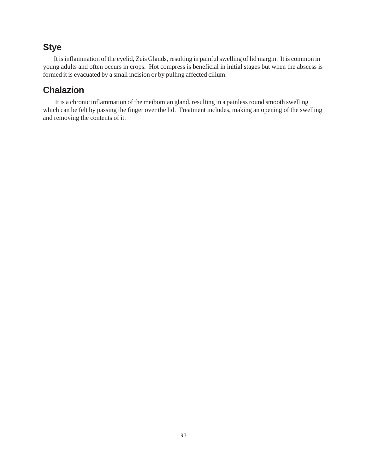# **Stye**

It is inflammation of the eyelid, Zeis Glands, resulting in painful swelling of lid margin. It is common in young adults and often occurs in crops. Hot compress is beneficial in initial stages but when the abscess is formed it is evacuated by a small incision or by pulling affected cilium.

# **Chalazion**

 It is a chronic inflammation of the meibomian gland, resulting in a painless round smooth swelling which can be felt by passing the finger over the lid. Treatment includes, making an opening of the swelling and removing the contents of it.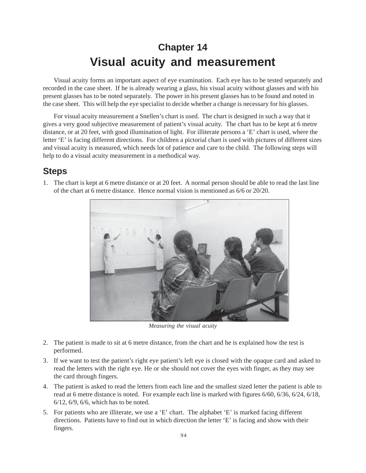# **Chapter 14 Visual acuity and measurement**

Visual acuity forms an important aspect of eye examination. Each eye has to be tested separately and recorded in the case sheet. If he is already wearing a glass, his visual acuity without glasses and with his present glasses has to be noted separately. The power in his present glasses has to be found and noted in the case sheet. This will help the eye specialist to decide whether a change is necessary for his glasses.

For visual acuity measurement a Snellen's chart is used. The chart is designed in such a way that it gives a very good subjective measurement of patient's visual acuity. The chart has to be kept at 6 metre distance, or at 20 feet, with good illumination of light. For illiterate persons a 'E' chart is used, where the letter 'E' is facing different directions. For children a pictorial chart is used with pictures of different sizes and visual acuity is measured, which needs lot of patience and care to the child. The following steps will help to do a visual acuity measurement in a methodical way.

# **Steps**



1. The chart is kept at 6 metre distance or at 20 feet. A normal person should be able to read the last line of the chart at 6 metre distance. Hence normal vision is mentioned as 6/6 or 20/20.

*Measuring the visual acuity*

- 2. The patient is made to sit at 6 metre distance, from the chart and he is explained how the test is performed.
- 3. If we want to test the patient's right eye patient's left eye is closed with the opaque card and asked to read the letters with the right eye. He or she should not cover the eyes with finger, as they may see the card through fingers.
- 4. The patient is asked to read the letters from each line and the smallest sized letter the patient is able to read at 6 metre distance is noted. For example each line is marked with figures 6/60, 6/36, 6/24, 6/18, 6/12, 6/9, 6/6, which has to be noted.
- 5. For patients who are illiterate, we use a 'E' chart. The alphabet 'E' is marked facing different directions. Patients have to find out in which direction the letter 'E' is facing and show with their fingers.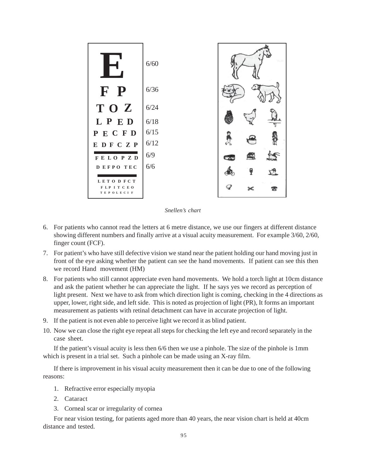

*Snellen's chart*

- 6. For patients who cannot read the letters at 6 metre distance, we use our fingers at different distance showing different numbers and finally arrive at a visual acuity measurement. For example 3/60, 2/60, finger count (FCF).
- 7. For patient's who have still defective vision we stand near the patient holding our hand moving just in front of the eye asking whether the patient can see the hand movements. If patient can see this then we record Hand movement (HM)
- 8. For patients who still cannot appreciate even hand movements. We hold a torch light at 10cm distance and ask the patient whether he can appreciate the light. If he says yes we record as perception of light present. Next we have to ask from which direction light is coming, checking in the 4 directions as upper, lower, right side, and left side. This is noted as projection of light (PR), It forms an important measurement as patients with retinal detachment can have in accurate projection of light.
- 9. If the patient is not even able to perceive light we record it as blind patient.
- 10. Now we can close the right eye repeat all steps for checking the left eye and record separately in the case sheet.

If the patient's visual acuity is less then 6/6 then we use a pinhole. The size of the pinhole is 1mm which is present in a trial set. Such a pinhole can be made using an X-ray film.

If there is improvement in his visual acuity measurement then it can be due to one of the following reasons:

- 1. Refractive error especially myopia
- 2. Cataract
- 3. Corneal scar or irregularity of cornea

For near vision testing, for patients aged more than 40 years, the near vision chart is held at 40cm distance and tested.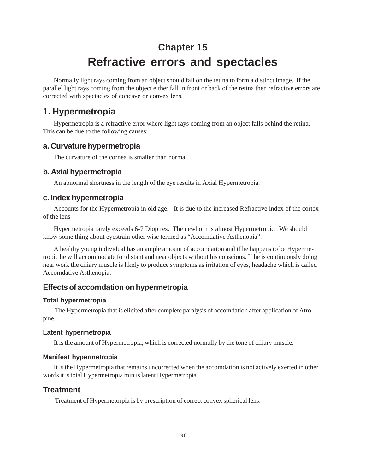# **Chapter 15 Refractive errors and spectacles**

Normally light rays coming from an object should fall on the retina to form a distinct image. If the parallel light rays coming from the object either fall in front or back of the retina then refractive errors are corrected with spectacles of concave or convex lens.

# **1. Hypermetropia**

Hypermetropia is a refractive error where light rays coming from an object falls behind the retina. This can be due to the following causes:

### **a. Curvature hypermetropia**

The curvature of the cornea is smaller than normal.

### **b. Axial hypermetropia**

An abnormal shortness in the length of the eye results in Axial Hypermetropia.

#### **c. Index hypermetropia**

Accounts for the Hypermetropia in old age. It is due to the increased Refractive index of the cortex of the lens

Hypermetropia rarely exceeds 6-7 Dioptres. The newborn is almost Hypermetropic. We should know some thing about eyestrain other wise termed as "Accomdative Asthenopia".

A healthy young individual has an ample amount of accomdation and if he happens to be Hypermetropic he will accommodate for distant and near objects without his conscious. If he is continuously doing near work the ciliary muscle is likely to produce symptoms as irritation of eyes, headache which is called Accomdative Asthenopia.

### **Effects of accomdation on hypermetropia**

#### **Total hypermetropia**

 The Hypermetropia that is elicited after complete paralysis of accomdation after application of Atropine.

#### **Latent hypermetropia**

It is the amount of Hypermetropia, which is corrected normally by the tone of ciliary muscle.

#### **Manifest hypermetropia**

It is the Hypermetropia that remains uncorrected when the accomdation is not actively exerted in other words it is total Hypermetropia minus latent Hypermetropia

### **Treatment**

Treatment of Hypermetorpia is by prescription of correct convex spherical lens.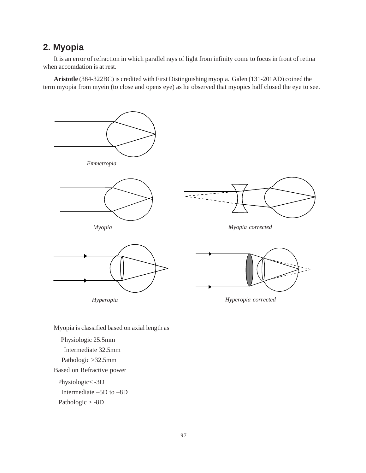# **2. Myopia**

It is an error of refraction in which parallel rays of light from infinity come to focus in front of retina when accomdation is at rest.

**Aristotle** (384-322BC) is credited with First Distinguishing myopia. Galen (131-201AD) coined the term myopia from myein (to close and opens eye) as he observed that myopics half closed the eye to see.



Myopia is classified based on axial length as

 Physiologic 25.5mm Intermediate 32.5mm Pathologic >32.5mm Based on Refractive power Physiologic< -3D Intermediate –5D to –8D Pathologic > -8D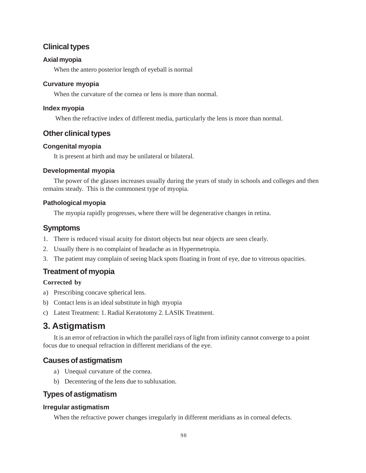### **Clinical types**

#### **Axial myopia**

When the antero posterior length of eyeball is normal

#### **Curvature myopia**

When the curvature of the cornea or lens is more than normal.

#### **Index myopia**

When the refractive index of different media, particularly the lens is more than normal.

### **Other clinical types**

#### **Congenital myopia**

It is present at birth and may be unilateral or bilateral.

#### **Developmental myopia**

The power of the glasses increases usually during the years of study in schools and colleges and then remains steady. This is the commonest type of myopia.

#### **Pathological myopia**

The myopia rapidly progresses, where there will be degenerative changes in retina.

### **Symptoms**

- 1. There is reduced visual acuity for distort objects but near objects are seen clearly.
- 2. Usually there is no complaint of headache as in Hypermetropia.
- 3. The patient may complain of seeing black spots floating in front of eye, due to vitreous opacities.

## **Treatment of myopia**

#### **Corrected by**

- a) Prescribing concave spherical lens.
- b) Contact lens is an ideal substitute in high myopia
- c) Latest Treatment: 1. Radial Keratotomy 2. LASIK Treatment.

# **3. Astigmatism**

It is an error of refraction in which the parallel rays of light from infinity cannot converge to a point focus due to unequal refraction in different meridians of the eye.

### **Causes of astigmatism**

- a) Unequal curvature of the cornea.
- b) Decentering of the lens due to subluxation.

### **Types of astigmatism**

#### **Irregular astigmatism**

When the refractive power changes irregularly in different meridians as in corneal defects.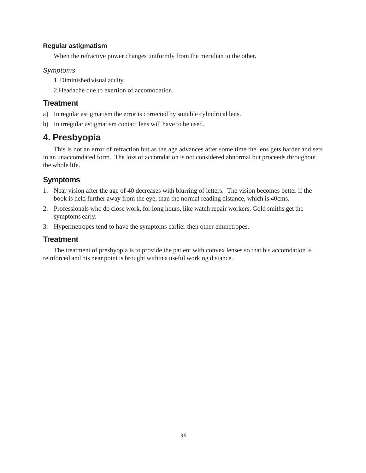#### **Regular astigmatism**

When the refractive power changes uniformly from the meridian to the other.

#### *Symptoms*

1. Diminished visual acuity

2.Headache due to exertion of accomodation.

### **Treatment**

- a) In regular astigmatism the error is corrected by suitable cylindrical lens.
- b) In irregular astigmatism contact lens will have to be used.

# **4. Presbyopia**

This is not an error of refraction but as the age advances after some time the lens gets harder and sets in an unaccomdated form. The loss of accomdation is not considered abnormal but proceeds throughout the whole life.

# **Symptoms**

- 1. Near vision after the age of 40 decreases with blurring of letters. The vision becomes better if the book is held further away from the eye, than the normal reading distance, which is 40cms.
- 2. Professionals who do close work, for long hours, like watch repair workers, Gold smiths get the symptoms early.
- 3. Hypermetropes tend to have the symptoms earlier then other emmetropes.

## **Treatment**

The treatment of presbyopia is to provide the patient with convex lenses so that his accomdation is reinforced and his near point is brought within a useful working distance.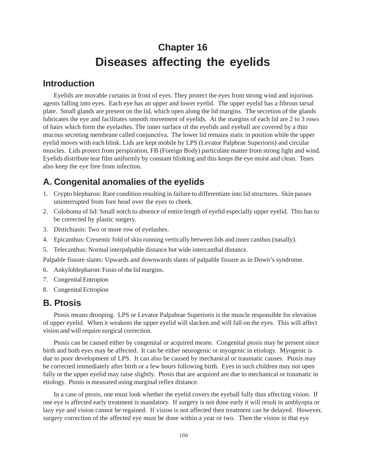# **Chapter 16 Diseases affecting the eyelids**

## **Introduction**

Eyelids are movable curtains in front of eyes. They protect the eyes from strong wind and injurious agents falling into eyes. Each eye has an upper and lower eyelid. The upper eyelid has a fibrous tarsal plate. Small glands are present on the lid, which open along the lid margins. The secretion of the glands lubricates the eye and facilitates smooth movement of eyelids. At the margins of each lid are 2 to 3 rows of hairs which form the eyelashes. The inner surface of the eyelids and eyeball are covered by a thin mucous secreting membrane called conjunctiva. The lower lid remains static in position while the upper eyelid moves with each blink. Lids are kept mobile by LPS (Levator Palpbrae Superioris) and circular muscles. Lids protect from perspiration, FB (Foreign Body) particulate matter from strong light and wind. Eyelids distribute tear film uniformly by constant blinking and this keeps the eye moist and clean. Tears also keep the eye free from infection.

# **A. Congenital anomalies of the eyelids**

- 1. Crypto blepharon: Rare condition resulting in failure to differentiate into lid structures. Skin passes uninterrupted from fore head over the eyes to cheek.
- 2. Coloboma of lid: Small notch to absence of entire length of eyelid especially upper eyelid. This has to be corrected by plastic surgery.
- 3. Distichiasis: Two or more row of eyelashes.
- 4. Epicanthus: Cresentic fold of skin running vertically between lids and inner canthus (nasally).
- 5. Telecanthus: Normal interpalpable distance but wide intercanthal distance.

Palpable fissure slants: Upwards and downwards slants of palpable fissure as in Down's syndrome.

- 6. Ankyloblepharon: Fusio of the lid margins.
- 7. Congenital Entropion
- 8. Congenital Ectropion

# **B. Ptosis**

Ptosis means drooping. LPS or Levator Palpabrae Superioris is the muscle responsible for elevation of upper eyelid. When it weakens the upper eyelid will slacken and will fall on the eyes. This will affect vision and will require surgical correction.

Ptosis can be caused either by congenital or acquired means. Congenital ptosis may be present since birth and both eyes may be affected. It can be either neurogenic or myogenic in etiology. Myogenic is due to poor development of LPS. It can also be caused by mechanical or traumatic causes. Ptosis may be corrected immediately after birth or a few hours following birth. Eyes in such children may not open fully or the upper eyelid may raise slightly. Ptosis that are acquired are due to mechanical or traumatic in etiology. Ptosis is measured using marginal reflex distance.

In a case of ptosis, one must look whether the eyelid covers the eyeball fully thus affecting vision. If one eye is affected early treatment is mandatory. If surgery is not done early it will result in amblyopia or lazy eye and vision cannot be regained. If vision is not affected then treatment can be delayed. However, surgery correction of the affected eye must be done within a year or two. Then the vision in that eye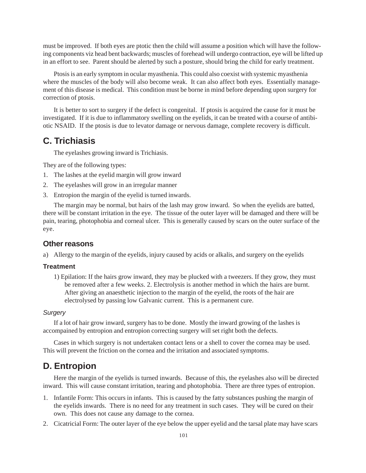must be improved. If both eyes are ptotic then the child will assume a position which will have the following components viz head bent backwards; muscles of forehead will undergo contraction, eye will be lifted up in an effort to see. Parent should be alerted by such a posture, should bring the child for early treatment.

Ptosis is an early symptom in ocular myasthenia. This could also coexist with systemic myasthenia where the muscles of the body will also become weak. It can also affect both eyes. Essentially management of this disease is medical. This condition must be borne in mind before depending upon surgery for correction of ptosis.

It is better to sort to surgery if the defect is congenital. If ptosis is acquired the cause for it must be investigated. If it is due to inflammatory swelling on the eyelids, it can be treated with a course of antibiotic NSAID. If the ptosis is due to levator damage or nervous damage, complete recovery is difficult.

# **C. Trichiasis**

The eyelashes growing inward is Trichiasis.

They are of the following types:

- 1. The lashes at the eyelid margin will grow inward
- 2. The eyelashes will grow in an irregular manner
- 3. Entropion the margin of the eyelid is turned inwards.

The margin may be normal, but hairs of the lash may grow inward. So when the eyelids are batted, there will be constant irritation in the eye. The tissue of the outer layer will be damaged and there will be pain, tearing, photophobia and corneal ulcer. This is generally caused by scars on the outer surface of the eye.

#### **Other reasons**

a) Allergy to the margin of the eyelids, injury caused by acids or alkalis, and surgery on the eyelids

#### **Treatment**

1) Epilation: If the hairs grow inward, they may be plucked with a tweezers. If they grow, they must be removed after a few weeks. 2. Electrolysis is another method in which the hairs are burnt. After giving an anaesthetic injection to the margin of the eyelid, the roots of the hair are electrolysed by passing low Galvanic current. This is a permanent cure.

#### *Surgery*

If a lot of hair grow inward, surgery has to be done. Mostly the inward growing of the lashes is accompained by entropion and entropion correcting surgery will set right both the defects.

Cases in which surgery is not undertaken contact lens or a shell to cover the cornea may be used. This will prevent the friction on the cornea and the irritation and associated symptoms.

### **D. Entropion**

Here the margin of the eyelids is turned inwards. Because of this, the eyelashes also will be directed inward. This will cause constant irritation, tearing and photophobia. There are three types of entropion.

- 1. Infantile Form: This occurs in infants. This is caused by the fatty substances pushing the margin of the eyelids inwards. There is no need for any treatment in such cases. They will be cured on their own. This does not cause any damage to the cornea.
- 2. Cicatricial Form: The outer layer of the eye below the upper eyelid and the tarsal plate may have scars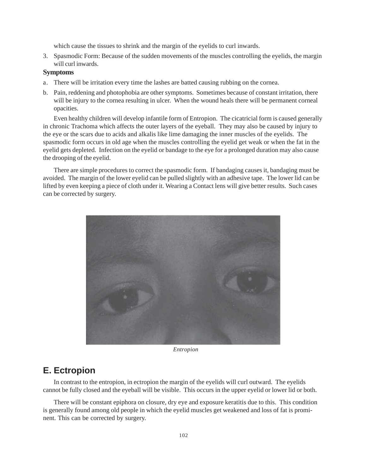which cause the tissues to shrink and the margin of the eyelids to curl inwards.

3. Spasmodic Form: Because of the sudden movements of the muscles controlling the eyelids, the margin will curl inwards.

#### **Symptoms**

- a. There will be irritation every time the lashes are batted causing rubbing on the cornea.
- b. Pain, reddening and photophobia are other symptoms. Sometimes because of constant irritation, there will be injury to the cornea resulting in ulcer. When the wound heals there will be permanent corneal opacities.

Even healthy children will develop infantile form of Entropion. The cicatricial form is caused generally in chronic Trachoma which affects the outer layers of the eyeball. They may also be caused by injury to the eye or the scars due to acids and alkalis like lime damaging the inner muscles of the eyelids. The spasmodic form occurs in old age when the muscles controlling the eyelid get weak or when the fat in the eyelid gets depleted. Infection on the eyelid or bandage to the eye for a prolonged duration may also cause the drooping of the eyelid.

There are simple procedures to correct the spasmodic form. If bandaging causes it, bandaging must be avoided. The margin of the lower eyelid can be pulled slightly with an adhesive tape. The lower lid can be lifted by even keeping a piece of cloth under it. Wearing a Contact lens will give better results. Such cases can be corrected by surgery.



*Entropion*

## **E. Ectropion**

In contrast to the entropion, in ectropion the margin of the eyelids will curl outward. The eyelids cannot be fully closed and the eyeball will be visible. This occurs in the upper eyelid or lower lid or both.

There will be constant epiphora on closure, dry eye and exposure keratitis due to this. This condition is generally found among old people in which the eyelid muscles get weakened and loss of fat is prominent. This can be corrected by surgery.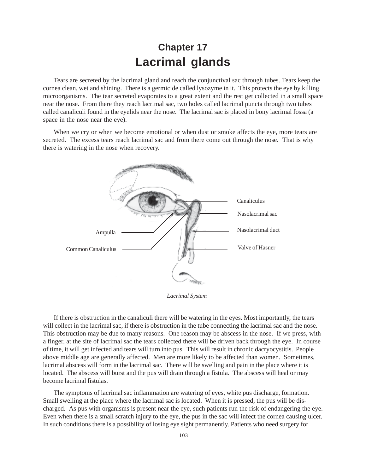# **Chapter 17 Lacrimal glands**

Tears are secreted by the lacrimal gland and reach the conjunctival sac through tubes. Tears keep the cornea clean, wet and shining. There is a germicide called lysozyme in it. This protects the eye by killing microorganisms. The tear secreted evaporates to a great extent and the rest get collected in a small space near the nose. From there they reach lacrimal sac, two holes called lacrimal puncta through two tubes called canaliculi found in the eyelids near the nose. The lacrimal sac is placed in bony lacrimal fossa (a space in the nose near the eye).

When we cry or when we become emotional or when dust or smoke affects the eye, more tears are secreted. The excess tears reach lacrimal sac and from there come out through the nose. That is why there is watering in the nose when recovery.



*Lacrimal System*

If there is obstruction in the canaliculi there will be watering in the eyes. Most importantly, the tears will collect in the lacrimal sac, if there is obstruction in the tube connecting the lacrimal sac and the nose. This obstruction may be due to many reasons. One reason may be abscess in the nose. If we press, with a finger, at the site of lacrimal sac the tears collected there will be driven back through the eye. In course of time, it will get infected and tears will turn into pus. This will result in chronic dacryocystitis. People above middle age are generally affected. Men are more likely to be affected than women. Sometimes, lacrimal abscess will form in the lacrimal sac. There will be swelling and pain in the place where it is located. The abscess will burst and the pus will drain through a fistula. The abscess will heal or may become lacrimal fistulas.

The symptoms of lacrimal sac inflammation are watering of eyes, white pus discharge, formation. Small swelling at the place where the lacrimal sac is located. When it is pressed, the pus will be discharged. As pus with organisms is present near the eye, such patients run the risk of endangering the eye. Even when there is a small scratch injury to the eye, the pus in the sac will infect the cornea causing ulcer. In such conditions there is a possibility of losing eye sight permanently. Patients who need surgery for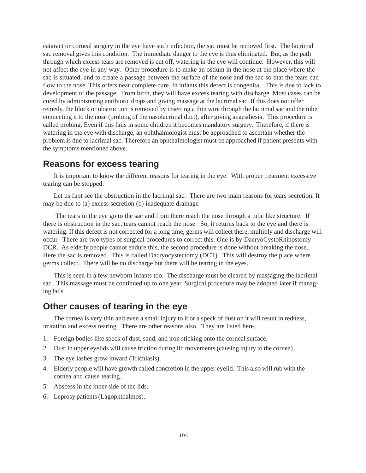cataract or corneal surgery in the eye have such infection, the sac must be removed first. The lacrimal sac removal gives this condition. The immediate danger to the eye is thus eliminated. But, as the path through which excess tears are removed is cut off, watering in the eye will continue. However, this will not affect the eye in any way. Other procedure is to make an ostium in the nose at the place where the sac is situated, and to create a passage between the surface of the nose and the sac so that the tears can flow to the nose. This offers near complete cure. In infants this defect is congenital. This is due to lack to development of the passage. From birth, they will have excess tearing with discharge. Most cases can be cured by administering antibiotic drops and giving massage at the lacrimal sac. If this does not offer remedy, the block or obstruction is removed by inserting a thin wire through the lacrimal sac and the tube connecting it to the nose (probing of the nasolacrimal duct), after giving anaesthesia. This procedure is called probing. Even if this fails in some children it becomes mandatory surgery. Therefore, if there is watering in the eye with discharge, an ophthalmologist must be approached to ascertain whether the problem is due to lacrimal sac. Therefore an ophthalmologist must be approached if patient presents with the symptoms mentioned above.

# **Reasons for excess tearing**

It is important to know the different reasons for tearing in the eye. With proper treatment excessive tearing can be stopped.

Let us first see the obstruction in the lacrimal sac. There are two main reasons for tears secretion. It may be due to (a) excess secretion (b) inadequate drainage

 The tears in the eye go to the sac and from there reach the nose through a tube like structure. If there is obstruction in the sac, tears cannot reach the nose. So, it returns back to the eye and there is watering. If this defect is not corrected for a long time, germs will collect there, multiply and discharge will occur. There are two types of surgical procedures to correct this. One is by DacryoCystoRhinostomy – DCR. As elderly people cannot endure this, the second procedure is done without breaking the nose. Here the sac is removed. This is called Dacryocystectomy (DCT). This will destroy the place where germs collect. There will be no discharge but there will be tearing in the eyes.

This is seen in a few newborn infants too. The discharge must be cleared by massaging the lacrimal sac. This massage must be continued up to one year. Surgical procedure may be adopted later if managing fails.

# **Other causes of tearing in the eye**

The cornea is very thin and even a small injury to it or a speck of dust on it will result in redness, irritation and excess tearing. There are other reasons also. They are listed here.

- 1. Foreign bodies like speck of dust, sand, and iron sticking onto the corneal surface.
- 2. Dust in upper eyelids will cause friction during lid movements (causing injury to the cornea).
- 3. The eye lashes grow inward (Trichiasis).
- 4. Elderly people will have growth called concretion in the upper eyelid. This also will rub with the cornea and cause tearing.
- 5. Abscess in the inner side of the lids.
- 6. Leprosy patients (Lagophthalmos).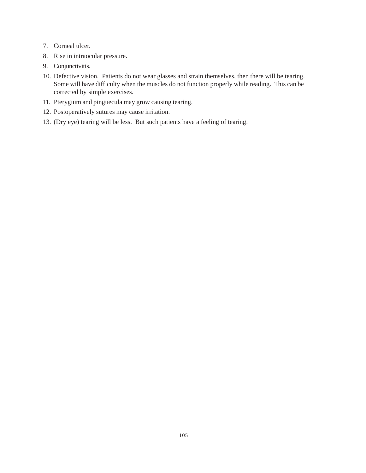- 7. Corneal ulcer.
- 8. Rise in intraocular pressure.
- 9. Conjunctivitis.
- 10. Defective vision. Patients do not wear glasses and strain themselves, then there will be tearing. Some will have difficulty when the muscles do not function properly while reading. This can be corrected by simple exercises.
- 11. Pterygium and pinguecula may grow causing tearing.
- 12. Postoperatively sutures may cause irritation.
- 13. (Dry eye) tearing will be less. But such patients have a feeling of tearing.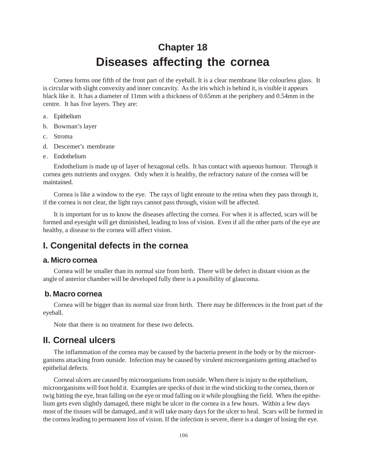# **Chapter 18 Diseases affecting the cornea**

Cornea forms one fifth of the front part of the eyeball. It is a clear membrane like colourless glass. It is circular with slight convexity and inner concavity. As the iris which is behind it, is visible it appears black like it. It has a diameter of 11mm with a thickness of 0.65mm at the periphery and 0.54mm in the centre. It has five layers. They are:

- a. Epithelium
- b. Bowman's layer
- c. Stroma
- d. Descemet's membrane
- e. Endothelium

Endothelium is made up of layer of hexagonal cells. It has contact with aqueous humour. Through it cornea gets nutrients and oxygen. Only when it is healthy, the refractory nature of the cornea will be maintained.

Cornea is like a window to the eye. The rays of light enroute to the retina when they pass through it, if the cornea is not clear, the light rays cannot pass through, vision will be affected.

It is important for us to know the diseases affecting the cornea. For when it is affected, scars will be formed and eyesight will get diminished, leading to loss of vision. Even if all the other parts of the eye are healthy, a disease to the cornea will affect vision.

# **I. Congenital defects in the cornea**

#### **a. Micro cornea**

Cornea will be smaller than its normal size from birth. There will be defect in distant vision as the angle of anterior chamber will be developed fully there is a possibility of glaucoma.

#### **b. Macro cornea**

Cornea will be bigger than its normal size from birth. There may be differences in the front part of the eyeball.

Note that there is no treatment for these two defects.

## **II. Corneal ulcers**

The inflammation of the cornea may be caused by the bacteria present in the body or by the microorganisms attacking from outside. Infection may be caused by virulent microorganisms getting attached to epithelial defects.

Corneal ulcers are caused by microorganisms from outside. When there is injury to the epithelium, microorganisms will foot hold it. Examples are specks of dust in the wind sticking to the cornea, thorn or twig hitting the eye, bran falling on the eye or mud falling on it while ploughing the field. When the epithelium gets even slightly damaged, there might be ulcer in the cornea in a few hours. Within a few days most of the tissues will be damaged, and it will take many days for the ulcer to heal. Scars will be formed in the cornea leading to permanent loss of vision. If the infection is severe, there is a danger of losing the eye.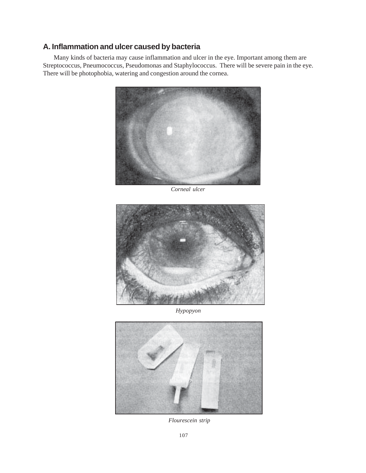### **A. Inflammation and ulcer caused by bacteria**

Many kinds of bacteria may cause inflammation and ulcer in the eye. Important among them are Streptococcus, Pneumococcus, Pseudomonas and Staphylococcus. There will be severe pain in the eye. There will be photophobia, watering and congestion around the cornea.



*Corneal ulcer*



*Hypopyon*



*Flourescein strip*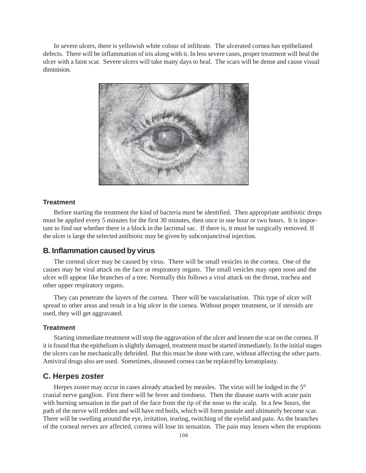In severe ulcers, there is yellowish white colour of infiltrate. The ulcerated cornea has epitheliated defects. There will be inflammation of iris along with it. In less severe cases, proper treatment will heal the ulcer with a faint scar. Severe ulcers will take many days to heal. The scars will be dense and cause visual diminision.



#### **Treatment**

Before starting the treatment the kind of bacteria must be identified. Then appropriate antibiotic drops must be applied every 5 minutes for the first 30 minutes, then once in one hour or two hours. It is important to find out whether there is a block in the lacrimal sac. If there is, it must be surgically removed. If the ulcer is large the selected antibiotic may be given by subconjunctival injection.

#### **B. Inflammation caused by virus**

The corneal ulcer may be caused by virus. There will be small vesicles in the cornea. One of the causes may be viral attack on the face or respiratory organs. The small vesicles may open soon and the ulcer will appear like branches of a tree. Normally this follows a viral attack on the throat, trachea and other upper respiratory organs.

They can penetrate the layers of the cornea. There will be vascularisation. This type of ulcer will spread to other areas and result in a big ulcer in the cornea. Without proper treatment, or if steroids are used, they will get aggravated.

#### **Treatment**

Starting immediate treatment will stop the aggravation of the ulcer and lessen the scar on the cornea. If it is found that the epithelium is slightly damaged, treatment must be started immediately. In the initial stages the ulcers can be mechanically debrided. But this must be done with care, without affecting the other parts. Antiviral drugs also are used. Sometimes, diseased cornea can be replaced by keratoplasty.

#### **C. Herpes zoster**

Herpes zoster may occur in cases already attacked by measles. The virus will be lodged in the 5<sup>th</sup> cranial nerve ganglion. First there will be fever and tiredness. Then the disease starts with acute pain with burning sensation in the part of the face from the tip of the nose to the scalp. In a few hours, the path of the nerve will redden and will have red boils, which will form pustule and ultimately become scar. There will be swelling around the eye, irritation, tearing, twitching of the eyelid and pain. As the branches of the corneal nerves are affected, cornea will lose its sensation. The pain may lessen when the eruptions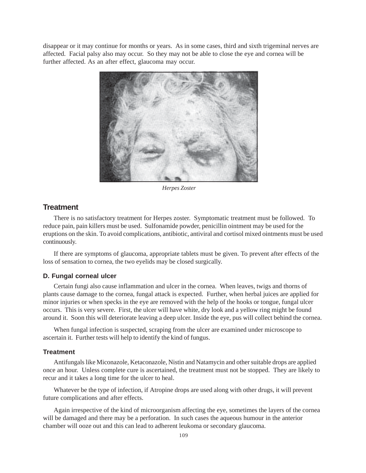disappear or it may continue for months or years. As in some cases, third and sixth trigeminal nerves are affected. Facial palsy also may occur. So they may not be able to close the eye and cornea will be further affected. As an after effect, glaucoma may occur.



*Herpes Zoster*

### **Treatment**

There is no satisfactory treatment for Herpes zoster. Symptomatic treatment must be followed. To reduce pain, pain killers must be used. Sulfonamide powder, penicillin ointment may be used for the eruptions on the skin. To avoid complications, antibiotic, antiviral and cortisol mixed ointments must be used continuously.

If there are symptoms of glaucoma, appropriate tablets must be given. To prevent after effects of the loss of sensation to cornea, the two eyelids may be closed surgically.

#### **D. Fungal corneal ulcer**

Certain fungi also cause inflammation and ulcer in the cornea. When leaves, twigs and thorns of plants cause damage to the cornea, fungal attack is expected. Further, when herbal juices are applied for minor injuries or when specks in the eye are removed with the help of the hooks or tongue, fungal ulcer occurs. This is very severe. First, the ulcer will have white, dry look and a yellow ring might be found around it. Soon this will deteriorate leaving a deep ulcer. Inside the eye, pus will collect behind the cornea.

When fungal infection is suspected, scraping from the ulcer are examined under microscope to ascertain it. Further tests will help to identify the kind of fungus.

#### **Treatment**

Antifungals like Miconazole, Ketaconazole, Nistin and Natamycin and other suitable drops are applied once an hour. Unless complete cure is ascertained, the treatment must not be stopped. They are likely to recur and it takes a long time for the ulcer to heal.

Whatever be the type of infection, if Atropine drops are used along with other drugs, it will prevent future complications and after effects.

Again irrespective of the kind of microorganism affecting the eye, sometimes the layers of the cornea will be damaged and there may be a perforation. In such cases the aqueous humour in the anterior chamber will ooze out and this can lead to adherent leukoma or secondary glaucoma.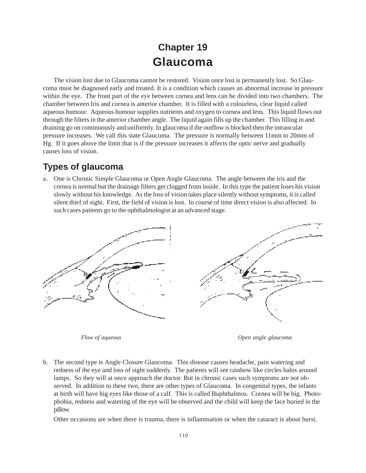# **Chapter 19 Glaucoma**

The vision lost due to Glaucoma cannot be restored. Vision once lost is permanently lost. So Glaucoma must be diagnosed early and treated. It is a condition which causes an abnormal increase in pressure within the eye. The front part of the eye between cornea and lens can be divided into two chambers. The chamber between Iris and cornea is anterior chamber. It is filled with a colourless, clear liquid called aqueous humour. Aqueous humour supplies nutrients and oxygen to cornea and lens. This liquid flows out through the filters in the anterior chamber angle. The liquid again fills up the chamber. This filling in and draining go on continuously and uniformly. In glaucoma if the outflow is blocked then the intraocular pressure increases. We call this state Glaucoma. The pressure is normally between 11mm to 20mm of Hg. If it goes above the limit that is if the pressure increases it affects the optic nerve and gradually causes loss of vision.

## **Types of glaucoma**

a. One is Chronic Simple Glaucoma or Open Angle Glaucoma. The angle between the iris and the cornea is normal but the drainage filters get clogged from inside. In this type the patient loses his vision slowly without his knowledge. As the loss of vision takes place silently without symptoms, it is called silent thief of sight. First, the field of vision is lost. In course of time direct vision is also affected. In such cases patients go to the ophthalmologist at an advanced stage.



*Flow of aqueous Open angle glaucoma*

b. The second type is Angle Closure Glaucoma. This disease causes headache, pain watering and redness of the eye and loss of sight suddenly. The patients will see rainbow like circles halos around lamps. So they will at once approach the doctor. But in chronic cases such symptoms are not observed. In addition to these two, there are other types of Glaucoma. In congenital types, the infants at birth will have big eyes like those of a calf. This is called Buphthalmos. Cornea will be big. Photophobia, redness and watering of the eye will be observed and the child will keep the face buried in the pillow.

Other occasions are when there is trauma, there is inflammation or when the cataract is about burst.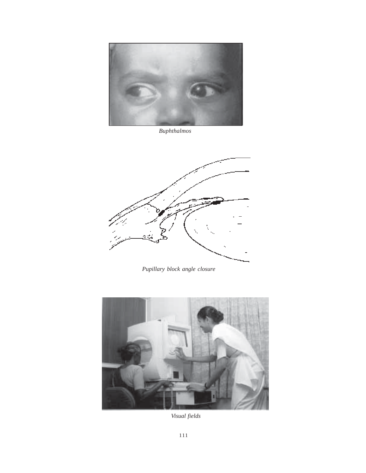

*Buphthalmos*



*Pupillary block angle closure*



*Visual fields*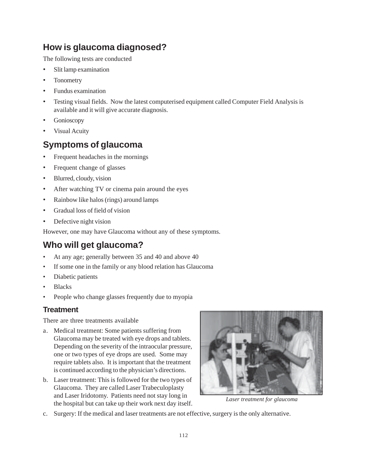## **How is glaucoma diagnosed?**

The following tests are conducted

- Slit lamp examination
- **Tonometry**
- Fundus examination
- Testing visual fields. Now the latest computerised equipment called Computer Field Analysis is available and it will give accurate diagnosis.
- Gonioscopy
- Visual Acuity

## **Symptoms of glaucoma**

- Frequent headaches in the mornings
- Frequent change of glasses
- Blurred, cloudy, vision
- After watching TV or cinema pain around the eyes
- Rainbow like halos (rings) around lamps
- Gradual loss of field of vision
- Defective night vision

However, one may have Glaucoma without any of these symptoms.

## **Who will get glaucoma?**

- At any age; generally between 35 and 40 and above 40
- If some one in the family or any blood relation has Glaucoma
- Diabetic patients
- **Blacks**
- People who change glasses frequently due to myopia

## **Treatment**

There are three treatments available

- a. Medical treatment: Some patients suffering from Glaucoma may be treated with eye drops and tablets. Depending on the severity of the intraocular pressure, one or two types of eye drops are used. Some may require tablets also. It is important that the treatment is continued according to the physician's directions.
- b. Laser treatment: This is followed for the two types of Glaucoma. They are called Laser Trabeculoplasty and Laser Iridotomy. Patients need not stay long in the hospital but can take up their work next day itself.



*Laser treatment for glaucoma*

c. Surgery: If the medical and laser treatments are not effective, surgery is the only alternative.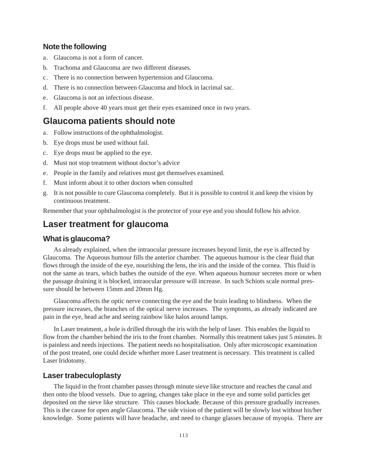### **Note the following**

- a. Glaucoma is not a form of cancer.
- b. Trachoma and Glaucoma are two different diseases.
- c. There is no connection between hypertension and Glaucoma.
- d. There is no connection between Glaucoma and block in lacrimal sac.
- e. Glaucoma is not an infectious disease.
- f. All people above 40 years must get their eyes examined once in two years.

## **Glaucoma patients should note**

- a. Follow instructions of the ophthalmologist.
- b. Eye drops must be used without fail.
- c. Eye drops must be applied to the eye.
- d. Must not stop treatment without doctor's advice
- e. People in the family and relatives must get themselves examined.
- f. Must inform about it to other doctors when consulted
- g. It is not possible to cure Glaucoma completely. But it is possible to control it and keep the vision by continuous treatment.

Remember that your ophthalmologist is the protector of your eye and you should follow his advice.

## **Laser treatment for glaucoma**

### **What is glaucoma?**

As already explained, when the intraocular pressure increases beyond limit, the eye is affected by Glaucoma. The Aqueous humour fills the anterior chamber. The aqueous humour is the clear fluid that flows through the inside of the eye, nourishing the lens, the iris and the inside of the cornea. This fluid is not the same as tears, which bathes the outside of the eye. When aqueous humour secretes more or when the passage draining it is blocked, intraocular pressure will increase. In such Schiots scale normal pressure should be between 15mm and 20mm Hg.

Glaucoma affects the optic nerve connecting the eye and the brain leading to blindness. When the pressure increases, the branches of the optical nerve increases. The symptoms, as already indicated are pain in the eye, head ache and seeing rainbow like halos around lamps.

In Laser treatment, a hole is drilled through the iris with the help of laser. This enables the liquid to flow from the chamber behind the iris to the front chamber. Normally this treatment takes just 5 minutes. It is painless and needs injections. The patient needs no hospitalisation. Only after microscopic examination of the post treated, one could decide whether more Laser treatment is necessary. This treatment is called Laser Iridotomy.

#### **Laser trabeculoplasty**

The liquid in the front chamber passes through minute sieve like structure and reaches the canal and then onto the blood vessels. Due to ageing, changes take place in the eye and some solid particles get deposited on the sieve like structure. This causes blockade. Because of this pressure gradually increases. This is the cause for open angle Glaucoma. The side vision of the patient will be slowly lost without his/her knowledge. Some patients will have headache, and need to change glasses because of myopia. There are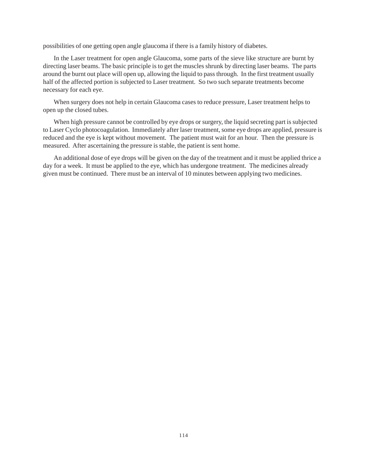possibilities of one getting open angle glaucoma if there is a family history of diabetes.

In the Laser treatment for open angle Glaucoma, some parts of the sieve like structure are burnt by directing laser beams. The basic principle is to get the muscles shrunk by directing laser beams. The parts around the burnt out place will open up, allowing the liquid to pass through. In the first treatment usually half of the affected portion is subjected to Laser treatment. So two such separate treatments become necessary for each eye.

When surgery does not help in certain Glaucoma cases to reduce pressure, Laser treatment helps to open up the closed tubes.

When high pressure cannot be controlled by eye drops or surgery, the liquid secreting part is subjected to Laser Cyclo photocoagulation. Immediately after laser treatment, some eye drops are applied, pressure is reduced and the eye is kept without movement. The patient must wait for an hour. Then the pressure is measured. After ascertaining the pressure is stable, the patient is sent home.

An additional dose of eye drops will be given on the day of the treatment and it must be applied thrice a day for a week. It must be applied to the eye, which has undergone treatment. The medicines already given must be continued. There must be an interval of 10 minutes between applying two medicines.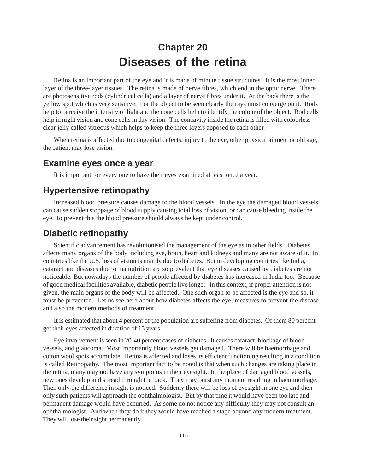# **Chapter 20 Diseases of the retina**

Retina is an important part of the eye and it is made of minute tissue structures. It is the most inner layer of the three-layer tissues. The retina is made of nerve fibres, which end in the optic nerve. There are photosensitive rods (cylindrical cells) and a layer of nerve fibres under it. At the back there is the yellow spot which is very sensitive. For the object to be seen clearly the rays must converge on it. Rods help to perceive the intensity of light and the cone cells help to identify the colour of the object. Rod cells help in night vision and cone cells in day vision. The concavity inside the retina is filled with colourless clear jelly called vitreous which helps to keep the three layers apposed to each other.

When retina is affected due to congenital defects, injury to the eye, other physical ailment or old age, the patient may lose vision.

## **Examine eyes once a year**

It is important for every one to have their eyes examined at least once a year.

## **Hypertensive retinopathy**

Increased blood pressure causes damage to the blood vessels. In the eye the damaged blood vessels can cause sudden stoppage of blood supply causing total loss of vision, or can cause bleeding inside the eye. To prevent this the blood pressure should always be kept under control.

## **Diabetic retinopathy**

Scientific advancement has revolutionised the management of the eye as in other fields. Diabetes affects many organs of the body including eye, brain, heart and kidneys and many are not aware of it. In countries like the U.S. loss of vision is mainly due to diabetes. But in developing countries like India, cataract and diseases due to malnutrition are so prevalent that eye diseases caused by diabetes are not noticeable. But nowadays the number of people affected by diabetes has increased in India too. Because of good medical facilities available, diabetic people live longer. In this context, if proper attention is not given, the main organs of the body will be affected. One such organ to be affected is the eye and so, it must be prevented. Let us see here about how diabetes affects the eye, measures to prevent the disease and also the modern methods of treatment.

It is estimated that about 4 percent of the population are suffering from diabetes. Of them 80 percent get their eyes affected in duration of 15 years.

Eye involvement is seen in 20-40 percent cases of diabetes. It causes cataract, blockage of blood vessels, and glaucoma. Most importantly blood vessels get damaged. There will be haemorrhage and cotton wool spots accumulate. Retina is affected and loses its efficient functioning resulting in a condition is called Retinopathy. The most important fact to be noted is that when such changes are taking place in the retina, many may not have any symptoms in their eyesight. In the place of damaged blood vessels, new ones develop and spread through the back. They may burst any moment resulting in haemmorhage. Then only the difference in sight is noticed. Suddenly there will be loss of eyesight in one eye and then only such patients will approach the ophthalmologist. But by that time it would have been too late and permanent damage would have occurred. As some do not notice any difficulty they may not consult an ophthalmologist. And when they do it they would have reached a stage beyond any modern treatment. They will lose their sight permanently.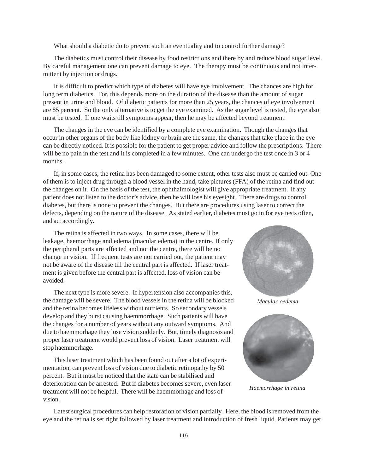What should a diabetic do to prevent such an eventuality and to control further damage?

The diabetics must control their disease by food restrictions and there by and reduce blood sugar level. By careful management one can prevent damage to eye. The therapy must be continuous and not intermittent by injection or drugs.

It is difficult to predict which type of diabetes will have eye involvement. The chances are high for long term diabetics. For, this depends more on the duration of the disease than the amount of sugar present in urine and blood. Of diabetic patients for more than 25 years, the chances of eye involvement are 85 percent. So the only alternative is to get the eye examined. As the sugar level is tested, the eye also must be tested. If one waits till symptoms appear, then he may be affected beyond treatment.

The changes in the eye can be identified by a complete eye examination. Though the changes that occur in other organs of the body like kidney or brain are the same, the changes that take place in the eye can be directly noticed. It is possible for the patient to get proper advice and follow the prescriptions. There will be no pain in the test and it is completed in a few minutes. One can undergo the test once in 3 or 4 months.

If, in some cases, the retina has been damaged to some extent, other tests also must be carried out. One of them is to inject drug through a blood vessel in the hand, take pictures (FFA) of the retina and find out the changes on it. On the basis of the test, the ophthalmologist will give appropriate treatment. If any patient does not listen to the doctor's advice, then he will lose his eyesight. There are drugs to control diabetes, but there is none to prevent the changes. But there are procedures using laser to correct the defects, depending on the nature of the disease. As stated earlier, diabetes must go in for eye tests often, and act accordingly.

The retina is affected in two ways. In some cases, there will be leakage, haemorrhage and edema (macular edema) in the centre. If only the peripheral parts are affected and not the centre, there will be no change in vision. If frequent tests are not carried out, the patient may not be aware of the disease till the central part is affected. If laser treatment is given before the central part is affected, loss of vision can be avoided.

The next type is more severe. If hypertension also accompanies this, the damage will be severe. The blood vessels in the retina will be blocked and the retina becomes lifeless without nutrients. So secondary vessels develop and they burst causing haemmorrhage. Such patients will have the changes for a number of years without any outward symptoms. And due to haemmorhage they lose vision suddenly. But, timely diagnosis and proper laser treatment would prevent loss of vision. Laser treatment will stop haemmorhage.

This laser treatment which has been found out after a lot of experimentation, can prevent loss of vision due to diabetic retinopathy by 50 percent. But it must be noticed that the state can be stabilised and deterioration can be arrested. But if diabetes becomes severe, even laser treatment will not be helpful. There will be haemmorhage and loss of vision.



*Macular oedema*



*Haemorrhage in retina*

Latest surgical procedures can help restoration of vision partially. Here, the blood is removed from the eye and the retina is set right followed by laser treatment and introduction of fresh liquid. Patients may get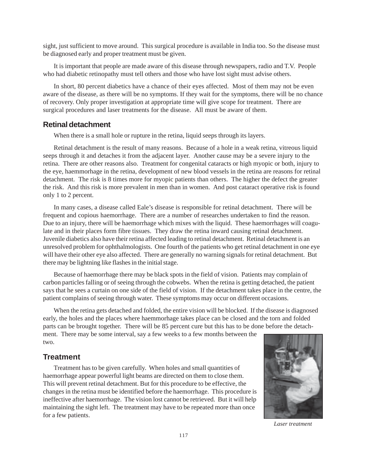sight, just sufficient to move around. This surgical procedure is available in India too. So the disease must be diagnosed early and proper treatment must be given.

It is important that people are made aware of this disease through newspapers, radio and T.V. People who had diabetic retinopathy must tell others and those who have lost sight must advise others.

In short, 80 percent diabetics have a chance of their eyes affected. Most of them may not be even aware of the disease, as there will be no symptoms. If they wait for the symptoms, there will be no chance of recovery. Only proper investigation at appropriate time will give scope for treatment. There are surgical procedures and laser treatments for the disease. All must be aware of them.

### **Retinal detachment**

When there is a small hole or rupture in the retina, liquid seeps through its layers.

Retinal detachment is the result of many reasons. Because of a hole in a weak retina, vitreous liquid seeps through it and detaches it from the adjacent layer. Another cause may be a severe injury to the retina. There are other reasons also. Treatment for congenital cataracts or high myopic or both, injury to the eye, haemmorhage in the retina, development of new blood vessels in the retina are reasons for retinal detachment. The risk is 8 times more for myopic patients than others. The higher the defect the greater the risk. And this risk is more prevalent in men than in women. And post cataract operative risk is found only 1 to 2 percent.

In many cases, a disease called Eale's disease is responsible for retinal detachment. There will be frequent and copious haemorrhage. There are a number of researches undertaken to find the reason. Due to an injury, there will be haemorrhage which mixes with the liquid. These haemorrhages will coagulate and in their places form fibre tissues. They draw the retina inward causing retinal detachment. Juvenile diabetics also have their retina affected leading to retinal detachment. Retinal detachment is an unresolved problem for ophthalmologists. One fourth of the patients who get retinal detachment in one eye will have their other eye also affected. There are generally no warning signals for retinal detachment. But there may be lightning like flashes in the initial stage.

Because of haemorrhage there may be black spots in the field of vision. Patients may complain of carbon particles falling or of seeing through the cobwebs. When the retina is getting detached, the patient says that he sees a curtain on one side of the field of vision. If the detachment takes place in the centre, the patient complains of seeing through water. These symptoms may occur on different occasions.

When the retina gets detached and folded, the entire vision will be blocked. If the disease is diagnosed early, the holes and the places where haemmorhage takes place can be closed and the torn and folded parts can be brought together. There will be 85 percent cure but this has to be done before the detachment. There may be some interval, say a few weeks to a few months between the two.

### **Treatment**

Treatment has to be given carefully. When holes and small quantities of haemorrhage appear powerful light beams are directed on them to close them. This will prevent retinal detachment. But for this procedure to be effective, the changes in the retina must be identified before the haemorrhage. This procedure is ineffective after haemorrhage. The vision lost cannot be retrieved. But it will help maintaining the sight left. The treatment may have to be repeated more than once for a few patients.



*Laser treatment*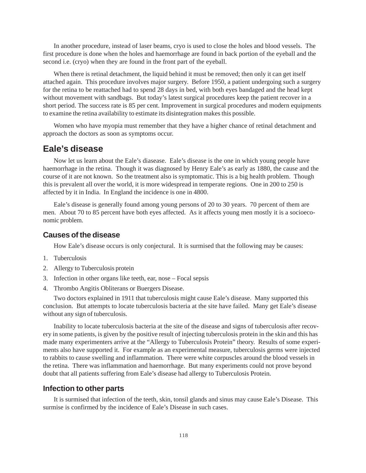In another procedure, instead of laser beams, cryo is used to close the holes and blood vessels. The first procedure is done when the holes and haemorrhage are found in back portion of the eyeball and the second i.e. (cryo) when they are found in the front part of the eyeball.

When there is retinal detachment, the liquid behind it must be removed; then only it can get itself attached again. This procedure involves major surgery. Before 1950, a patient undergoing such a surgery for the retina to be reattached had to spend 28 days in bed, with both eyes bandaged and the head kept without movement with sandbags. But today's latest surgical procedures keep the patient recover in a short period. The success rate is 85 per cent. Improvement in surgical procedures and modern equipments to examine the retina availability to estimate its disintegration makes this possible.

Women who have myopia must remember that they have a higher chance of retinal detachment and approach the doctors as soon as symptoms occur.

## **Eale's disease**

Now let us learn about the Eale's diasease. Eale's disease is the one in which young people have haemorrhage in the retina. Though it was diagnosed by Henry Eale's as early as 1880, the cause and the course of it are not known. So the treatment also is symptomatic. This is a big health problem. Though this is prevalent all over the world, it is more widespread in temperate regions. One in 200 to 250 is affected by it in India. In England the incidence is one in 4800.

Eale's disease is generally found among young persons of 20 to 30 years. 70 percent of them are men. About 70 to 85 percent have both eyes affected. As it affects young men mostly it is a socioeconomic problem.

#### **Causes of the disease**

How Eale's disease occurs is only conjectural. It is surmised that the following may be causes:

- 1. Tuberculosis
- 2. Allergy to Tuberculosis protein
- 3. Infection in other organs like teeth, ear, nose Focal sepsis
- 4. Thrombo Angitis Obliterans or Buergers Disease.

Two doctors explained in 1911 that tuberculosis might cause Eale's disease. Many supported this conclusion. But attempts to locate tuberculosis bacteria at the site have failed. Many get Eale's disease without any sign of tuberculosis.

Inability to locate tuberculosis bacteria at the site of the disease and signs of tuberculosis after recovery in some patients, is given by the positive result of injecting tuberculosis protein in the skin and this has made many experimenters arrive at the "Allergy to Tuberculosis Protein" theory. Results of some experiments also have supported it. For example as an experimental measure, tuberculosis germs were injected to rabbits to cause swelling and inflammation. There were white corpuscles around the blood vessels in the retina. There was inflammation and haemorrhage. But many experiments could not prove beyond doubt that all patients suffering from Eale's disease had allergy to Tuberculosis Protein.

### **Infection to other parts**

It is surmised that infection of the teeth, skin, tonsil glands and sinus may cause Eale's Disease. This surmise is confirmed by the incidence of Eale's Disease in such cases.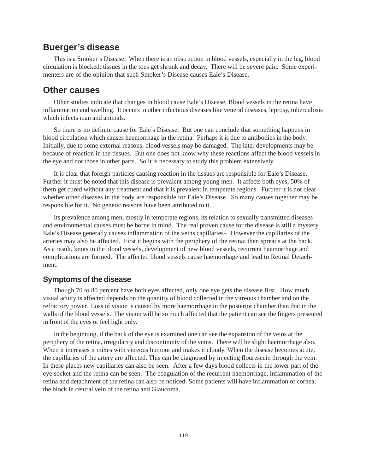## **Buerger's disease**

This is a Smoker's Disease. When there is an obstruction in blood vessels, especially in the leg, blood circulation is blocked; tissues in the toes get shrunk and decay. There will be severe pain. Some experimenters are of the opinion that such Smoker's Disease causes Eale's Disease.

## **Other causes**

Other studies indicate that changes in blood cause Eale's Disease. Blood vessels in the retina have inflammation and swelling. It occurs in other infectious diseases like veneral diseases, leprosy, tuberculosis which infects man and animals.

So there is no definite cause for Eale's Disease. But one can conclude that something happens in blood circulation which causes haemorrhage in the retina. Perhaps it is due to antibodies in the body. Initially, due to some external reasons, blood vessels may be damaged. The later developments may be because of reaction in the tissues. But one does not know why these reactions affect the blood vessels in the eye and not those in other parts. So it is necessary to study this problem extensively.

It is clear that foreign particles causing reaction in the tissues are responsible for Eale's Disease. Further it must be noted that this disease is prevalent among young men. It affects both eyes, 50% of them get cured without any treatment and that it is prevalent in temperate regions. Further it is not clear whether other diseases in the body are responsible for Eale's Disease. So many causes together may be responsible for it. No genetic reasons have been attributed to it.

Its prevalence among men, mostly in temperate regions, its relation to sexually transmitted diseases and environmental causes must be borne in mind. The real proven cause for the disease is still a mystery. Eale's Disease generally causes inflammation of the veins capillaries-. However the capillaries of the arteries may also be affected. First it begins with the periphery of the retina; then spreads at the back. As a result, knots in the blood vessels, development of new blood vessels, recurrent haemorrhage and complications are formed. The affected blood vessels cause haemorrhage and lead to Retinal Detachment.

### **Symptoms of the disease**

Though 70 to 80 percent have both eyes affected, only one eye gets the disease first. How much visual acuity is affected depends on the quantity of blood collected in the vitreous chamber and on the refractory power. Loss of vision is caused by more haemorrhage in the posterior chamber than that in the walls of the blood vessels. The vision will be so much affected that the patient can see the fingers presented in front of the eyes or feel light only.

In the beginning, if the back of the eye is examined one can see the expansion of the veins at the periphery of the retina, irregularity and discontinuity of the veins. There will be slight haemorrhage also. When it increases it mixes with vitreous humour and makes it cloudy. When the disease becomes acute, the capillaries of the artery are affected. This can be diagnosed by injecting flourescein through the vein. In these places new capillaries can also be seen. After a few days blood collects in the lower part of the eye socket and the retina can be seen. The coagulation of the recurrent haemorrhage, inflammation of the retina and detachment of the retina can also be noticed. Some patients will have inflammation of cornea, the block in central vein of the retina and Glaucoma.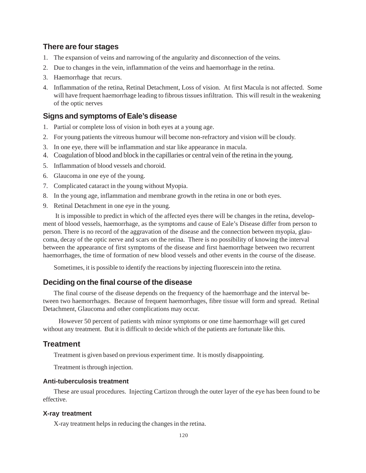### **There are four stages**

- 1. The expansion of veins and narrowing of the angularity and disconnection of the veins.
- 2. Due to changes in the vein, inflammation of the veins and haemorrhage in the retina.
- 3. Haemorrhage that recurs.
- 4. Inflammation of the retina, Retinal Detachment, Loss of vision. At first Macula is not affected. Some will have frequent haemorrhage leading to fibrous tissues infiltration. This will result in the weakening of the optic nerves

### **Signs and symptoms of Eale's disease**

- 1. Partial or complete loss of vision in both eyes at a young age.
- 2. For young patients the vitreous humour will become non-refractory and vision will be cloudy.
- 3. In one eye, there will be inflammation and star like appearance in macula.
- 4. Coagulation of blood and block in the capillaries or central vein of the retina in the young.
- 5. Inflammation of blood vessels and choroid.
- 6. Glaucoma in one eye of the young.
- 7. Complicated cataract in the young without Myopia.
- 8. In the young age, inflammation and membrane growth in the retina in one or both eyes.
- 9. Retinal Detachment in one eye in the young.

 It is impossible to predict in which of the affected eyes there will be changes in the retina, development of blood vessels, haemorrhage, as the symptoms and cause of Eale's Disease differ from person to person. There is no record of the aggravation of the disease and the connection between myopia, glaucoma, decay of the optic nerve and scars on the retina. There is no possibility of knowing the interval between the appearance of first symptoms of the disease and first haemorrhage between two recurrent haemorrhages, the time of formation of new blood vessels and other events in the course of the disease.

Sometimes, it is possible to identify the reactions by injecting fluorescein into the retina.

### **Deciding on the final course of the disease**

The final course of the disease depends on the frequency of the haemorrhage and the interval between two haemorrhages. Because of frequent haemorrhages, fibre tissue will form and spread. Retinal Detachment, Glaucoma and other complications may occur.

 However 50 percent of patients with minor symptoms or one time haemorrhage will get cured without any treatment. But it is difficult to decide which of the patients are fortunate like this.

### **Treatment**

Treatment is given based on previous experiment time. It is mostly disappointing.

Treatment is through injection.

### **Anti-tuberculosis treatment**

These are usual procedures. Injecting Cartizon through the outer layer of the eye has been found to be effective.

#### **X-ray treatment**

X-ray treatment helps in reducing the changes in the retina.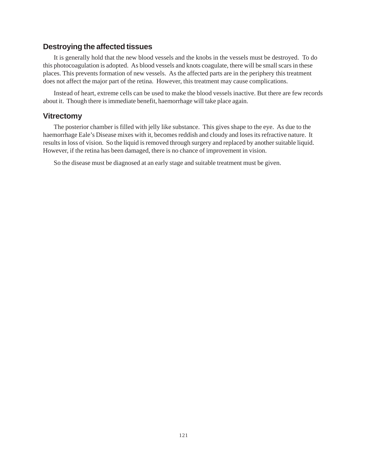### **Destroying the affected tissues**

It is generally hold that the new blood vessels and the knobs in the vessels must be destroyed. To do this photocoagulation is adopted. As blood vessels and knots coagulate, there will be small scars in these places. This prevents formation of new vessels. As the affected parts are in the periphery this treatment does not affect the major part of the retina. However, this treatment may cause complications.

Instead of heart, extreme cells can be used to make the blood vessels inactive. But there are few records about it. Though there is immediate benefit, haemorrhage will take place again.

### **Vitrectomy**

The posterior chamber is filled with jelly like substance. This gives shape to the eye. As due to the haemorrhage Eale's Disease mixes with it, becomes reddish and cloudy and loses its refractive nature. It results in loss of vision. So the liquid is removed through surgery and replaced by another suitable liquid. However, if the retina has been damaged, there is no chance of improvement in vision.

So the disease must be diagnosed at an early stage and suitable treatment must be given.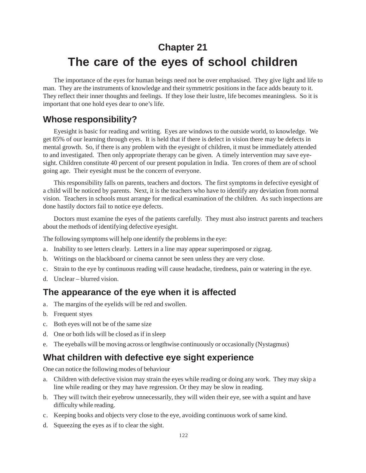# **Chapter 21 The care of the eyes of school children**

The importance of the eyes for human beings need not be over emphasised. They give light and life to man. They are the instruments of knowledge and their symmetric positions in the face adds beauty to it. They reflect their inner thoughts and feelings. If they lose their lustre, life becomes meaningless. So it is important that one hold eyes dear to one's life.

## **Whose responsibility?**

Eyesight is basic for reading and writing. Eyes are windows to the outside world, to knowledge. We get 85% of our learning through eyes. It is held that if there is defect in vision there may be defects in mental growth. So, if there is any problem with the eyesight of children, it must be immediately attended to and investigated. Then only appropriate therapy can be given. A timely intervention may save eyesight. Children constitute 40 percent of our present population in India. Ten crores of them are of school going age. Their eyesight must be the concern of everyone.

This responsibility falls on parents, teachers and doctors. The first symptoms in defective eyesight of a child will be noticed by parents. Next, it is the teachers who have to identify any deviation from normal vision. Teachers in schools must arrange for medical examination of the children. As such inspections are done hastily doctors fail to notice eye defects.

Doctors must examine the eyes of the patients carefully. They must also instruct parents and teachers about the methods of identifying defective eyesight.

The following symptoms will help one identify the problems in the eye:

- a. Inability to see letters clearly. Letters in a line may appear superimposed or zigzag.
- b. Writings on the blackboard or cinema cannot be seen unless they are very close.
- c. Strain to the eye by continuous reading will cause headache, tiredness, pain or watering in the eye.
- d. Unclear blurred vision.

## **The appearance of the eye when it is affected**

- a. The margins of the eyelids will be red and swollen.
- b. Frequent styes
- c. Both eyes will not be of the same size
- d. One or both lids will be closed as if in sleep
- e. The eyeballs will be moving across or lengthwise continuously or occasionally (Nystagmus)

## **What children with defective eye sight experience**

One can notice the following modes of behaviour

- a. Children with defective vision may strain the eyes while reading or doing any work. They may skip a line while reading or they may have regression. Or they may be slow in reading.
- b. They will twitch their eyebrow unnecessarily, they will widen their eye, see with a squint and have difficulty while reading.
- c. Keeping books and objects very close to the eye, avoiding continuous work of same kind.
- d. Squeezing the eyes as if to clear the sight.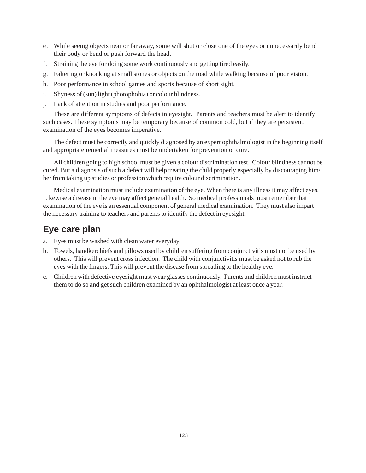- e. While seeing objects near or far away, some will shut or close one of the eyes or unnecessarily bend their body or bend or push forward the head.
- f. Straining the eye for doing some work continuously and getting tired easily.
- g. Faltering or knocking at small stones or objects on the road while walking because of poor vision.
- h. Poor performance in school games and sports because of short sight.
- i. Shyness of (sun) light (photophobia) or colour blindness.
- j. Lack of attention in studies and poor performance.

These are different symptoms of defects in eyesight. Parents and teachers must be alert to identify such cases. These symptoms may be temporary because of common cold, but if they are persistent, examination of the eyes becomes imperative.

The defect must be correctly and quickly diagnosed by an expert ophthalmologist in the beginning itself and appropriate remedial measures must be undertaken for prevention or cure.

All children going to high school must be given a colour discrimination test. Colour blindness cannot be cured. But a diagnosis of such a defect will help treating the child properly especially by discouraging him/ her from taking up studies or profession which require colour discrimination.

Medical examination must include examination of the eye. When there is any illness it may affect eyes. Likewise a disease in the eye may affect general health. So medical professionals must remember that examination of the eye is an essential component of general medical examination. They must also impart the necessary training to teachers and parents to identify the defect in eyesight.

## **Eye care plan**

- a. Eyes must be washed with clean water everyday.
- b. Towels, handkerchiefs and pillows used by children suffering from conjunctivitis must not be used by others. This will prevent cross infection. The child with conjunctivitis must be asked not to rub the eyes with the fingers. This will prevent the disease from spreading to the healthy eye.
- c. Children with defective eyesight must wear glasses continuously. Parents and children must instruct them to do so and get such children examined by an ophthalmologist at least once a year.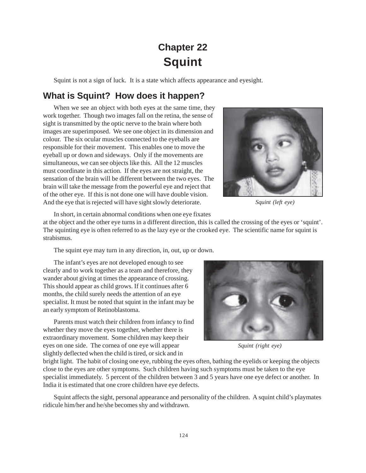# **Chapter 22 Squint**

Squint is not a sign of luck. It is a state which affects appearance and eyesight.

## **What is Squint? How does it happen?**

When we see an object with both eyes at the same time, they work together. Though two images fall on the retina, the sense of sight is transmitted by the optic nerve to the brain where both images are superimposed. We see one object in its dimension and colour. The six ocular muscles connected to the eyeballs are responsible for their movement. This enables one to move the eyeball up or down and sideways. Only if the movements are simultaneous, we can see objects like this. All the 12 muscles must coordinate in this action. If the eyes are not straight, the sensation of the brain will be different between the two eyes. The brain will take the message from the powerful eye and reject that of the other eye. If this is not done one will have double vision. And the eye that is rejected will have sight slowly deteriorate.



*Squint (left eye)*

In short, in certain abnormal conditions when one eye fixates

at the object and the other eye turns in a different direction, this is called the crossing of the eyes or 'squint'. The squinting eye is often referred to as the lazy eye or the crooked eye. The scientific name for squint is strabismus.

The squint eye may turn in any direction, in, out, up or down.

The infant's eyes are not developed enough to see clearly and to work together as a team and therefore, they wander about giving at times the appearance of crossing. This should appear as child grows. If it continues after 6 months, the child surely needs the attention of an eye specialist. It must be noted that squint in the infant may be an early symptom of Retinoblastoma.

Parents must watch their children from infancy to find whether they move the eyes together, whether there is extraordinary movement. Some children may keep their eyes on one side. The cornea of one eye will appear slightly deflected when the child is tired, or sick and in



*Squint (right eye)*

bright light. The habit of closing one eye, rubbing the eyes often, bathing the eyelids or keeping the objects close to the eyes are other symptoms. Such children having such symptoms must be taken to the eye specialist immediately. 5 percent of the children between 3 and 5 years have one eye defect or another. In India it is estimated that one crore children have eye defects.

Squint affects the sight, personal appearance and personality of the children. A squint child's playmates ridicule him/her and he/she becomes shy and withdrawn.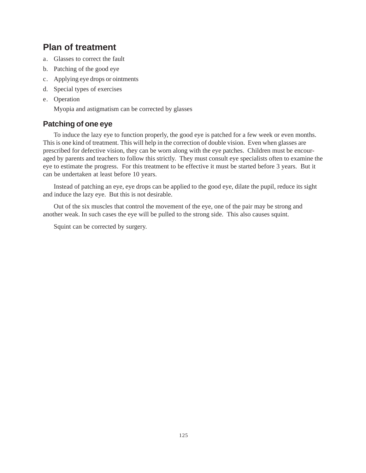## **Plan of treatment**

- a. Glasses to correct the fault
- b. Patching of the good eye
- c. Applying eye drops or ointments
- d. Special types of exercises
- e. Operation

Myopia and astigmatism can be corrected by glasses

## **Patching of one eye**

To induce the lazy eye to function properly, the good eye is patched for a few week or even months. This is one kind of treatment. This will help in the correction of double vision. Even when glasses are prescribed for defective vision, they can be worn along with the eye patches. Children must be encouraged by parents and teachers to follow this strictly. They must consult eye specialists often to examine the eye to estimate the progress. For this treatment to be effective it must be started before 3 years. But it can be undertaken at least before 10 years.

Instead of patching an eye, eye drops can be applied to the good eye, dilate the pupil, reduce its sight and induce the lazy eye. But this is not desirable.

Out of the six muscles that control the movement of the eye, one of the pair may be strong and another weak. In such cases the eye will be pulled to the strong side. This also causes squint.

Squint can be corrected by surgery.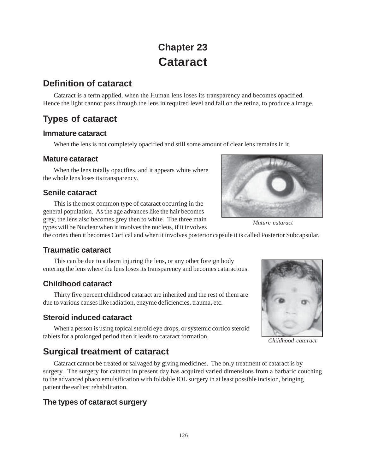# **Chapter 23 Cataract**

## **Definition of cataract**

Cataract is a term applied, when the Human lens loses its transparency and becomes opacified. Hence the light cannot pass through the lens in required level and fall on the retina, to produce a image.

## **Types of cataract**

## **Immature cataract**

When the lens is not completely opacified and still some amount of clear lens remains in it.

## **Mature cataract**

When the lens totally opacifies, and it appears white where the whole lens loses its transparency.

## **Senile cataract**

This is the most common type of cataract occurring in the general population. As the age advances like the hair becomes grey, the lens also becomes grey then to white. The three main types will be Nuclear when it involves the nucleus, if it involves



*Mature cataract*

the cortex then it becomes Cortical and when it involves posterior capsule it is called Posterior Subcapsular.

## **Traumatic cataract**

This can be due to a thorn injuring the lens, or any other foreign body entering the lens where the lens loses its transparency and becomes cataractous.

## **Childhood cataract**

Thirty five percent childhood cataract are inherited and the rest of them are due to various causes like radiation, enzyme deficiencies, trauma, etc.

## **Steroid induced cataract**

When a person is using topical steroid eye drops, or systemic cortico steroid tablets for a prolonged period then it leads to cataract formation.

## **Surgical treatment of cataract**

Cataract cannot be treated or salvaged by giving medicines. The only treatment of cataract is by surgery. The surgery for cataract in present day has acquired varied dimensions from a barbaric couching to the advanced phaco emulsification with foldable IOL surgery in at least possible incision, bringing patient the earliest rehabilitation.

## **The types of cataract surgery**



*Childhood cataract*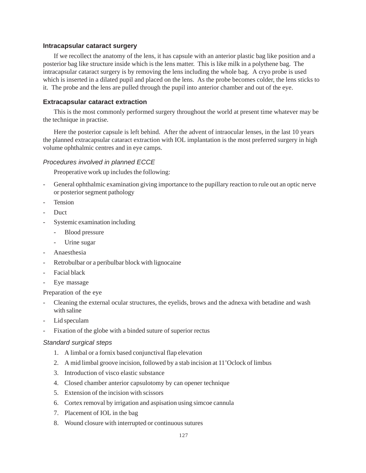#### **Intracapsular cataract surgery**

If we recollect the anatomy of the lens, it has capsule with an anterior plastic bag like position and a posterior bag like structure inside which is the lens matter. This is like milk in a polythene bag. The intracapsular cataract surgery is by removing the lens including the whole bag. A cryo probe is used which is inserted in a dilated pupil and placed on the lens. As the probe becomes colder, the lens sticks to it. The probe and the lens are pulled through the pupil into anterior chamber and out of the eye.

#### **Extracapsular cataract extraction**

This is the most commonly performed surgery throughout the world at present time whatever may be the technique in practise.

Here the posterior capsule is left behind. After the advent of intraocular lenses, in the last 10 years the planned extracapsular cataract extraction with IOL implantation is the most preferred surgery in high volume ophthalmic centres and in eye camps.

#### *Procedures involved in planned ECCE*

Preoperative work up includes the following:

- General ophthalmic examination giving importance to the pupillary reaction to rule out an optic nerve or posterior segment pathology
- **Tension**
- Duct
- Systemic examination including
	- Blood pressure
	- Urine sugar
- Anaesthesia
- Retrobulbar or a peribulbar block with lignocaine
- Facial black
- Eye massage

Preparation of the eye

- Cleaning the external ocular structures, the eyelids, brows and the adnexa with betadine and wash with saline
- Lid speculam
- Fixation of the globe with a binded suture of superior rectus

#### *Standard surgical steps*

- 1. A limbal or a fornix based conjunctival flap elevation
- 2. A mid limbal groove incision, followed by a stab incision at 11'Oclock of limbus
- 3. Introduction of visco elastic substance
- 4. Closed chamber anterior capsulotomy by can opener technique
- 5. Extension of the incision with scissors
- 6. Cortex removal by irrigation and aspisation using simcoe cannula
- 7. Placement of IOL in the bag
- 8. Wound closure with interrupted or continuous sutures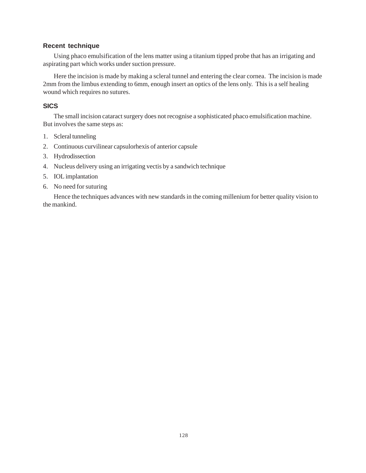#### **Recent technique**

Using phaco emulsification of the lens matter using a titanium tipped probe that has an irrigating and aspirating part which works under suction pressure.

Here the incision is made by making a scleral tunnel and entering the clear cornea. The incision is made 2mm from the limbus extending to 6mm, enough insert an optics of the lens only. This is a self healing wound which requires no sutures.

### **SICS**

The small incision cataract surgery does not recognise a sophisticated phaco emulsification machine. But involves the same steps as:

- 1. Scleral tunneling
- 2. Continuous curvilinear capsulorhexis of anterior capsule
- 3. Hydrodissection
- 4. Nucleus delivery using an irrigating vectis by a sandwich technique
- 5. IOL implantation
- 6. No need for suturing

Hence the techniques advances with new standards in the coming millenium for better quality vision to the mankind.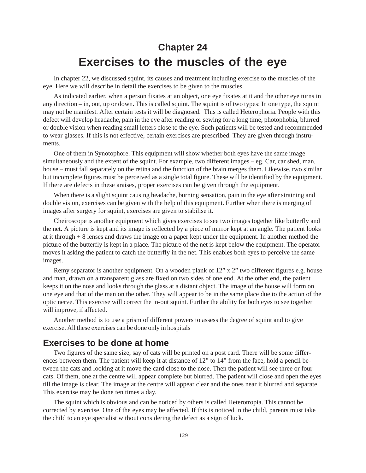# **Chapter 24 Exercises to the muscles of the eye**

In chapter 22, we discussed squint, its causes and treatment including exercise to the muscles of the eye. Here we will describe in detail the exercises to be given to the muscles.

As indicated earlier, when a person fixates at an object, one eye fixates at it and the other eye turns in any direction – in, out, up or down. This is called squint. The squint is of two types: In one type, the squint may not be manifest. After certain tests it will be diagnosed. This is called Heterophoria. People with this defect will develop headache, pain in the eye after reading or sewing for a long time, photophobia, blurred or double vision when reading small letters close to the eye. Such patients will be tested and recommended to wear glasses. If this is not effective, certain exercises are prescribed. They are given through instruments.

One of them in Synotophore. This equipment will show whether both eyes have the same image simultaneously and the extent of the squint. For example, two different images – eg. Car, car shed, man, house – must fall separately on the retina and the function of the brain merges them. Likewise, two similar but incomplete figures must be perceived as a single total figure. These will be identified by the equipment. If there are defects in these araises, proper exercises can be given through the equipment.

When there is a slight squint causing headache, burning sensation, pain in the eye after straining and double vision, exercises can be given with the help of this equipment. Further when there is merging of images after surgery for squint, exercises are given to stabilise it.

Cheiroscope is another equipment which gives exercises to see two images together like butterfly and the net. A picture is kept and its image is reflected by a piece of mirror kept at an angle. The patient looks at it through + 8 lenses and draws the image on a paper kept under the equipment. In another method the picture of the butterfly is kept in a place. The picture of the net is kept below the equipment. The operator moves it asking the patient to catch the butterfly in the net. This enables both eyes to perceive the same images.

Remy separator is another equipment. On a wooden plank of 12" x 2" two different figures e.g. house and man, drawn on a transparent glass are fixed on two sides of one end. At the other end, the patient keeps it on the nose and looks through the glass at a distant object. The image of the house will form on one eye and that of the man on the other. They will appear to be in the same place due to the action of the optic nerve. This exercise will correct the in-out squint. Further the ability for both eyes to see together will improve, if affected.

Another method is to use a prism of different powers to assess the degree of squint and to give exercise. All these exercises can be done only in hospitals

### **Exercises to be done at home**

Two figures of the same size, say of cats will be printed on a post card. There will be some differences between them. The patient will keep it at distance of 12" to 14" from the face, hold a pencil between the cats and looking at it move the card close to the nose. Then the patient will see three or four cats. Of them, one at the centre will appear complete but blurred. The patient will close and open the eyes till the image is clear. The image at the centre will appear clear and the ones near it blurred and separate. This exercise may be done ten times a day.

The squint which is obvious and can be noticed by others is called Heterotropia. This cannot be corrected by exercise. One of the eyes may be affected. If this is noticed in the child, parents must take the child to an eye specialist without considering the defect as a sign of luck.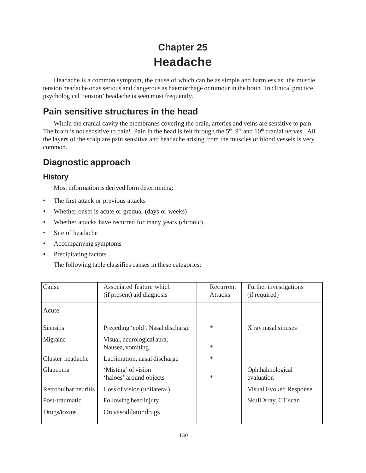# **Chapter 25 Headache**

Headache is a common symptom, the cause of which can be as simple and harmless as the muscle tension headache or as serious and dangerous as haemorrhage or tumour in the brain. In clinical practice psychological 'tension' headache is seen most frequently.

## **Pain sensitive structures in the head**

Within the cranial cavity the membranes covering the brain, arteries and veins are sensitive to pain. The brain is not sensitive to pain! Pain in the head is felt through the 5<sup>th</sup>, 9<sup>th</sup> and 10<sup>th</sup> cranial nerves. All the layers of the scalp are pain sensitive and headache arising from the muscles or blood vessels is very common.

## **Diagnostic approach**

## **History**

Most information is derived form determining:

- The first attack or previous attacks
- Whether onset is acute or gradual (days or weeks)
- Whether attacks have recurred for many years (chronic)
- Site of headache
- Accompanying symptoms
- Precipitating factors

The following table classifies causes in these categories:

| Associated feature which<br>(if present) aid diagnosis | Recurrent<br><b>Attacks</b> | Further investigations<br>(if required) |
|--------------------------------------------------------|-----------------------------|-----------------------------------------|
|                                                        |                             |                                         |
| Preceding 'cold'. Nasal discharge                      | $\ast$                      | X ray nasal sinuses                     |
| Visual, neurological aura,<br>Nausea, vomiting         | *                           |                                         |
| Lacrimation, nasal discharge                           | *                           |                                         |
| 'Misting' of vision<br>'haloes' around objects         | $\ast$                      | Ophthalmological<br>evaluation          |
| Loss of vision (unilateral)                            |                             | <b>Visual Evoked Response</b>           |
| Following head injury                                  |                             | Skull Xray, CT scan                     |
| On vasodilator drugs                                   |                             |                                         |
|                                                        |                             |                                         |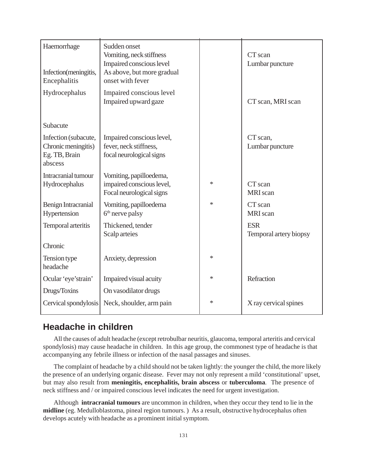| Haemorrhage<br>Infection(meningitis,<br>Encephalitis                    | Sudden onset<br>Vomiting, neck stiffness<br>Impaired conscious level<br>As above, but more gradual<br>onset with fever |   | CT scan<br>Lumbar puncture           |
|-------------------------------------------------------------------------|------------------------------------------------------------------------------------------------------------------------|---|--------------------------------------|
| Hydrocephalus                                                           | Impaired conscious level<br>Impaired upward gaze                                                                       |   | CT scan, MRI scan                    |
| Subacute                                                                |                                                                                                                        |   |                                      |
| Infection (subacute,<br>Chronic meningitis)<br>Eg. TB, Brain<br>abscess | Impaired conscious level,<br>fever, neck stiffness,<br>focal neurological signs                                        |   | CT scan,<br>Lumbar puncture          |
| Intracranial tumour<br>Hydrocephalus                                    | Vomiting, papilloedema,<br>impaired conscious level,<br>Focal neurological signs                                       | * | CT scan<br>MRI scan                  |
| Benign Intracranial<br>Hypertension                                     | Vomiting, papilloedema<br>6 <sup>th</sup> nerve palsy                                                                  | * | CT scan<br>MRI scan                  |
| Temporal arteritis                                                      | Thickened, tender<br>Scalp arteies                                                                                     |   | <b>ESR</b><br>Temporal artery biopsy |
| Chronic                                                                 |                                                                                                                        |   |                                      |
| Tension type<br>headache                                                | Anxiety, depression                                                                                                    | * |                                      |
| Ocular 'eye'strain'                                                     | Impaired visual acuity                                                                                                 | * | Refraction                           |
| Drugs/Toxins                                                            | On vasodilator drugs                                                                                                   |   |                                      |
| Cervical spondylosis                                                    | Neck, shoulder, arm pain                                                                                               | * | X ray cervical spines                |

## **Headache in children**

All the causes of adult headache (except retrobulbar neuritis, glaucoma, temporal arteritis and cervical spondylosis) may cause headache in children. In this age group, the commonest type of headache is that accompanying any febrile illness or infection of the nasal passages and sinuses.

The complaint of headache by a child should not be taken lightly: the younger the child, the more likely the presence of an underlying organic disease. Fever may not only represent a mild 'constitutional' upset, but may also result from **meningitis, encephalitis, brain abscess** or **tuberculoma**. The presence of neck stiffness and / or impaired conscious level indicates the need for urgent investigation.

Although **intracranial tumours** are uncommon in children, when they occur they tend to lie in the **midline** (eg. Medulloblastoma, pineal region tumours. ) As a result, obstructive hydrocephalus often develops acutely with headache as a prominent initial symptom.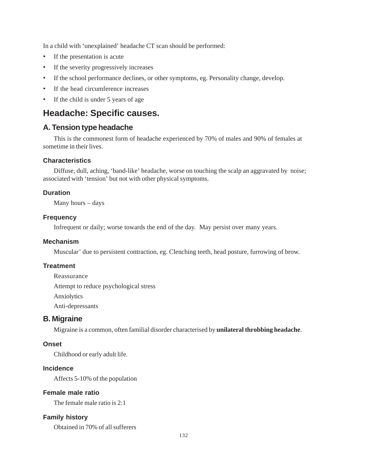In a child with 'unexplained' headache CT scan should be performed:

- If the presentation is acute
- If the severity progressively increases
- If the school performance declines, or other symptoms, eg. Personality change, develop.
- If the head circumference increases
- If the child is under 5 years of age

## **Headache: Specific causes.**

### **A. Tension type headache**

This is the commonest form of headache experienced by 70% of males and 90% of females at sometime in their lives.

#### **Characteristics**

Diffuse, dull, aching, 'band-like' headache, worse on touching the scalp an aggravated by noise; associated with 'tension' but not with other physical symptoms.

#### **Duration**

Many hours – days

#### **Frequency**

Infrequent or daily; worse towards the end of the day. May persist over many years.

#### **Mechanism**

Muscular' due to persistent contraction, eg. Clenching teeth, head posture, furrowing of brow.

### **Treatment**

Reassurance Attempt to reduce psychological stress Anxiolytics Anti-depressants

### **B. Migraine**

Migraine is a common, often familial disorder characterised by **unilateral throbbing headache**.

#### **Onset**

Childhood or early adult life.

### **Incidence**

Affects 5-10% of the population

#### **Female male ratio**

The female male ratio is 2:1

### **Family history**

Obtained in 70% of all sufferers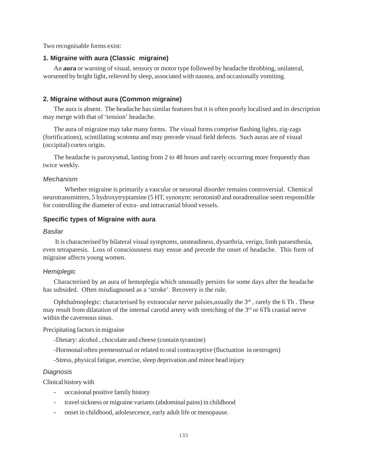Two recognisable forms exist:

#### **1. Migraine with aura (Classic migraine)**

An **aura** or warning of visual, sensory or motor type followed by headache throbbing, unilateral, worsened by bright light, relieved by sleep, associated with nausea, and occasionally vomiting.

#### **2. Migraine without aura (Common migraine)**

The aura is absent. The headache has similar features but it is often poorly localised and its description may merge with that of 'tension' headache.

The aura of migraine may take many forms. The visual forms comprise flashing lights, zig-zags (fortifications), scintillating scotoma and may precede visual field defects. Such auras are of visual (occipital) cortex origin.

The headache is paroxysmal, lasting from 2 to 48 hours and rarely occurring more frequently than twice weekly.

#### *Mechanism*

Whether migraine is primarily a vascular or neuronal disorder remains controversial. Chemical neurotransmitters, 5 hydroxytryptamine (5 HT, synonym: serotonin0 and noradrenaline seem responsible for controlling the diameter of extra- and intracranial blood vessels.

#### **Specific types of Migraine with aura**

#### *Basilar*

 It is characterised by bilateral visual symptoms, unsteadiness, dysarthria, verigo, limb paraesthesia, even tetraparesis. Loss of consciousness may ensue and precede the onset of headache. This form of migraine affects young women.

#### *Hemiplegic*

Characterised by an aura of hemoplegia which unusually persists for some days after the headache has subsided. Often misdiagnosed as a 'stroke'. Recovery is the rule.

Ophthalmoplegic: characterised by extraocular nerve palsies, usually the  $3<sup>rd</sup>$ , rarely the 6 Th. These may result from dilatation of the internal carotid artery with stretching of the  $3<sup>rd</sup>$  or 6Th cranial nerve within the cavernous sinus.

Precipitating factors in migraine

- -Dietary: alcohol , chocolate and cheese (contain tyramine)
- -Hormonal:often premenstrual or related to oral contraceptive (fluctuation in oestrogen)

-Stress, physical fatigue, exercise, sleep deprivation and minor head injury

#### *Diagnosis*

Clinical history with

- occasional positive family history
- travel sickness or migraine variants (abdominal pains) in childhood
- onset in childhood, adolesecence, early adult life or menopause.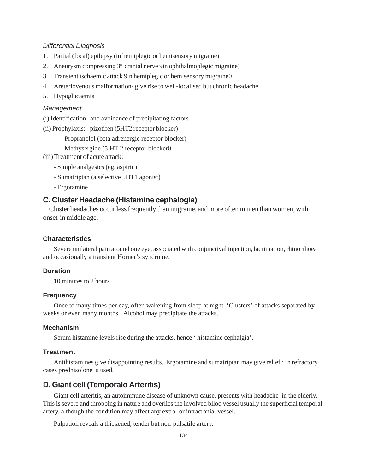#### *Differential Diagnosis*

- 1. Partial (focal) epilepsy (in hemiplegic or hemisensory migraine)
- 2. Aneurysm compressing  $3<sup>rd</sup>$  cranial nerve 9in ophthalmoplegic migraine)
- 3. Transient ischaemic attack 9in hemiplegic or hemisensory migraine0
- 4. Areteriovenous malformation- give rise to well-localised but chronic headache
- 5. Hypoglucaemia

#### *Management*

(i) Identification and avoidance of precipitating factors

(ii) Prophylaxis: - pizotifen (5HT2 receptor blocker)

- Propranolol (beta adrenergic receptor blocker)
- Methysergide (5 HT 2 receptor blocker0
- (iii) Treatment of acute attack:
	- Simple analgesics (eg. aspirin)
	- Sumatriptan (a selective 5HT1 agonist)
	- Ergotamine

#### **C. Cluster Headache (Histamine cephalogia)**

 Cluster headaches occur less frequently than migraine, and more often in men than women, with onset in middle age.

#### **Characteristics**

Severe unilateral pain around one eye, associated with conjunctival injection, lacrimation, rhinorrhoea and occasionally a transient Horner's syndrome.

#### **Duration**

10 minutes to 2 hours

#### **Frequency**

Once to many times per day, often wakening from sleep at night. 'Clusters' of attacks separated by weeks or even many months. Alcohol may precipitate the attacks.

#### **Mechanism**

Serum histamine levels rise during the attacks, hence ' histamine cephalgia'.

#### **Treatment**

Antihistamines give disappointing results. Ergotamine and sumatriptan may give relief.; In refractory cases prednisolone is used.

#### **D. Giant cell (Temporalo Arteritis)**

Giant cell arteritis, an autoimmune disease of unknown cause, presents with headache in the elderly. This is severe and throbbing in nature and overlies the involved bllod vessel usually the superficial temporal artery, although the condition may affect any extra- or intracranial vessel.

Palpation reveals a thickened, tender but non-pulsatile artery.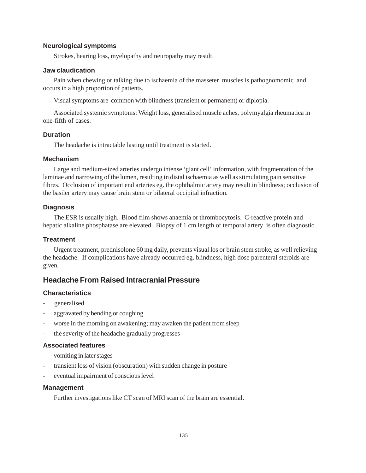#### **Neurological symptoms**

Strokes, hearing loss, myelopathy and neuropathy may result.

#### **Jaw claudication**

Pain when chewing or talking due to ischaemia of the masseter muscles is pathognomomic and occurs in a high proportion of patients.

Visual symptoms are common with blindness (transient or permanent) or diplopia.

Associated systemic symptoms: Weight loss, generalised muscle aches, polymyalgia rheumatica in one-fifth of cases.

#### **Duration**

The headache is intractable lasting until treatment is started.

#### **Mechanism**

Large and medium-sized arteries undergo intense 'giant cell' information, with fragmentation of the laminae and narrowing of the lumen, resulting in distal ischaemia as well as stimulating pain sensitive fibres. Occlusion of important end arteries eg. the ophthalmic artery may result in blindness; occlusion of the basiler artery may cause brain stem or bilateral occipital infraction.

#### **Diagnosis**

The ESR is usually high. Blood film shows anaemia or thrombocytosis. C-reactive protein and hepatic alkaline phosphatase are elevated. Biopsy of 1 cm length of temporal artery is often diagnostic.

#### **Treatment**

Urgent treatment, prednisolone 60 mg daily, prevents visual los or brain stem stroke, as well relieving the headache. If complications have already occurred eg. blindness, high dose parenteral steroids are given.

### **Headache From Raised Intracranial Pressure**

#### **Characteristics**

- generalised
- aggravated by bending or coughing
- worse in the morning on awakening; may awaken the patient from sleep
- the severity of the headache gradually progresses

#### **Associated features**

- vomiting in later stages
- transient loss of vision (obscuration) with sudden change in posture
- eventual impairment of conscious level

#### **Management**

Further investigations like CT scan of MRI scan of the brain are essential.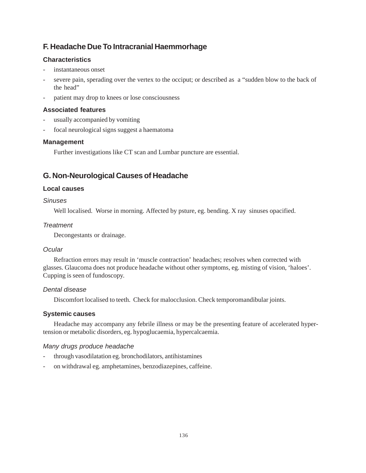## **F. Headache Due To Intracranial Haemmorhage**

### **Characteristics**

- instantaneous onset
- severe pain, sperading over the vertex to the occiput; or described as a "sudden blow to the back of the head"
- patient may drop to knees or lose consciousness

### **Associated features**

- usually accompanied by vomiting
- focal neurological signs suggest a haematoma

### **Management**

Further investigations like CT scan and Lumbar puncture are essential.

## **G. Non-Neurological Causes of Headache**

### **Local causes**

### *Sinuses*

Well localised. Worse in morning. Affected by psture, eg. bending. X ray sinuses opacified.

### *Treatment*

Decongestants or drainage.

### *Ocular*

Refraction errors may result in 'muscle contraction' headaches; resolves when corrected with glasses. Glaucoma does not produce headache without other symptoms, eg. misting of vision, 'haloes'. Cupping is seen of fundoscopy.

### *Dental disease*

Discomfort localised to teeth. Check for malocclusion. Check temporomandibular joints.

### **Systemic causes**

Headache may accompany any febrile illness or may be the presenting feature of accelerated hypertension or metabolic disorders, eg. hypoglucaemia, hypercalcaemia.

### *Many drugs produce headache*

- through vasodilatation eg. bronchodilators, antihistamines
- on withdrawal eg. amphetamines, benzodiazepines, caffeine.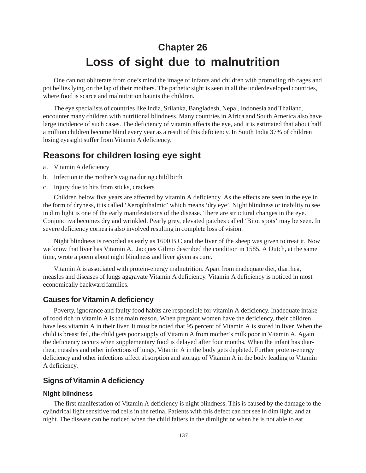# **Chapter 26 Loss of sight due to malnutrition**

One can not obliterate from one's mind the image of infants and children with protruding rib cages and pot bellies lying on the lap of their mothers. The pathetic sight is seen in all the underdeveloped countries, where food is scarce and malnutrition haunts the children.

The eye specialists of countries like India, Srilanka, Bangladesh, Nepal, Indonesia and Thailand, encounter many children with nutritional blindness. Many countries in Africa and South America also have large incidence of such cases. The deficiency of vitamin affects the eye, and it is estimated that about half a million children become blind every year as a result of this deficiency. In South India 37% of children losing eyesight suffer from Vitamin A deficiency.

## **Reasons for children losing eye sight**

- a. Vitamin A deficiency
- b. Infection in the mother's vagina during child birth
- c. Injury due to hits from sticks, crackers

Children below five years are affected by vitamin A deficiency. As the effects are seen in the eye in the form of dryness, it is called 'Xerophthalmic' which means 'dry eye'. Night blindness or inability to see in dim light is one of the early manifestations of the disease. There are structural changes in the eye. Conjunctiva becomes dry and wrinkled. Pearly grey, elevated patches called 'Bitot spots' may be seen. In severe deficiency cornea is also involved resulting in complete loss of vision.

Night blindness is recorded as early as 1600 B.C and the liver of the sheep was given to treat it. Now we know that liver has Vitamin A. Jacques Gilmo described the condition in 1585. A Dutch, at the same time, wrote a poem about night blindness and liver given as cure.

Vitamin A is associated with protein-energy malnutrition. Apart from inadequate diet, diarrhea, measles and diseases of lungs aggravate Vitamin A deficiency. Vitamin A deficiency is noticed in most economically backward families.

#### **Causes for Vitamin A deficiency**

Poverty, ignorance and faulty food habits are responsible for vitamin A deficiency. Inadequate intake of food rich in vitamin A is the main reason. When pregnant women have the deficiency, their children have less vitamin A in their liver. It must be noted that 95 percent of Vitamin A is stored in liver. When the child is breast fed, the child gets poor supply of Vitamin A from mother's milk poor in Vitamin A. Again the deficiency occurs when supplementary food is delayed after four months. When the infant has diarrhea, measles and other infections of lungs, Vitamin A in the body gets depleted. Further protein-energy deficiency and other infections affect absorption and storage of Vitamin A in the body leading to Vitamin A deficiency.

### **Signs of Vitamin A deficiency**

#### **Night blindness**

The first manifestation of Vitamin A deficiency is night blindness. This is caused by the damage to the cylindrical light sensitive rod cells in the retina. Patients with this defect can not see in dim light, and at night. The disease can be noticed when the child falters in the dimlight or when he is not able to eat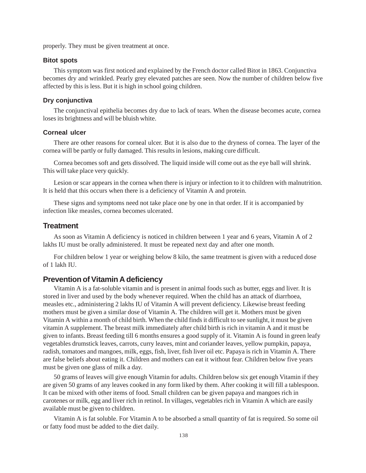properly. They must be given treatment at once.

#### **Bitot spots**

This symptom was first noticed and explained by the French doctor called Bitot in 1863. Conjunctiva becomes dry and wrinkled. Pearly grey elevated patches are seen. Now the number of children below five affected by this is less. But it is high in school going children.

#### **Dry conjunctiva**

The conjunctival epithelia becomes dry due to lack of tears. When the disease becomes acute, cornea loses its brightness and will be bluish white.

#### **Corneal ulcer**

There are other reasons for corneal ulcer. But it is also due to the dryness of cornea. The layer of the cornea will be partly or fully damaged. This results in lesions, making cure difficult.

Cornea becomes soft and gets dissolved. The liquid inside will come out as the eye ball will shrink. This will take place very quickly.

Lesion or scar appears in the cornea when there is injury or infection to it to children with malnutrition. It is held that this occurs when there is a deficiency of Vitamin A and protein.

These signs and symptoms need not take place one by one in that order. If it is accompanied by infection like measles, cornea becomes ulcerated.

#### **Treatment**

As soon as Vitamin A deficiency is noticed in children between 1 year and 6 years, Vitamin A of 2 lakhs IU must be orally administered. It must be repeated next day and after one month.

For children below 1 year or weighing below 8 kilo, the same treatment is given with a reduced dose of 1 lakh IU.

#### **Prevention of Vitamin A deficiency**

Vitamin A is a fat-soluble vitamin and is present in animal foods such as butter, eggs and liver. It is stored in liver and used by the body whenever required. When the child has an attack of diarrhoea, measles etc., administering 2 lakhs IU of Vitamin A will prevent deficiency. Likewise breast feeding mothers must be given a similar dose of Vitamin A. The children will get it. Mothers must be given Vitamin A within a month of child birth. When the child finds it difficult to see sunlight, it must be given vitamin A supplement. The breast milk immediately after child birth is rich in vitamin A and it must be given to infants. Breast feeding till 6 months ensures a good supply of it. Vitamin A is found in green leafy vegetables drumstick leaves, carrots, curry leaves, mint and coriander leaves, yellow pumpkin, papaya, radish, tomatoes and mangoes, milk, eggs, fish, liver, fish liver oil etc. Papaya is rich in Vitamin A. There are false beliefs about eating it. Children and mothers can eat it without fear. Children below five years must be given one glass of milk a day.

50 grams of leaves will give enough Vitamin for adults. Children below six get enough Vitamin if they are given 50 grams of any leaves cooked in any form liked by them. After cooking it will fill a tablespoon. It can be mixed with other items of food. Small children can be given papaya and mangoes rich in carotenes or milk, egg and liver rich in retinol. In villages, vegetables rich in Vitamin A which are easily available must be given to children.

Vitamin A is fat soluble. For Vitamin A to be absorbed a small quantity of fat is required. So some oil or fatty food must be added to the diet daily.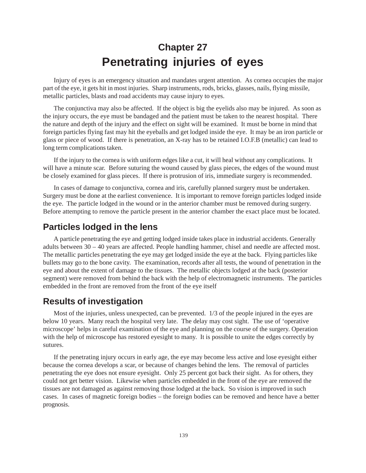# **Chapter 27 Penetrating injuries of eyes**

Injury of eyes is an emergency situation and mandates urgent attention. As cornea occupies the major part of the eye, it gets hit in most injuries. Sharp instruments, rods, bricks, glasses, nails, flying missile, metallic particles, blasts and road accidents may cause injury to eyes.

The conjunctiva may also be affected. If the object is big the eyelids also may be injured. As soon as the injury occurs, the eye must be bandaged and the patient must be taken to the nearest hospital. There the nature and depth of the injury and the effect on sight will be examined. It must be borne in mind that foreign particles flying fast may hit the eyeballs and get lodged inside the eye. It may be an iron particle or glass or piece of wood. If there is penetration, an X-ray has to be retained I.O.F.B (metallic) can lead to long term complications taken.

If the injury to the cornea is with uniform edges like a cut, it will heal without any complications. It will have a minute scar. Before suturing the wound caused by glass pieces, the edges of the wound must be closely examined for glass pieces. If there is protrusion of iris, immediate surgery is recommended.

In cases of damage to conjunctiva, cornea and iris, carefully planned surgery must be undertaken. Surgery must be done at the earliest convenience. It is important to remove foreign particles lodged inside the eye. The particle lodged in the wound or in the anterior chamber must be removed during surgery. Before attempting to remove the particle present in the anterior chamber the exact place must be located.

## **Particles lodged in the lens**

A particle penetrating the eye and getting lodged inside takes place in industrial accidents. Generally adults between 30 – 40 years are affected. People handling hammer, chisel and needle are affected most. The metallic particles penetrating the eye may get lodged inside the eye at the back. Flying particles like bullets may go to the bone cavity. The examination, records after all tests, the wound of penetration in the eye and about the extent of damage to the tissues. The metallic objects lodged at the back (posterior segment) were removed from behind the back with the help of electromagnetic instruments. The particles embedded in the front are removed from the front of the eye itself

## **Results of investigation**

Most of the injuries, unless unexpected, can be prevented. 1/3 of the people injured in the eyes are below 10 years. Many reach the hospital very late. The delay may cost sight. The use of 'operative microscope' helps in careful examination of the eye and planning on the course of the surgery. Operation with the help of microscope has restored eyesight to many. It is possible to unite the edges correctly by sutures.

If the penetrating injury occurs in early age, the eye may become less active and lose eyesight either because the cornea develops a scar, or because of changes behind the lens. The removal of particles penetrating the eye does not ensure eyesight. Only 25 percent got back their sight. As for others, they could not get better vision. Likewise when particles embedded in the front of the eye are removed the tissues are not damaged as against removing those lodged at the back. So vision is improved in such cases. In cases of magnetic foreign bodies – the foreign bodies can be removed and hence have a better prognosis.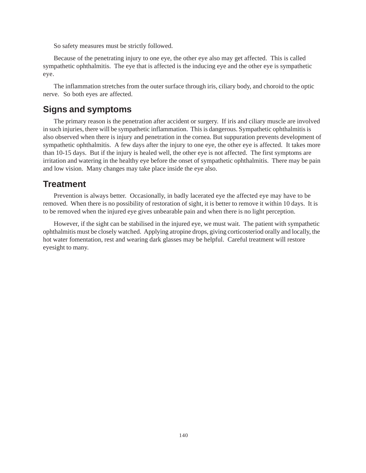So safety measures must be strictly followed.

Because of the penetrating injury to one eye, the other eye also may get affected. This is called sympathetic ophthalmitis. The eye that is affected is the inducing eye and the other eye is sympathetic eye.

The inflammation stretches from the outer surface through iris, ciliary body, and choroid to the optic nerve. So both eyes are affected.

## **Signs and symptoms**

The primary reason is the penetration after accident or surgery. If iris and ciliary muscle are involved in such injuries, there will be sympathetic inflammation. This is dangerous. Sympathetic ophthalmitis is also observed when there is injury and penetration in the cornea. But suppuration prevents development of sympathetic ophthalmitis. A few days after the injury to one eye, the other eye is affected. It takes more than 10-15 days. But if the injury is healed well, the other eye is not affected. The first symptoms are irritation and watering in the healthy eye before the onset of sympathetic ophthalmitis. There may be pain and low vision. Many changes may take place inside the eye also.

## **Treatment**

Prevention is always better. Occasionally, in badly lacerated eye the affected eye may have to be removed. When there is no possibility of restoration of sight, it is better to remove it within 10 days. It is to be removed when the injured eye gives unbearable pain and when there is no light perception.

However, if the sight can be stabilised in the injured eye, we must wait. The patient with sympathetic ophthalmitis must be closely watched. Applying atropine drops, giving corticosteriod orally and locally, the hot water fomentation, rest and wearing dark glasses may be helpful. Careful treatment will restore eyesight to many.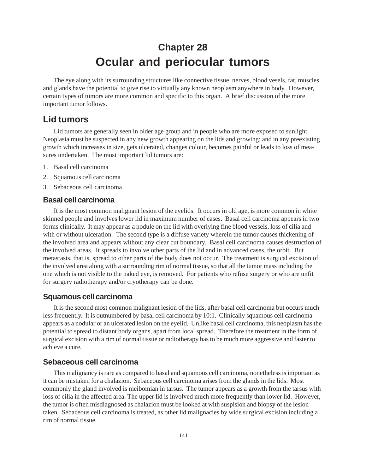# **Chapter 28 Ocular and periocular tumors**

The eye along with its surrounding structures like connective tissue, nerves, blood vesels, fat, muscles and glands have the potential to give rise to virtually any known neoplasm anywhere in body. However, certain types of tumors are more common and specific to this organ. A brief discussion of the more important tumor follows.

## **Lid tumors**

Lid tumors are generally seen in older age group and in people who are more exposed to sunlight. Neoplasia must be suspected in any new growth appearing on the lids and growing; and in any preexisting growth which increases in size, gets ulcerated, changes colour, becomes painful or leads to loss of measures undertaken. The most important lid tumors are:

- 1. Basal cell carcinoma
- 2. Squamous cell carcinoma
- 3. Sebaceous cell carcinoma

### **Basal cell carcinoma**

It is the most common malignant lesion of the eyelids. It occurs in old age, is more common in white skinned people and involves lower lid in maximum number of cases. Basal cell carcinoma appears in two forms clinically. It may appear as a nodule on the lid with overlying fine blood vessels, loss of cilia and with or without ulceration. The second type is a diffuse variety wherein the tumor causes thickening of the involved area and appears without any clear cut boundary. Basal cell carcinoma causes destruction of the involved areas. It spreads to involve other parts of the lid and in advanced cases, the orbit. But metastasis, that is, spread to other parts of the body does not occur. The treatment is surgical excision of the involved area along with a surrounding rim of normal tissue, so that all the tumor mass including the one which is not visible to the naked eye, is removed. For patients who refuse surgery or who are unfit for surgery radiotherapy and/or cryotherapy can be done.

### **Squamous cell carcinoma**

It is the second most common malignant lesion of the lids, after basal cell carcinoma but occurs much less frequently. It is outnumbered by basal cell carcinoma by 10:1. Clinically squamous cell carcinoma appears as a nodular or an ulcerated lesion on the eyelid. Unlike basal cell carcinoma, this neoplasm has the potential to spread to distant body organs, apart from local spread. Therefore the treatment in the form of surgical excision with a rim of normal tissue or radiotherapy has to be much more aggressive and faster to achieve a cure.

### **Sebaceous cell carcinoma**

This malignancy is rare as compared to basal and squamous cell carcinoma, nonetheless is important as it can be mistaken for a chalazion. Sebaceous cell carcinoma arises from the glands in the lids. Most commonly the gland involved is meibomian in tarsus. The tumor appears as a growth from the tarsus with loss of cilia in the affected area. The upper lid is involved much more frequently than lower lid. However, the tumor is often misdiagnosed as chalazion must be looked at with suspision and biopsy of the lesion taken. Sebaceous cell carcinoma is treated, as other lid malignacies by wide surgical excision including a rim of normal tissue.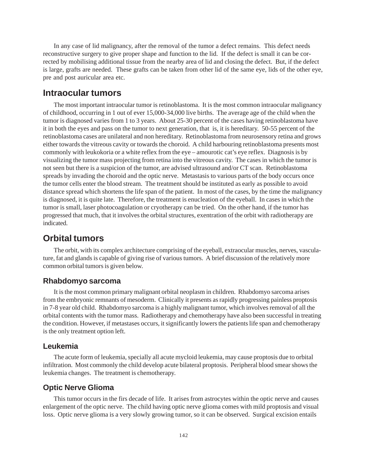In any case of lid malignancy, after the removal of the tumor a defect remains. This defect needs reconstructive surgery to give proper shape and function to the lid. If the defect is small it can be corrected by mobilising additional tissue from the nearby area of lid and closing the defect. But, if the defect is large, grafts are needed. These grafts can be taken from other lid of the same eye, lids of the other eye, pre and post auricular area etc.

### **Intraocular tumors**

The most important intraocular tumor is retinoblastoma. It is the most common intraocular malignancy of childhood, occurring in 1 out of ever 15,000-34,000 live births. The average age of the child when the tumor is diagnosed varies from 1 to 3 years. About 25-30 percent of the cases having retinoblastoma have it in both the eyes and pass on the tumor to next generation, that is, it is hereditary. 50-55 percent of the retinoblastoma cases are unilateral and non hereditary. Retinoblastoma from neurosensory retina and grows either towards the vitreous cavity or towards the choroid. A child harbouring retinoblastoma presents most commonly with leukokoria or a white reflex from the eye – amourotic cat's eye reflex. Diagnosis is by visualizing the tumor mass projecting from retina into the vitreous cavity. The cases in which the tumor is not seen but there is a suspicion of the tumor, are advised ultrasound and/or CT scan. Retinoblastoma spreads by invading the choroid and the optic nerve. Metastasis to various parts of the body occurs once the tumor cells enter the blood stream. The treatment should be instituted as early as possible to avoid distance spread which shortens the life span of the patient. In most of the cases, by the time the malignancy is diagnosed, it is quite late. Therefore, the treatment is enucleation of the eyeball. In cases in which the tumor is small, laser photocoagulation or cryotherapy can be tried. On the other hand, if the tumor has progressed that much, that it involves the orbital structures, exentration of the orbit with radiotherapy are indicated.

## **Orbital tumors**

The orbit, with its complex architecture comprising of the eyeball, extraocular muscles, nerves, vasculature, fat and glands is capable of giving rise of various tumors. A brief discussion of the relatively more common orbital tumors is given below.

#### **Rhabdomyo sarcoma**

It is the most common primary malignant orbital neoplasm in children. Rhabdomyo sarcoma arises from the embryonic remnants of mesoderm. Clinically it presents as rapidly progressing painless proptosis in 7-8 year old child. Rhabdomyo sarcoma is a highly malignant tumor, which involves removal of all the orbital contents with the tumor mass. Radiotherapy and chemotherapy have also been successful in treating the condition. However, if metastases occurs, it significantly lowers the patients life span and chemotherapy is the only treatment option left.

#### **Leukemia**

The acute form of leukemia, specially all acute mycloid leukemia, may cause proptosis due to orbital infiltration. Most commonly the child develop acute bilateral proptosis. Peripheral blood smear shows the leukemia changes. The treatment is chemotherapy.

### **Optic Nerve Glioma**

This tumor occurs in the firs decade of life. It arises from astrocytes within the optic nerve and causes enlargement of the optic nerve. The child having optic nerve glioma comes with mild proptosis and visual loss. Optic nerve glioma is a very slowly growing tumor, so it can be observed. Surgical excision entails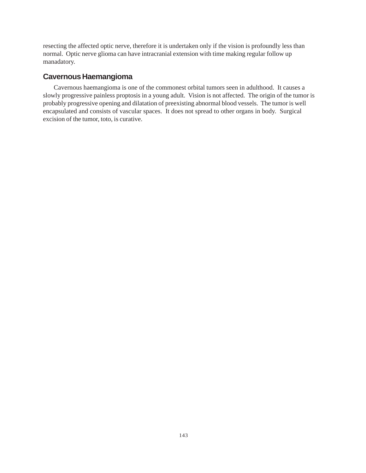resecting the affected optic nerve, therefore it is undertaken only if the vision is profoundly less than normal. Optic nerve glioma can have intracranial extension with time making regular follow up manadatory.

## **Cavernous Haemangioma**

Cavernous haemangioma is one of the commonest orbital tumors seen in adulthood. It causes a slowly progressive painless proptosis in a young adult. Vision is not affected. The origin of the tumor is probably progressive opening and dilatation of preexisting abnormal blood vessels. The tumor is well encapsulated and consists of vascular spaces. It does not spread to other organs in body. Surgical excision of the tumor, toto, is curative.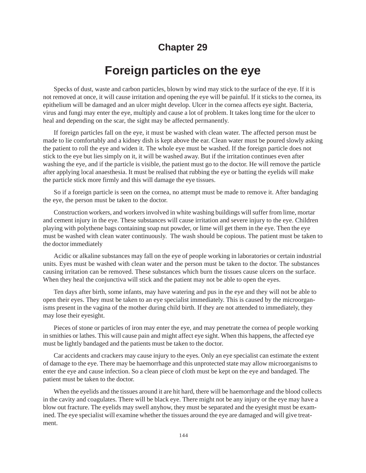## **Chapter 29**

# **Foreign particles on the eye**

Specks of dust, waste and carbon particles, blown by wind may stick to the surface of the eye. If it is not removed at once, it will cause irritation and opening the eye will be painful. If it sticks to the cornea, its epithelium will be damaged and an ulcer might develop. Ulcer in the cornea affects eye sight. Bacteria, virus and fungi may enter the eye, multiply and cause a lot of problem. It takes long time for the ulcer to heal and depending on the scar, the sight may be affected permanently.

If foreign particles fall on the eye, it must be washed with clean water. The affected person must be made to lie comfortably and a kidney dish is kept above the ear. Clean water must be poured slowly asking the patient to roll the eye and widen it. The whole eye must be washed. If the foreign particle does not stick to the eye but lies simply on it, it will be washed away. But if the irritation continues even after washing the eye, and if the particle is visible, the patient must go to the doctor. He will remove the particle after applying local anaesthesia. It must be realised that rubbing the eye or batting the eyelids will make the particle stick more firmly and this will damage the eye tissues.

So if a foreign particle is seen on the cornea, no attempt must be made to remove it. After bandaging the eye, the person must be taken to the doctor.

Construction workers, and workers involved in white washing buildings will suffer from lime, mortar and cement injury in the eye. These substances will cause irritation and severe injury to the eye. Children playing with polythene bags containing soap nut powder, or lime will get them in the eye. Then the eye must be washed with clean water continuously. The wash should be copious. The patient must be taken to the doctor immediately

Acidic or alkaline substances may fall on the eye of people working in laboratories or certain industrial units. Eyes must be washed with clean water and the person must be taken to the doctor. The substances causing irritation can be removed. These substances which burn the tissues cause ulcers on the surface. When they heal the conjunctiva will stick and the patient may not be able to open the eyes.

Ten days after birth, some infants, may have watering and pus in the eye and they will not be able to open their eyes. They must be taken to an eye specialist immediately. This is caused by the microorganisms present in the vagina of the mother during child birth. If they are not attended to immediately, they may lose their eyesight.

Pieces of stone or particles of iron may enter the eye, and may penetrate the cornea of people working in smithies or lathes. This will cause pain and might affect eye sight. When this happens, the affected eye must be lightly bandaged and the patients must be taken to the doctor.

Car accidents and crackers may cause injury to the eyes. Only an eye specialist can estimate the extent of damage to the eye. There may be haemorrhage and this unprotected state may allow microorganisms to enter the eye and cause infection. So a clean piece of cloth must be kept on the eye and bandaged. The patient must be taken to the doctor.

When the eyelids and the tissues around it are hit hard, there will be haemorrhage and the blood collects in the cavity and coagulates. There will be black eye. There might not be any injury or the eye may have a blow out fracture. The eyelids may swell anyhow, they must be separated and the eyesight must be examined. The eye specialist will examine whether the tissues around the eye are damaged and will give treatment.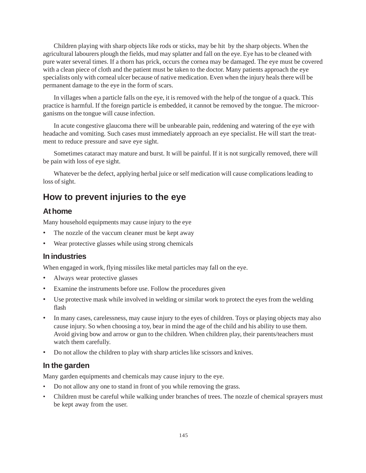Children playing with sharp objects like rods or sticks, may be hit by the sharp objects. When the agricultural labourers plough the fields, mud may splatter and fall on the eye. Eye has to be cleaned with pure water several times. If a thorn has prick, occurs the cornea may be damaged. The eye must be covered with a clean piece of cloth and the patient must be taken to the doctor. Many patients approach the eye specialists only with corneal ulcer because of native medication. Even when the injury heals there will be permanent damage to the eye in the form of scars.

In villages when a particle falls on the eye, it is removed with the help of the tongue of a quack. This practice is harmful. If the foreign particle is embedded, it cannot be removed by the tongue. The microorganisms on the tongue will cause infection.

In acute congestive glaucoma there will be unbearable pain, reddening and watering of the eye with headache and vomiting. Such cases must immediately approach an eye specialist. He will start the treatment to reduce pressure and save eye sight.

Sometimes cataract may mature and burst. It will be painful. If it is not surgically removed, there will be pain with loss of eye sight.

Whatever be the defect, applying herbal juice or self medication will cause complications leading to loss of sight.

# **How to prevent injuries to the eye**

#### **At home**

Many household equipments may cause injury to the eye

- The nozzle of the vaccum cleaner must be kept away
- Wear protective glasses while using strong chemicals

#### **In industries**

When engaged in work, flying missiles like metal particles may fall on the eye.

- Always wear protective glasses
- Examine the instruments before use. Follow the procedures given
- Use protective mask while involved in welding or similar work to protect the eyes from the welding flash
- In many cases, carelessness, may cause injury to the eyes of children. Toys or playing objects may also cause injury. So when choosing a toy, bear in mind the age of the child and his ability to use them. Avoid giving bow and arrow or gun to the children. When children play, their parents/teachers must watch them carefully.
- Do not allow the children to play with sharp articles like scissors and knives.

#### **In the garden**

Many garden equipments and chemicals may cause injury to the eye.

- Do not allow any one to stand in front of you while removing the grass.
- Children must be careful while walking under branches of trees. The nozzle of chemical sprayers must be kept away from the user.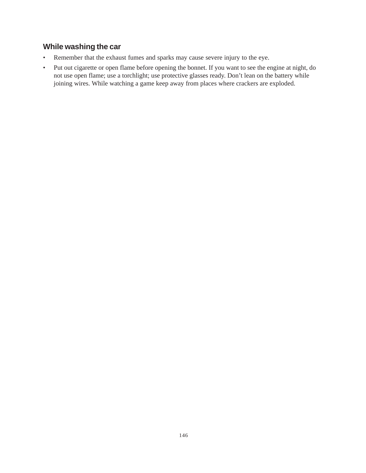# **While washing the car**

- Remember that the exhaust fumes and sparks may cause severe injury to the eye.
- Put out cigarette or open flame before opening the bonnet. If you want to see the engine at night, do not use open flame; use a torchlight; use protective glasses ready. Don't lean on the battery while joining wires. While watching a game keep away from places where crackers are exploded.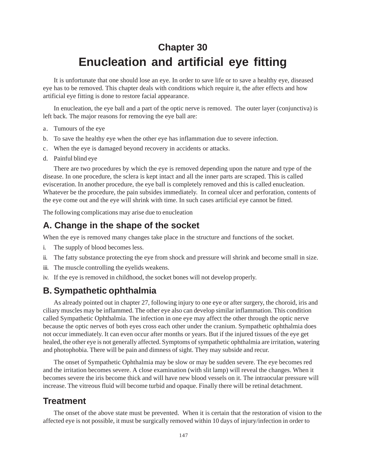# **Chapter 30 Enucleation and artificial eye fitting**

It is unfortunate that one should lose an eye. In order to save life or to save a healthy eye, diseased eye has to be removed. This chapter deals with conditions which require it, the after effects and how artificial eye fitting is done to restore facial appearance.

In enucleation, the eye ball and a part of the optic nerve is removed. The outer layer (conjunctiva) is left back. The major reasons for removing the eye ball are:

- a. Tumours of the eye
- b. To save the healthy eye when the other eye has inflammation due to severe infection.
- c. When the eye is damaged beyond recovery in accidents or attacks.
- d. Painful blind eye

There are two procedures by which the eye is removed depending upon the nature and type of the disease. In one procedure, the sclera is kept intact and all the inner parts are scraped. This is called evisceration. In another procedure, the eye ball is completely removed and this is called enucleation. Whatever be the procedure, the pain subsides immediately. In corneal ulcer and perforation, contents of the eye come out and the eye will shrink with time. In such cases artificial eye cannot be fitted.

The following complications may arise due to enucleation

## **A. Change in the shape of the socket**

When the eye is removed many changes take place in the structure and functions of the socket.

- i. The supply of blood becomes less.
- ii. The fatty substance protecting the eye from shock and pressure will shrink and become small in size.
- iii. The muscle controlling the eyelids weakens.
- iv. If the eye is removed in childhood, the socket bones will not develop properly.

# **B. Sympathetic ophthalmia**

As already pointed out in chapter 27, following injury to one eye or after surgery, the choroid, iris and ciliary muscles may be inflammed. The other eye also can develop similar inflammation. This condition called Sympathetic Ophthalmia. The infection in one eye may affect the other through the optic nerve because the optic nerves of both eyes cross each other under the cranium. Sympathetic ophthalmia does not occur immediately. It can even occur after months or years. But if the injured tissues of the eye get healed, the other eye is not generally affected. Symptoms of sympathetic ophthalmia are irritation, watering and photophobia. There will be pain and dimness of sight. They may subside and recur.

The onset of Sympathetic Ophthalmia may be slow or may be sudden severe. The eye becomes red and the irritation becomes severe. A close examination (with slit lamp) will reveal the changes. When it becomes severe the iris become thick and will have new blood vessels on it. The intraocular pressure will increase. The vitreous fluid will become turbid and opaque. Finally there will be retinal detachment.

# **Treatment**

The onset of the above state must be prevented. When it is certain that the restoration of vision to the affected eye is not possible, it must be surgically removed within 10 days of injury/infection in order to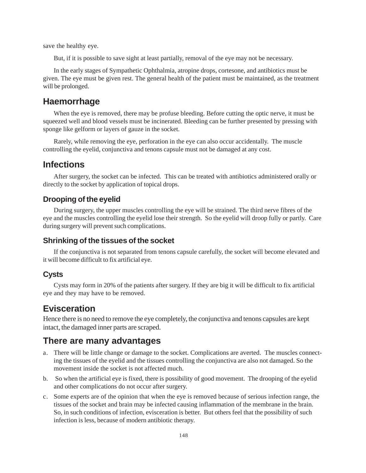save the healthy eye.

But, if it is possible to save sight at least partially, removal of the eye may not be necessary.

In the early stages of Sympathetic Ophthalmia, atropine drops, cortesone, and antibiotics must be given. The eye must be given rest. The general health of the patient must be maintained, as the treatment will be prolonged.

#### **Haemorrhage**

When the eye is removed, there may be profuse bleeding. Before cutting the optic nerve, it must be squeezed well and blood vessels must be incinerated. Bleeding can be further presented by pressing with sponge like gelform or layers of gauze in the socket.

Rarely, while removing the eye, perforation in the eye can also occur accidentally. The muscle controlling the eyelid, conjunctiva and tenons capsule must not be damaged at any cost.

### **Infections**

After surgery, the socket can be infected. This can be treated with antibiotics administered orally or directly to the socket by application of topical drops.

#### **Drooping of the eyelid**

During surgery, the upper muscles controlling the eye will be strained. The third nerve fibres of the eye and the muscles controlling the eyelid lose their strength. So the eyelid will droop fully or partly. Care during surgery will prevent such complications.

#### **Shrinking of the tissues of the socket**

If the conjunctiva is not separated from tenons capsule carefully, the socket will become elevated and it will become difficult to fix artificial eye.

#### **Cysts**

Cysts may form in 20% of the patients after surgery. If they are big it will be difficult to fix artificial eye and they may have to be removed.

## **Evisceration**

Hence there is no need to remove the eye completely, the conjunctiva and tenons capsules are kept intact, the damaged inner parts are scraped.

#### **There are many advantages**

- a. There will be little change or damage to the socket. Complications are averted. The muscles connecting the tissues of the eyelid and the tissues controlling the conjunctiva are also not damaged. So the movement inside the socket is not affected much.
- b. So when the artificial eye is fixed, there is possibility of good movement. The drooping of the eyelid and other complications do not occur after surgery.
- c. Some experts are of the opinion that when the eye is removed because of serious infection range, the tissues of the socket and brain may be infected causing inflammation of the membrane in the brain. So, in such conditions of infection, evisceration is better. But others feel that the possibility of such infection is less, because of modern antibiotic therapy.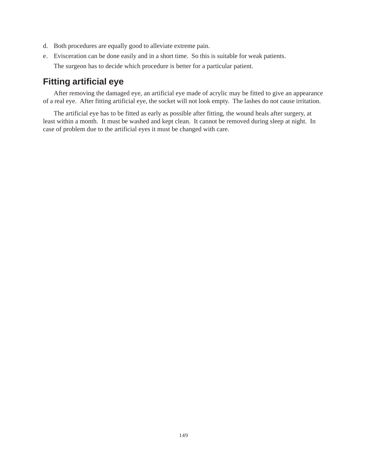- d. Both procedures are equally good to alleviate extreme pain.
- e. Evisceration can be done easily and in a short time. So this is suitable for weak patients. The surgeon has to decide which procedure is better for a particular patient.

# **Fitting artificial eye**

After removing the damaged eye, an artificial eye made of acrylic may be fitted to give an appearance of a real eye. After fitting artificial eye, the socket will not look empty. The lashes do not cause irritation.

The artificial eye has to be fitted as early as possible after fitting, the wound heals after surgery, at least within a month. It must be washed and kept clean. It cannot be removed during sleep at night. In case of problem due to the artificial eyes it must be changed with care.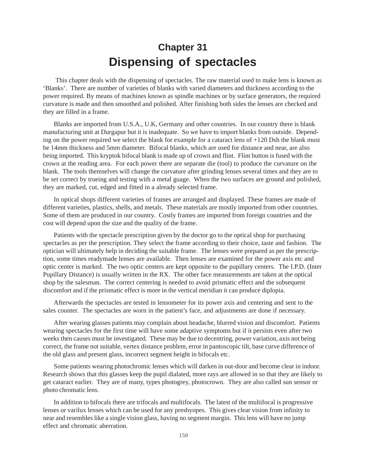# **Chapter 31 Dispensing of spectacles**

 This chapter deals with the dispensing of spectacles. The raw material used to make lens is known as 'Blanks'. There are number of varieties of blanks with varied diameters and thickness according to the power required. By means of machines known as spindle machines or by surface generators, the required curvature is made and then smoothed and polished. After finishing both sides the lenses are checked and they are filled in a frame.

Blanks are imported from U.S.A., U.K, Germany and other countries. In our country there is blank manufacturing unit at Durgapur but it is inadequate. So we have to import blanks from outside. Depending on the power required we select the blank for example for a cataract lens of +120 Dsh the blank must be 14mm thickness and 5mm diameter. Bifocal blanks, which are used for distance and near, are also being imported. This kryptok bifocal blank is made up of crown and flint. Flint button is fused with the crown at the reading area. For each power there are separate die (tool) to produce the curvature on the blank. The tools themselves will change the curvature after grinding lenses several times and they are to be set correct by trueing and testing with a metal guage. When the two surfaces are ground and polished, they are marked, cut, edged and fitted in a already selected frame.

In optical shops different varieties of frames are arranged and displayed. These frames are made of different varieties, plastics, shells, and metals. These materials are mostly imported from other countries. Some of them are produced in our country. Costly frames are imported from foreign countries and the cost will depend upon the size and the quality of the frame.

Patients with the spectacle prescription given by the doctor go to the optical shop for purchasing spectacles as per the prescription. They select the frame according to their choice, taste and fashion. The optician will ultimately help in deciding the suitable frame. The lenses were prepared as per the prescription, some times readymade lenses are available. Then lenses are examined for the power axis etc and optic center is marked. The two optic centers are kept opposite to the pupillary centers. The I.P.D. (Inter Pupillary Distance) is usually written in the RX. The other face measurements are taken at the optical shop by the salesman. The correct centering is needed to avoid prismatic effect and the subsequent discomfort and if the prismatic effect is more in the vertical meridian it can produce diplopia.

Afterwards the spectacles are tested in lensometer for its power axis and centering and sent to the sales counter. The spectacles are worn in the patient's face, and adjustments are done if necessary.

After wearing glasses patients may complain about headache, blurred vision and discomfort. Patients wearing spectacles for the first time will have some adaptive symptoms but if it persists even after two weeks then causes must be investigated. These may be due to decentring, power variation, axis not being correct, the frame not suitable, vertex distance problem, error in pantoscopic tilt, base curve difference of the old glass and present glass, incorrect segment height in bifocals etc.

Some patients wearing photochromic lenses which will darken in out-door and become clear in indoor. Research shows that this glasses keep the pupil dialated, more rays are allowed in so that they are likely to get cataract earlier. They are of many, types photogrey, photocrown. They are also called sun sensor or photo chromatic lens.

In addition to bifocals there are trifocals and multifocals. The latest of the multifocal is progressive lenses or varilux lenses which can be used for any presbyopes. This gives clear vision from infinity to near and resembles like a single vision glass, having no segment margin. This lens will have no jump effect and chromatic aberration.